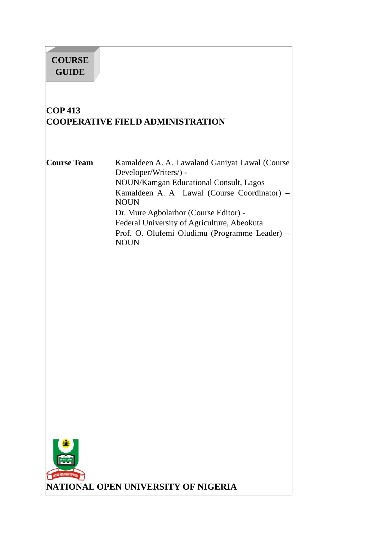# **COURSE GUIDE**

# **COP 413 COOPERATIVE FIELD ADMINISTRATION**

**Course Team** Kamaldeen A. A. Lawaland Ganiyat Lawal (Course Developer/Writers/) - NOUN/Kamgan Educational Consult, Lagos Kamaldeen A. A Lawal (Course Coordinator) – NOUN Dr. Mure Agbolarhor (Course Editor) - Federal University of Agriculture, Abeokuta Prof. O. Olufemi Oludimu (Programme Leader) – **NOUN** 



**NATIONAL OPEN UNIVERSITY OF NIGERIA**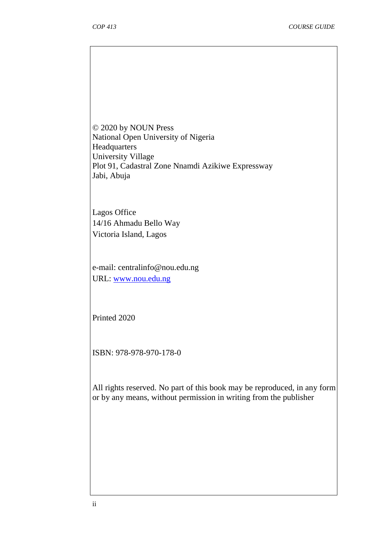© 2020 by NOUN Press National Open University of Nigeria Headquarters University Village Plot 91, Cadastral Zone Nnamdi Azikiwe Expressway Jabi, Abuja

Lagos Office 14/16 Ahmadu Bello Way Victoria Island, Lagos

e-mail: centralinfo@nou.edu.ng URL: www.nou.edu.ng

Printed 2020

ISBN: 978-978-970-178-0

All rights reserved. No part of this book may be reproduced, in any form or by any means, without permission in writing from the publisher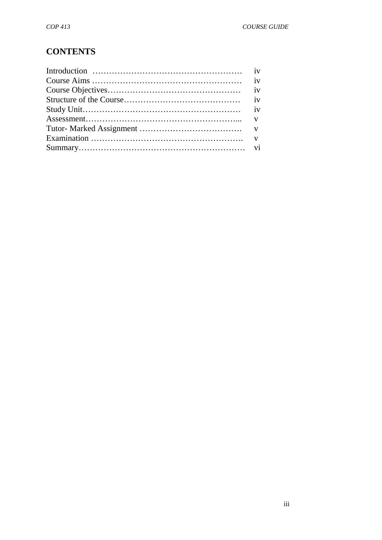# **CONTENTS**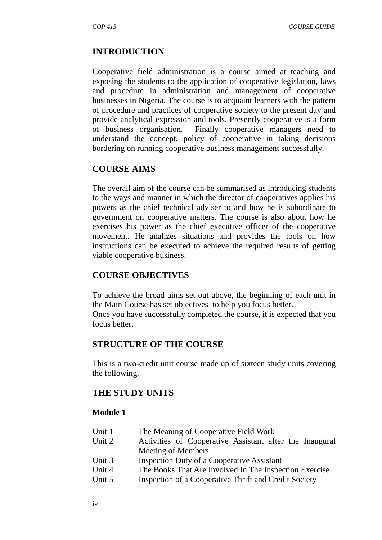#### **INTRODUCTION**

Cooperative field administration is a course aimed at teaching and exposing the students to the application of cooperative legislation, laws and procedure in administration and management of cooperative businesses in Nigeria. The course is to acquaint learners with the pattern of procedure and practices of cooperative society to the present day and provide analytical expression and tools. Presently cooperative is a form of business organisation. Finally cooperative managers need to understand the concept, policy of cooperative in taking decisions bordering on running cooperative business management successfully.

#### **COURSE AIMS**

The overall aim of the course can be summarised as introducing students to the ways and manner in which the director of cooperatives applies his powers as the chief technical adviser to and how he is subordinate to government on cooperative matters. The course is also about how he exercises his power as the chief executive officer of the cooperative movement. He analizes situations and provides the tools on how instructions can be executed to achieve the required results of getting viable cooperative business.

#### **COURSE OBJECTIVES**

To achieve the broad aims set out above, the beginning of each unit in the Main Course has set objectives to help you focus better. Once you have successfully completed the course, it is expected that you focus better.

#### **STRUCTURE OF THE COURSE**

This is a two-credit unit course made up of sixteen study units covering the following.

#### **THE STUDY UNITS**

#### **Module 1**

| Unit 1 | The Meaning of Cooperative Field Work                   |  |  |
|--------|---------------------------------------------------------|--|--|
| Unit 2 | Activities of Cooperative Assistant after the Inaugural |  |  |
|        | Meeting of Members                                      |  |  |
| Unit 3 | <b>Inspection Duty of a Cooperative Assistant</b>       |  |  |
| Unit 4 | The Books That Are Involved In The Inspection Exercise  |  |  |
| Unit 5 | Inspection of a Cooperative Thrift and Credit Society   |  |  |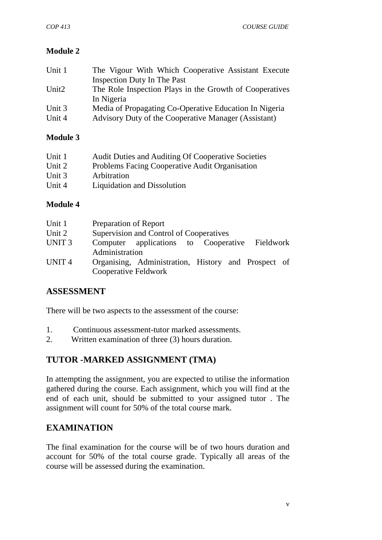# **Module 2**

| Unit 1            | The Vigour With Which Cooperative Assistant Execute     |  |  |
|-------------------|---------------------------------------------------------|--|--|
|                   | <b>Inspection Duty In The Past</b>                      |  |  |
| Unit <sub>2</sub> | The Role Inspection Plays in the Growth of Cooperatives |  |  |
|                   | In Nigeria                                              |  |  |
| Unit 3            | Media of Propagating Co-Operative Education In Nigeria  |  |  |
| Unit 4            | Advisory Duty of the Cooperative Manager (Assistant)    |  |  |

# **Module 3**

| Unit 1   | Audit Duties and Auditing Of Cooperative Societies |
|----------|----------------------------------------------------|
| Unit 2   | Problems Facing Cooperative Audit Organisation     |
| Unit $3$ | Arbitration                                        |
| Unit 4   | Liquidation and Dissolution                        |

# **Module 4**

| Unit 1            | <b>Preparation of Report</b>                                                |  |  |
|-------------------|-----------------------------------------------------------------------------|--|--|
| Unit 2            | Supervision and Control of Cooperatives                                     |  |  |
| UNIT <sub>3</sub> | Computer applications to Cooperative Fieldwork<br>Administration            |  |  |
| UNIT <sub>4</sub> | Organising, Administration, History and Prospect of<br>Cooperative Feldwork |  |  |

# **ASSESSMENT**

There will be two aspects to the assessment of the course:

- 1. Continuous assessment-tutor marked assessments.
- 2. Written examination of three (3) hours duration.

# **TUTOR -MARKED ASSIGNMENT (TMA)**

In attempting the assignment, you are expected to utilise the information gathered during the course. Each assignment, which you will find at the end of each unit, should be submitted to your assigned tutor . The assignment will count for 50% of the total course mark.

# **EXAMINATION**

The final examination for the course will be of two hours duration and account for 50% of the total course grade. Typically all areas of the course will be assessed during the examination.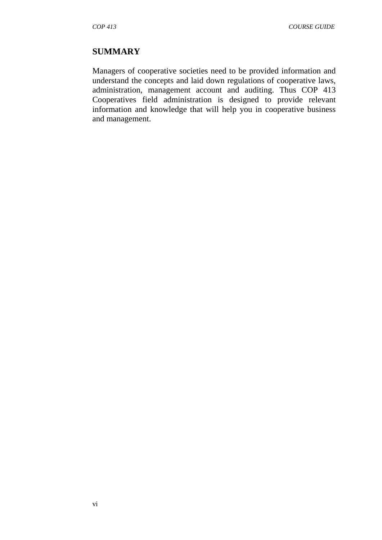#### **SUMMARY**

Managers of cooperative societies need to be provided information and understand the concepts and laid down regulations of cooperative laws, administration, management account and auditing. Thus COP 413 Cooperatives field administration is designed to provide relevant information and knowledge that will help you in cooperative business and management.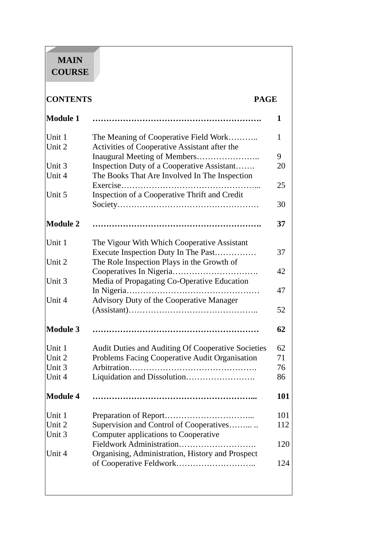# **MAIN COURSE**

and the state of the state

# **CONTENTS PAGE Module 1 ……………………………………………………. 1**

| 9                                                        |
|----------------------------------------------------------|
| 20                                                       |
|                                                          |
| 25                                                       |
|                                                          |
| 30                                                       |
| 37                                                       |
|                                                          |
| 37                                                       |
|                                                          |
| 42                                                       |
|                                                          |
| 47                                                       |
|                                                          |
| 52                                                       |
| 62                                                       |
| Audit Duties and Auditing Of Cooperative Societies<br>62 |
| 71                                                       |
| 76                                                       |
| 86                                                       |
| 101                                                      |
| 101                                                      |
| 112                                                      |
|                                                          |
| 120                                                      |
|                                                          |
| 124                                                      |
|                                                          |
|                                                          |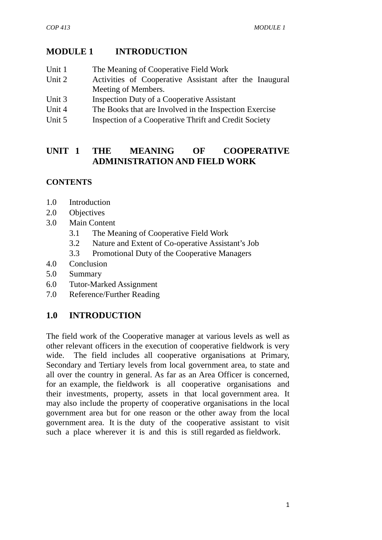# **MODULE 1 INTRODUCTION**

- Unit 1 The Meaning of Cooperative Field Work
- Unit 2 Activities of Cooperative Assistant after the Inaugural Meeting of Members.
- Unit 3 Inspection Duty of a Cooperative Assistant
- Unit 4 The Books that are Involved in the Inspection Exercise
- Unit 5 Inspection of a Cooperative Thrift and Credit Society

# **UNIT 1THE MEANING OF COOPERATIVE ADMINISTRATION AND FIELD WORK**

# **CONTENTS**

- 1.0 Introduction
- 2.0 Objectives
- 3.0 Main Content
	- 3.1 The Meaning of Cooperative Field Work
	- 3.2 Nature and Extent of Co-operative Assistant's Job
	- 3.3 Promotional Duty of the Cooperative Managers
- 4.0 Conclusion
- 5.0 Summary
- 6.0 Tutor-Marked Assignment
- 7.0 Reference/Further Reading

# **1.0 INTRODUCTION**

The field work of the Cooperative manager at various levels as well as other relevant officers in the execution of cooperative fieldwork is very wide. The field includes all cooperative organisations at Primary, Secondary and Tertiary levels from local government area, to state and all over the country in general. As far as an Area Officer is concerned, for an example, the fieldwork is all cooperative organisations and their investments, property, assets in that local government area. It may also include the property of cooperative organisations in the local government area but for one reason or the other away from the local government area. It is the duty of the cooperative assistant to visit such a place wherever it is and this is still regarded as fieldwork.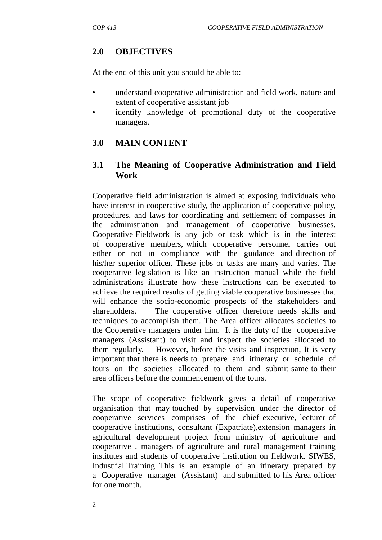# **2.0 OBJECTIVES**

At the end of this unit you should be able to:

- understand cooperative administration and field work, nature and extent of cooperative assistant job
- identify knowledge of promotional duty of the cooperative managers.

# **3.0 MAIN CONTENT**

## **3.1 The Meaning of Cooperative Administration and Field Work**

Cooperative field administration is aimed at exposing individuals who have interest in cooperative study, the application of cooperative policy, procedures, and laws for coordinating and settlement of compasses in the administration and management of cooperative businesses. Cooperative Fieldwork is any job or task which is in the interest of cooperative members, which cooperative personnel carries out either or not in compliance with the guidance and direction of his/her superior officer. These jobs or tasks are many and varies. The cooperative legislation is like an instruction manual while the field administrations illustrate how these instructions can be executed to achieve the required results of getting viable cooperative businesses that will enhance the socio-economic prospects of the stakeholders and shareholders. The cooperative officer therefore needs skills and techniques to accomplish them. The Area officer allocates societies to the Cooperative managers under him. It is the duty of the cooperative managers (Assistant) to visit and inspect the societies allocated to them regularly. However, before the visits and inspection, It is very important that there is needs to prepare and itinerary or schedule of tours on the societies allocated to them and submit same to their area officers before the commencement of the tours.

The scope of cooperative fieldwork gives a detail of cooperative organisation that may touched by supervision under the director of cooperative services comprises of the chief executive, lecturer of cooperative institutions, consultant (Expatriate),extension managers in agricultural development project from ministry of agriculture and cooperative , managers of agriculture and rural management training institutes and students of cooperative institution on fieldwork. SIWES, Industrial Training. This is an example of an itinerary prepared by a Cooperative manager (Assistant) and submitted to his Area officer for one month.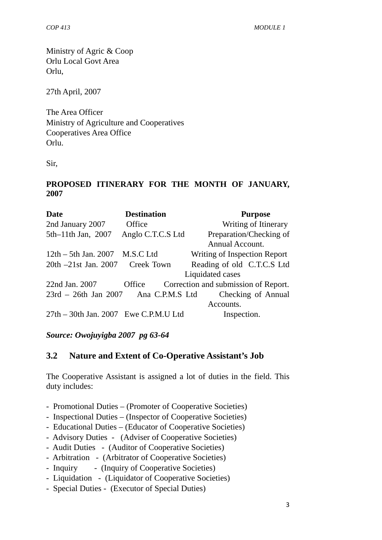*COP 413 MODULE 1*

Ministry of Agric & Coop Orlu Local Govt Area Orlu,

27th April, 2007

The Area Officer Ministry of Agriculture and Cooperatives Cooperatives Area Office Orlu.

Sir,

#### **PROPOSED ITINERARY FOR THE MONTH OF JANUARY, 2007**

| <b>Date</b>                           | <b>Destination</b> | <b>Purpose</b>                       |  |
|---------------------------------------|--------------------|--------------------------------------|--|
| 2nd January 2007                      | Office             | Writing of Itinerary                 |  |
| 5th-11th Jan, 2007                    | Anglo C.T.C.S Ltd  | Preparation/Checking of              |  |
|                                       |                    | Annual Account.                      |  |
| $12th - 5th$ Jan. $2007$ M.S.C Ltd    |                    | Writing of Inspection Report         |  |
| 20th -21st Jan. 2007 Creek Town       |                    | Reading of old C.T.C.S Ltd           |  |
|                                       |                    | Liquidated cases                     |  |
| 22nd Jan. 2007                        | Office             | Correction and submission of Report. |  |
| 23rd – 26th Jan 2007 Ana C.P.M.S Ltd  |                    | Checking of Annual                   |  |
|                                       |                    | Accounts.                            |  |
| 27th – 30th Jan. 2007 Ewe C.P.M.U Ltd |                    | Inspection.                          |  |

## *Source: Owojuyigba 2007 pg 63-64*

## **3.2 Nature and Extent of Co-Operative Assistant's Job**

The Cooperative Assistant is assigned a lot of duties in the field. This duty includes:

- Promotional Duties (Promoter of Cooperative Societies)
- Inspectional Duties (Inspector of Cooperative Societies)
- Educational Duties (Educator of Cooperative Societies)
- Advisory Duties (Adviser of Cooperative Societies)
- Audit Duties (Auditor of Cooperative Societies)
- Arbitration (Arbitrator of Cooperative Societies)
- Inquiry (Inquiry of Cooperative Societies)
- Liquidation (Liquidator of Cooperative Societies)
- Special Duties (Executor of Special Duties)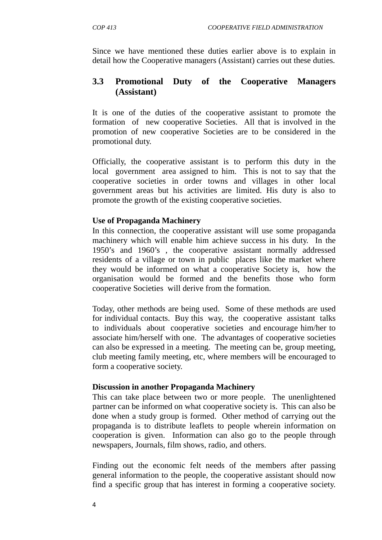Since we have mentioned these duties earlier above is to explain in detail how the Cooperative managers (Assistant) carries out these duties.

# **3.3 Promotional Duty of the Cooperative Managers (Assistant)**

It is one of the duties of the cooperative assistant to promote the formation of new cooperative Societies. All that is involved in the promotion of new cooperative Societies are to be considered in the promotional duty.

Officially, the cooperative assistant is to perform this duty in the local government area assigned to him. This is not to say that the cooperative societies in order towns and villages in other local government areas but his activities are limited. His duty is also to promote the growth of the existing cooperative societies.

#### **Use of Propaganda Machinery**

In this connection, the cooperative assistant will use some propaganda machinery which will enable him achieve success in his duty. In the 1950's and 1960's , the cooperative assistant normally addressed residents of a village or town in public places like the market where they would be informed on what a cooperative Society is, how the organisation would be formed and the benefits those who form cooperative Societies will derive from the formation.

Today, other methods are being used. Some of these methods are used for individual contacts. Buy this way, the cooperative assistant talks to individuals about cooperative societies and encourage him/her to associate him/herself with one. The advantages of cooperative societies can also be expressed in a meeting. The meeting can be, group meeting, club meeting family meeting, etc, where members will be encouraged to form a cooperative society.

#### **Discussion in another Propaganda Machinery**

This can take place between two or more people. The unenlightened partner can be informed on what cooperative society is. This can also be done when a study group is formed. Other method of carrying out the propaganda is to distribute leaflets to people wherein information on cooperation is given. Information can also go to the people through newspapers, Journals, film shows, radio, and others.

Finding out the economic felt needs of the members after passing general information to the people, the cooperative assistant should now find a specific group that has interest in forming a cooperative society.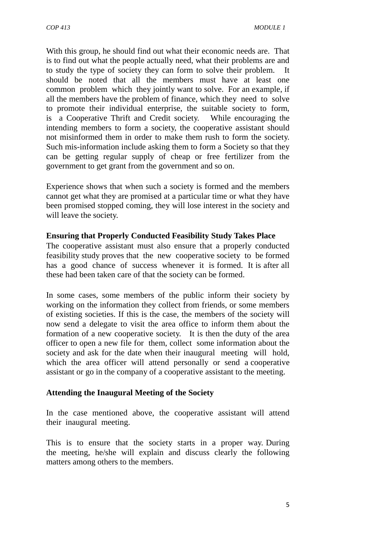With this group, he should find out what their economic needs are. That is to find out what the people actually need, what their problems are and to study the type of society they can form to solve their problem. It should be noted that all the members must have at least one common problem which they jointly want to solve. For an example, if all the members have the problem of finance, which they need to solve to promote their individual enterprise, the suitable society to form, is a Cooperative Thrift and Credit society. While encouraging the intending members to form a society, the cooperative assistant should not misinformed them in order to make them rush to form the society. Such mis-information include asking them to form a Society so that they can be getting regular supply of cheap or free fertilizer from the government to get grant from the government and so on.

Experience shows that when such a society is formed and the members cannot get what they are promised at a particular time or what they have been promised stopped coming, they will lose interest in the society and will leave the society.

#### **Ensuring that Properly Conducted Feasibility Study Takes Place**

The cooperative assistant must also ensure that a properly conducted feasibility study proves that the new cooperative society to be formed has a good chance of success whenever it is formed. It is after all these had been taken care of that the society can be formed.

In some cases, some members of the public inform their society by working on the information they collect from friends, or some members of existing societies. If this is the case, the members of the society will now send a delegate to visit the area office to inform them about the formation of a new cooperative society. It is then the duty of the area officer to open a new file for them, collect some information about the society and ask for the date when their inaugural meeting will hold, which the area officer will attend personally or send a cooperative assistant or go in the company of a cooperative assistant to the meeting.

#### **Attending the Inaugural Meeting of the Society**

In the case mentioned above, the cooperative assistant will attend their inaugural meeting.

This is to ensure that the society starts in a proper way. During the meeting, he/she will explain and discuss clearly the following matters among others to the members.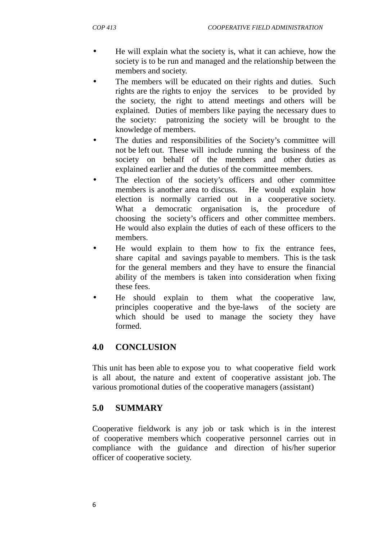- He will explain what the society is, what it can achieve, how the society is to be run and managed and the relationship between the members and society.
- The members will be educated on their rights and duties. Such rights are the rights to enjoy the services to be provided by the society, the right to attend meetings and others will be explained. Duties of members like paying the necessary dues to the society: patronizing the society will be brought to the knowledge of members.
- The duties and responsibilities of the Society's committee will not be left out. These will include running the business of the society on behalf of the members and other duties as explained earlier and the duties of the committee members.
- The election of the society's officers and other committee members is another area to discuss. He would explain how election is normally carried out in a cooperative society. What a democratic organisation is, the procedure of choosing the society's officers and other committee members. He would also explain the duties of each of these officers to the members.
- He would explain to them how to fix the entrance fees, share capital and savings payable to members. This is the task for the general members and they have to ensure the financial ability of the members is taken into consideration when fixing these fees.
- He should explain to them what the cooperative law, principles cooperative and the bye-laws of the society are which should be used to manage the society they have formed.

# **4.0 CONCLUSION**

This unit has been able to expose you to what cooperative field work is all about, the nature and extent of cooperative assistant job. The various promotional duties of the cooperative managers (assistant)

# **5.0 SUMMARY**

Cooperative fieldwork is any job or task which is in the interest of cooperative members which cooperative personnel carries out in compliance with the guidance and direction of his/her superior officer of cooperative society.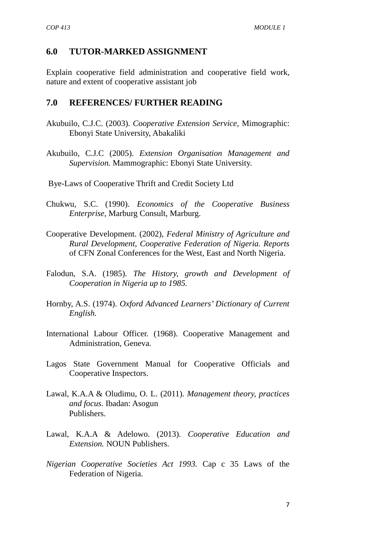#### **6.0 TUTOR-MARKED ASSIGNMENT**

Explain cooperative field administration and cooperative field work, nature and extent of cooperative assistant job

#### **7.0 REFERENCES/ FURTHER READING**

- Akubuilo, C.J.C. (2003). *Cooperative Extension Service,* Mimographic: Ebonyi State University, Abakaliki
- Akubuilo, C.J.C (2005). *Extension Organisation Management and Supervision.* Mammographic: Ebonyi State University.
- Bye-Laws of Cooperative Thrift and Credit Society Ltd
- Chukwu, S.C. (1990). *Economics of the Cooperative Business Enterprise,* Marburg Consult, Marburg.
- Cooperative Development. (2002), *Federal Ministry of Agriculture and Rural Development, Cooperative Federation of Nigeria. Reports* of CFN Zonal Conferences for the West, East and North Nigeria.
- Falodun, S.A. (1985). *The History, growth and Development of Cooperation in Nigeria up to 1985.*
- Hornby, A.S. (1974). *Oxford Advanced Learners' Dictionary of Current English.*
- International Labour Officer. (1968). Cooperative Management and Administration, Geneva.
- Lagos State Government Manual for Cooperative Officials and Cooperative Inspectors.
- Lawal, K.A.A & Oludimu, O. L. (2011). *Management theory, practices and focus*. Ibadan: Asogun Publishers.
- Lawal, K.A.A & Adelowo. (2013). *Cooperative Education and Extension.* NOUN Publishers.
- *Nigerian Cooperative Societies Act 1993.* Cap c 35 Laws of the Federation of Nigeria.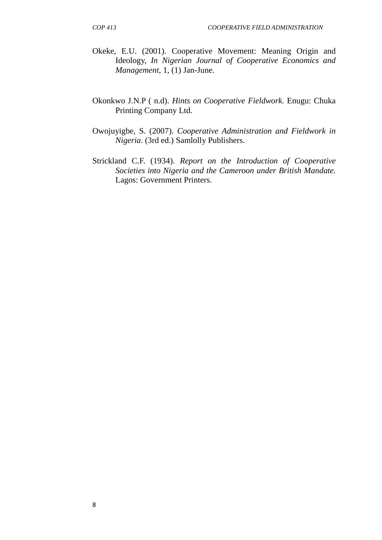- Okeke, E.U. (2001). Cooperative Movement: Meaning Origin and Ideology, *In Nigerian Journal of Cooperative Economics and Management,* 1, (1) Jan-June.
- Okonkwo J.N.P ( n.d). *Hints on Cooperative Fieldwork.* Enugu: Chuka Printing Company Ltd.
- Owojuyigbe, S. (2007). *Cooperative Administration and Fieldwork in Nigeria*. (3rd ed.) Samlolly Publishers.
- Strickland C.F. (1934). *Report on the Introduction of Cooperative Societies into Nigeria and the Cameroon under British Mandate.* Lagos: Government Printers.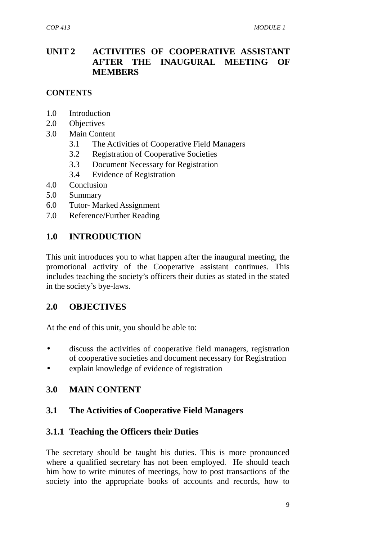# **UNIT 2 ACTIVITIES OF COOPERATIVE ASSISTANT AFTER THE INAUGURAL MEETING OF MEMBERS**

#### **CONTENTS**

- 1.0 Introduction
- 2.0 Objectives
- 3.0 Main Content
	- 3.1 The Activities of Cooperative Field Managers
	- 3.2 Registration of Cooperative Societies
	- 3.3 Document Necessary for Registration
	- 3.4 Evidence of Registration
- 4.0 Conclusion
- 5.0 Summary
- 6.0 Tutor- Marked Assignment
- 7.0 Reference/Further Reading

# **1.0 INTRODUCTION**

This unit introduces you to what happen after the inaugural meeting, the promotional activity of the Cooperative assistant continues. This includes teaching the society's officers their duties as stated in the stated in the society's bye-laws.

## **2.0 OBJECTIVES**

At the end of this unit, you should be able to:

- discuss the activities of cooperative field managers, registration of cooperative societies and document necessary for Registration
- explain knowledge of evidence of registration

## **3.0 MAIN CONTENT**

## **3.1 The Activities of Cooperative Field Managers**

## **3.1.1 Teaching the Officers their Duties**

The secretary should be taught his duties. This is more pronounced where a qualified secretary has not been employed. He should teach him how to write minutes of meetings, how to post transactions of the society into the appropriate books of accounts and records, how to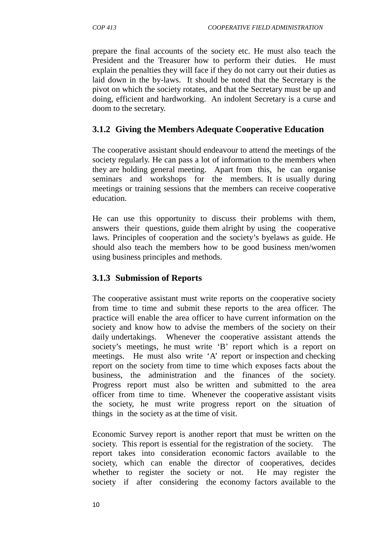prepare the final accounts of the society etc. He must also teach the President and the Treasurer how to perform their duties. He must explain the penalties they will face if they do not carry out their duties as laid down in the by-laws. It should be noted that the Secretary is the pivot on which the society rotates, and that the Secretary must be up and doing, efficient and hardworking. An indolent Secretary is a curse and doom to the secretary.

# **3.1.2 Giving the Members Adequate Cooperative Education**

The cooperative assistant should endeavour to attend the meetings of the society regularly. He can pass a lot of information to the members when they are holding general meeting. Apart from this, he can organise seminars and workshops for the members. It is usually during meetings or training sessions that the members can receive cooperative education.

He can use this opportunity to discuss their problems with them, answers their questions, guide them alright by using the cooperative laws. Principles of cooperation and the society's byelaws as guide. He should also teach the members how to be good business men/women using business principles and methods.

# **3.1.3 Submission of Reports**

The cooperative assistant must write reports on the cooperative society from time to time and submit these reports to the area officer. The practice will enable the area officer to have current information on the society and know how to advise the members of the society on their daily undertakings. Whenever the cooperative assistant attends the society's meetings, he must write 'B' report which is a report on meetings. He must also write 'A' report or inspection and checking report on the society from time to time which exposes facts about the business, the administration and the finances of the society. Progress report must also be written and submitted to the area officer from time to time. Whenever the cooperative assistant visits the society, he must write progress report on the situation of things in the society as at the time of visit.

Economic Survey report is another report that must be written on the society. This report is essential for the registration of the society. The report takes into consideration economic factors available to the society, which can enable the director of cooperatives, decides whether to register the society or not. He may register the society if after considering the economy factors available to the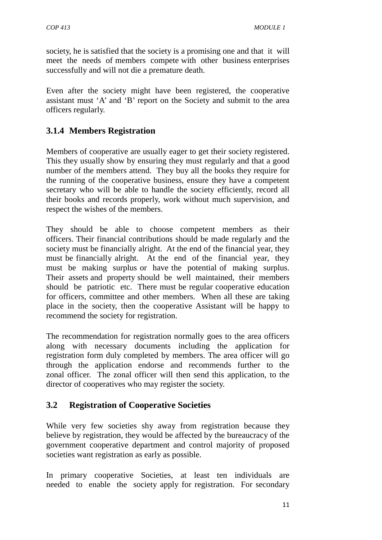society, he is satisfied that the society is a promising one and that it will meet the needs of members compete with other business enterprises successfully and will not die a premature death.

Even after the society might have been registered, the cooperative assistant must 'A' and 'B' report on the Society and submit to the area officers regularly.

# **3.1.4 Members Registration**

Members of cooperative are usually eager to get their society registered. This they usually show by ensuring they must regularly and that a good number of the members attend. They buy all the books they require for the running of the cooperative business, ensure they have a competent secretary who will be able to handle the society efficiently, record all their books and records properly, work without much supervision, and respect the wishes of the members.

They should be able to choose competent members as their officers. Their financial contributions should be made regularly and the society must be financially alright. At the end of the financial year, they must be financially alright. At the end of the financial year, they must be making surplus or have the potential of making surplus. Their assets and property should be well maintained, their members should be patriotic etc. There must be regular cooperative education for officers, committee and other members. When all these are taking place in the society, then the cooperative Assistant will be happy to recommend the society for registration.

The recommendation for registration normally goes to the area officers along with necessary documents including the application for registration form duly completed by members. The area officer will go through the application endorse and recommends further to the zonal officer. The zonal officer will then send this application, to the director of cooperatives who may register the society.

## **3.2 Registration of Cooperative Societies**

While very few societies shy away from registration because they believe by registration, they would be affected by the bureaucracy of the government cooperative department and control majority of proposed societies want registration as early as possible.

In primary cooperative Societies, at least ten individuals are needed to enable the society apply for registration. For secondary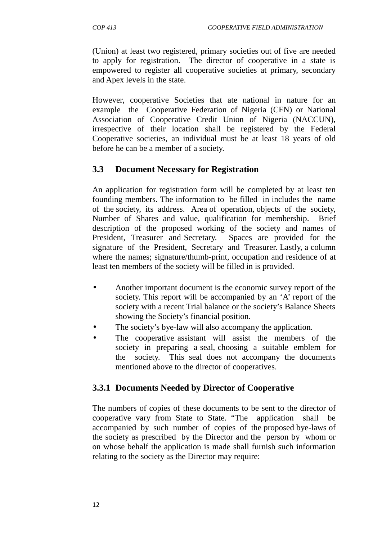(Union) at least two registered, primary societies out of five are needed to apply for registration. The director of cooperative in a state is empowered to register all cooperative societies at primary, secondary and Apex levels in the state.

However, cooperative Societies that ate national in nature for an example the Cooperative Federation of Nigeria (CFN) or National Association of Cooperative Credit Union of Nigeria (NACCUN), irrespective of their location shall be registered by the Federal Cooperative societies, an individual must be at least 18 years of old before he can be a member of a society.

# **3.3 Document Necessary for Registration**

An application for registration form will be completed by at least ten founding members. The information to be filled in includes the name of the society, its address. Area of operation, objects of the society, Number of Shares and value, qualification for membership. Brief description of the proposed working of the society and names of President, Treasurer and Secretary. Spaces are provided for the signature of the President, Secretary and Treasurer. Lastly, a column where the names; signature/thumb-print, occupation and residence of at least ten members of the society will be filled in is provided.

- Another important document is the economic survey report of the society. This report will be accompanied by an 'A' report of the society with a recent Trial balance or the society's Balance Sheets showing the Society's financial position.
- The society's bye-law will also accompany the application.
- The cooperative assistant will assist the members of the society in preparing a seal, choosing a suitable emblem for the society. This seal does not accompany the documents mentioned above to the director of cooperatives.

# **3.3.1 Documents Needed by Director of Cooperative**

The numbers of copies of these documents to be sent to the director of cooperative vary from State to State. "The application shall be accompanied by such number of copies of the proposed bye-laws of the society as prescribed by the Director and the person by whom or on whose behalf the application is made shall furnish such information relating to the society as the Director may require: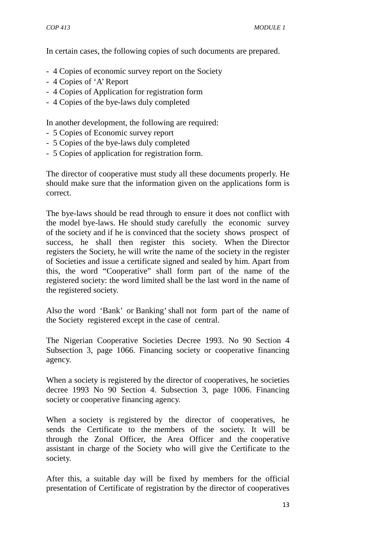In certain cases, the following copies of such documents are prepared.

- 4 Copies of economic survey report on the Society
- 4 Copies of 'A' Report
- 4 Copies of Application for registration form
- 4 Copies of the bye-laws duly completed

In another development, the following are required:

- 5 Copies of Economic survey report
- 5 Copies of the bye-laws duly completed
- 5 Copies of application for registration form.

The director of cooperative must study all these documents properly. He should make sure that the information given on the applications form is correct.

The bye-laws should be read through to ensure it does not conflict with the model bye-laws. He should study carefully the economic survey of the society and if he is convinced that the society shows prospect of success, he shall then register this society. When the Director registers the Society, he will write the name of the society in the register of Societies and issue a certificate signed and sealed by him. Apart from this, the word "Cooperative" shall form part of the name of the registered society: the word limited shall be the last word in the name of the registered society.

Also the word 'Bank' or Banking' shall not form part of the name of the Society registered except in the case of central.

The Nigerian Cooperative Societies Decree 1993. No 90 Section 4 Subsection 3, page 1066. Financing society or cooperative financing agency.

When a society is registered by the director of cooperatives, he societies decree 1993 No 90 Section 4. Subsection 3, page 1006. Financing society or cooperative financing agency.

When a society is registered by the director of cooperatives, he sends the Certificate to the members of the society. It will be through the Zonal Officer, the Area Officer and the cooperative assistant in charge of the Society who will give the Certificate to the society.

After this, a suitable day will be fixed by members for the official presentation of Certificate of registration by the director of cooperatives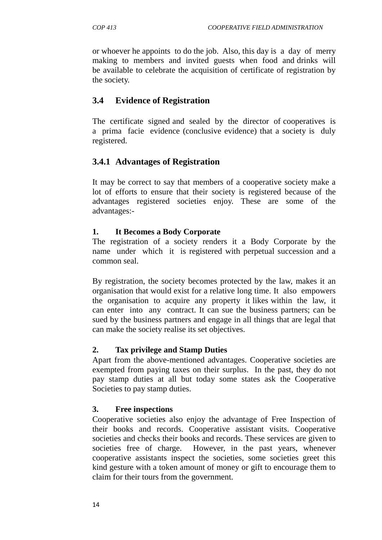or whoever he appoints to do the job. Also, this day is a day of merry making to members and invited guests when food and drinks will be available to celebrate the acquisition of certificate of registration by the society.

# **3.4 Evidence of Registration**

The certificate signed and sealed by the director of cooperatives is a prima facie evidence (conclusive evidence) that a society is duly registered.

# **3.4.1 Advantages of Registration**

It may be correct to say that members of a cooperative society make a lot of efforts to ensure that their society is registered because of the advantages registered societies enjoy. These are some of the advantages:-

## **1. It Becomes a Body Corporate**

The registration of a society renders it a Body Corporate by the name under which it is registered with perpetual succession and a common seal.

By registration, the society becomes protected by the law, makes it an organisation that would exist for a relative long time. It also empowers the organisation to acquire any property it likes within the law, it can enter into any contract. It can sue the business partners; can be sued by the business partners and engage in all things that are legal that can make the society realise its set objectives.

## **2. Tax privilege and Stamp Duties**

Apart from the above-mentioned advantages. Cooperative societies are exempted from paying taxes on their surplus. In the past, they do not pay stamp duties at all but today some states ask the Cooperative Societies to pay stamp duties.

## **3. Free inspections**

Cooperative societies also enjoy the advantage of Free Inspection of their books and records. Cooperative assistant visits. Cooperative societies and checks their books and records. These services are given to societies free of charge. However, in the past years, whenever cooperative assistants inspect the societies, some societies greet this kind gesture with a token amount of money or gift to encourage them to claim for their tours from the government.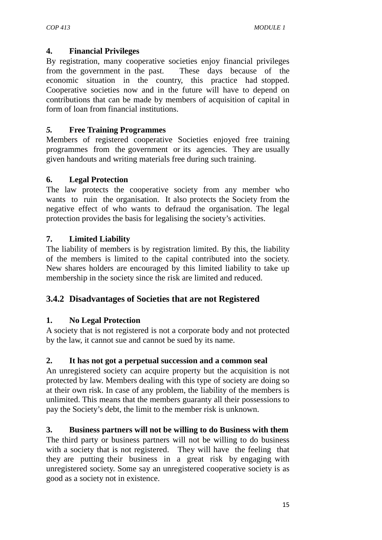#### **4. Financial Privileges**

By registration, many cooperative societies enjoy financial privileges from the government in the past. These days because of the economic situation in the country, this practice had stopped. Cooperative societies now and in the future will have to depend on contributions that can be made by members of acquisition of capital in form of loan from financial institutions.

#### *5.* **Free Training Programmes**

Members of registered cooperative Societies enjoyed free training programmes from the government or its agencies. They are usually given handouts and writing materials free during such training.

#### **6. Legal Protection**

The law protects the cooperative society from any member who wants to ruin the organisation. It also protects the Society from the negative effect of who wants to defraud the organisation. The legal protection provides the basis for legalising the society's activities.

## **7. Limited Liability**

The liability of members is by registration limited. By this, the liability of the members is limited to the capital contributed into the society. New shares holders are encouraged by this limited liability to take up membership in the society since the risk are limited and reduced.

## **3.4.2 Disadvantages of Societies that are not Registered**

## **1. No Legal Protection**

A society that is not registered is not a corporate body and not protected by the law, it cannot sue and cannot be sued by its name.

#### **2. It has not got a perpetual succession and a common seal**

An unregistered society can acquire property but the acquisition is not protected by law. Members dealing with this type of society are doing so at their own risk. In case of any problem, the liability of the members is unlimited. This means that the members guaranty all their possessions to pay the Society's debt, the limit to the member risk is unknown.

#### **3. Business partners will not be willing to do Business with them**

The third party or business partners will not be willing to do business with a society that is not registered. They will have the feeling that they are putting their business in a great risk by engaging with unregistered society. Some say an unregistered cooperative society is as good as a society not in existence.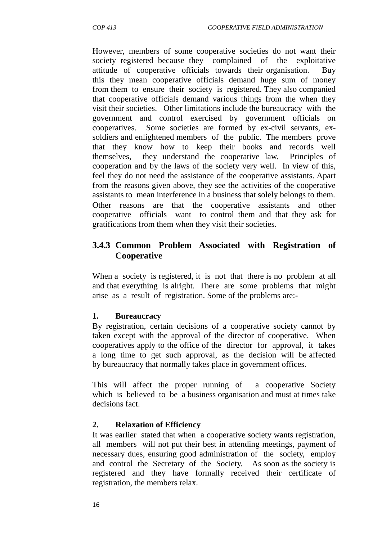However, members of some cooperative societies do not want their society registered because they complained of the exploitative attitude of cooperative officials towards their organisation. Buy this they mean cooperative officials demand huge sum of money from them to ensure their society is registered. They also companied that cooperative officials demand various things from the when they visit their societies. Other limitations include the bureaucracy with the government and control exercised by government officials on cooperatives. Some societies are formed by ex-civil servants, ex soldiers and enlightened members of the public. The members prove that they know how to keep their books and records well themselves, they understand the cooperative law. Principles of cooperation and by the laws of the society very well. In view of this, feel they do not need the assistance of the cooperative assistants. Apart from the reasons given above, they see the activities of the cooperative assistants to mean interference in a business that solely belongs to them. Other reasons are that the cooperative assistants and other cooperative officials want to control them and that they ask for gratifications from them when they visit their societies.

## **3.4.3 Common Problem Associated with Registration of Cooperative**

When a society is registered, it is not that there is no problem at all and that everything is alright. There are some problems that might arise as a result of registration. Some of the problems are:-

#### **1. Bureaucracy**

By registration, certain decisions of a cooperative society cannot by taken except with the approval of the director of cooperative. When cooperatives apply to the office of the director for approval, it takes a long time to get such approval, as the decision will be affected by bureaucracy that normally takes place in government offices.

This will affect the proper running of a cooperative Society which is believed to be a business organisation and must at times take decisions fact.

#### **2. Relaxation of Efficiency**

It was earlier stated that when a cooperative society wants registration, all members will not put their best in attending meetings, payment of necessary dues, ensuring good administration of the society, employ and control the Secretary of the Society. As soon as the society is registered and they have formally received their certificate of registration, the members relax.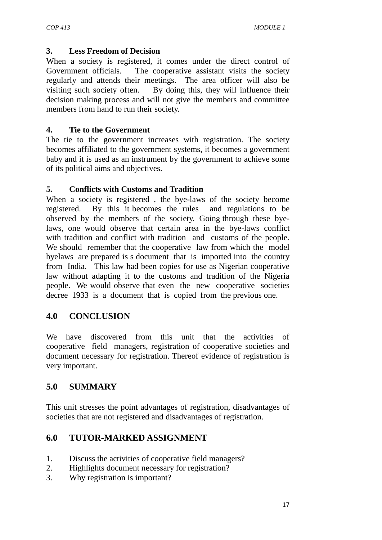#### **3. Less Freedom of Decision**

When a society is registered, it comes under the direct control of Government officials. The cooperative assistant visits the society regularly and attends their meetings. The area officer will also be visiting such society often. By doing this, they will influence their decision making process and will not give the members and committee members from hand to run their society.

#### **4. Tie to the Government**

The tie to the government increases with registration. The society becomes affiliated to the government systems, it becomes a government baby and it is used as an instrument by the government to achieve some of its political aims and objectives.

#### **5. Conflicts with Customs and Tradition**

When a society is registered , the bye-laws of the society become registered. By this it becomes the rules and regulations to be observed by the members of the society. Going through these byelaws, one would observe that certain area in the bye-laws conflict with tradition and conflict with tradition and customs of the people. We should remember that the cooperative law from which the model byelaws are prepared is s document that is imported into the country from India. This law had been copies for use as Nigerian cooperative law without adapting it to the customs and tradition of the Nigeria people. We would observe that even the new cooperative societies decree 1933 is a document that is copied from the previous one.

# **4.0 CONCLUSION**

We have discovered from this unit that the activities of cooperative field managers, registration of cooperative societies and document necessary for registration. Thereof evidence of registration is very important.

# **5.0 SUMMARY**

This unit stresses the point advantages of registration, disadvantages of societies that are not registered and disadvantages of registration.

# **6.0 TUTOR-MARKED ASSIGNMENT**

- 1. Discuss the activities of cooperative field managers?
- 2. Highlights document necessary for registration?
- 3. Why registration is important?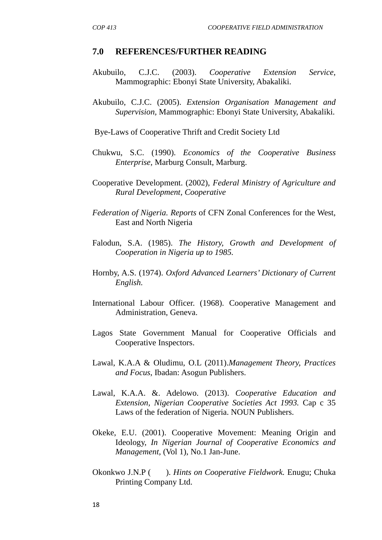#### **7.0 REFERENCES/FURTHER READING**

- Akubuilo, C.J.C. (2003). *Cooperative Extension Service*, Mammographic: Ebonyi State University, Abakaliki.
- Akubuilo, C.J.C. (2005). *Extension Organisation Management and Supervision,* Mammographic: Ebonyi State University, Abakaliki.

Bye-Laws of Cooperative Thrift and Credit Society Ltd

- Chukwu, S.C. (1990). *Economics of the Cooperative Business Enterprise,* Marburg Consult, Marburg.
- Cooperative Development. (2002), *Federal Ministry of Agriculture and Rural Development, Cooperative*
- *Federation of Nigeria. Reports* of CFN Zonal Conferences for the West, East and North Nigeria
- Falodun, S.A. (1985). *The History, Growth and Development of Cooperation in Nigeria up to 1985.*
- Hornby, A.S. (1974). *Oxford Advanced Learners' Dictionary of Current English.*
- International Labour Officer. (1968). Cooperative Management and Administration, Geneva.
- Lagos State Government Manual for Cooperative Officials and Cooperative Inspectors.
- Lawal, K.A.A & Oludimu, O.L (2011).*Management Theory, Practices and Focus*, Ibadan: Asogun Publishers.
- Lawal, K.A.A. &. Adelowo. (2013). *Cooperative Education and Extension, Nigerian Cooperative Societies Act 1993.* Cap c 35 Laws of the federation of Nigeria. NOUN Publishers.
- Okeke, E.U. (2001). Cooperative Movement: Meaning Origin and Ideology, *In Nigerian Journal of Cooperative Economics and Management,* (Vol 1), No.1 Jan-June.
- Okonkwo J.N.P ( ). *Hints on Cooperative Fieldwork.* Enugu; Chuka Printing Company Ltd.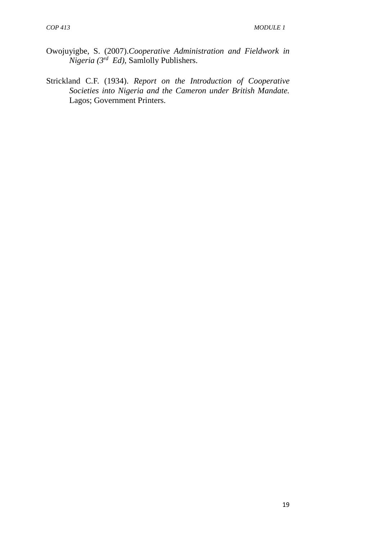- Owojuyigbe, S. (2007).*Cooperative Administration and Fieldwork in Nigeria (3rd Ed)*, Samlolly Publishers.
- Strickland C.F. (1934). *Report on the Introduction of Cooperative Societies into Nigeria and the Cameron under British Mandate.* Lagos; Government Printers.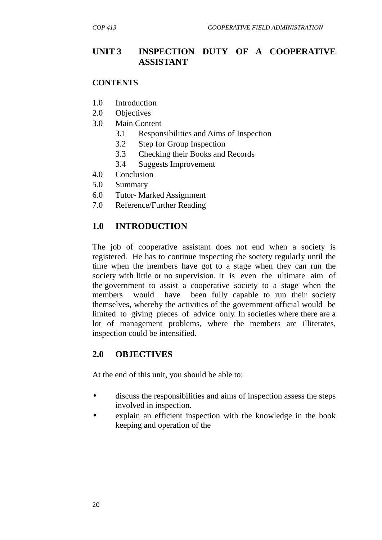# **UNIT 3 INSPECTION DUTY OF A COOPERATIVE ASSISTANT**

#### **CONTENTS**

- 1.0 Introduction
- 2.0 Objectives
- 3.0 Main Content
	- 3.1 Responsibilities and Aims of Inspection
	- 3.2 Step for Group Inspection
	- 3.3 Checking their Books and Records
	- 3.4 Suggests Improvement
- 4.0 Conclusion
- 5.0 Summary
- 6.0 Tutor- Marked Assignment
- 7.0 Reference/Further Reading

#### **1.0 INTRODUCTION**

The job of cooperative assistant does not end when a society is registered. He has to continue inspecting the society regularly until the time when the members have got to a stage when they can run the society with little or no supervision. It is even the ultimate aim of the government to assist a cooperative society to a stage when the members would have been fully capable to run their society themselves, whereby the activities of the government official would be limited to giving pieces of advice only. In societies where there are a lot of management problems, where the members are illiterates, inspection could be intensified.

#### **2.0 OBJECTIVES**

At the end of this unit, you should be able to:

- discuss the responsibilities and aims of inspection assess the steps involved in inspection.
- explain an efficient inspection with the knowledge in the book keeping and operation of the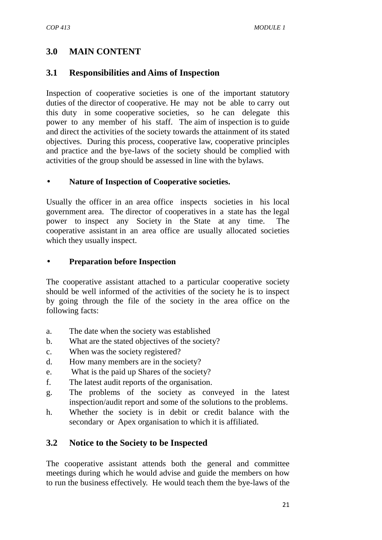# **3.0 MAIN CONTENT**

# **3.1 Responsibilities and Aims of Inspection**

Inspection of cooperative societies is one of the important statutory duties of the director of cooperative. He may not be able to carry out this duty in some cooperative societies, so he can delegate this power to any member of his staff. The aim of inspection is to guide and direct the activities of the society towards the attainment of its stated objectives. During this process, cooperative law, cooperative principles and practice and the bye-laws of the society should be complied with activities of the group should be assessed in line with the bylaws.

#### **Nature of Inspection of Cooperative societies.**

Usually the officer in an area office inspects societies in his local government area. The director of cooperatives in a state has the legal power to inspect any Society in the State at any time. The cooperative assistant in an area office are usually allocated societies which they usually inspect.

#### **Preparation before Inspection**

The cooperative assistant attached to a particular cooperative society should be well informed of the activities of the society he is to inspect by going through the file of the society in the area office on the following facts:

- a. The date when the society was established
- b. What are the stated objectives of the society?
- c. When was the society registered?
- d. How many members are in the society?
- e. What is the paid up Shares of the society?
- f. The latest audit reports of the organisation.
- g. The problems of the society as conveyed in the latest inspection/audit report and some of the solutions to the problems.
- h. Whether the society is in debit or credit balance with the secondary or Apex organisation to which it is affiliated.

# **3.2 Notice to the Society to be Inspected**

The cooperative assistant attends both the general and committee meetings during which he would advise and guide the members on how to run the business effectively. He would teach them the bye-laws of the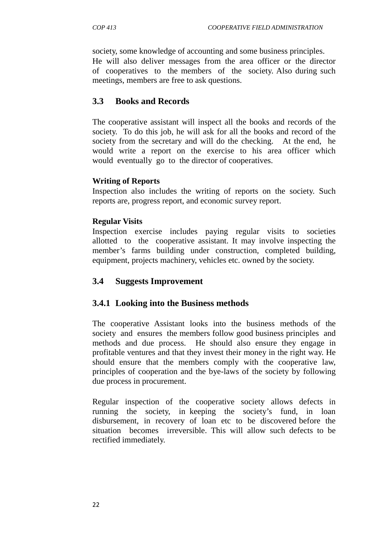society, some knowledge of accounting and some business principles.

He will also deliver messages from the area officer or the director of cooperatives to the members of the society. Also during such meetings, members are free to ask questions.

# **3.3 Books and Records**

The cooperative assistant will inspect all the books and records of the society. To do this job, he will ask for all the books and record of the society from the secretary and will do the checking. At the end, he would write a report on the exercise to his area officer which would eventually go to the director of cooperatives.

#### **Writing of Reports**

Inspection also includes the writing of reports on the society. Such reports are, progress report, and economic survey report.

#### **Regular Visits**

Inspection exercise includes paying regular visits to societies allotted to the cooperative assistant. It may involve inspecting the member's farms building under construction, completed building, equipment, projects machinery, vehicles etc. owned by the society.

## **3.4 Suggests Improvement**

## **3.4.1 Looking into the Business methods**

The cooperative Assistant looks into the business methods of the society and ensures the members follow good business principles and methods and due process. He should also ensure they engage in profitable ventures and that they invest their money in the right way. He should ensure that the members comply with the cooperative law, principles of cooperation and the bye-laws of the society by following due process in procurement.

Regular inspection of the cooperative society allows defects in running the society, in keeping the society's fund, in loan disbursement, in recovery of loan etc to be discovered before the situation becomes irreversible. This will allow such defects to be rectified immediately.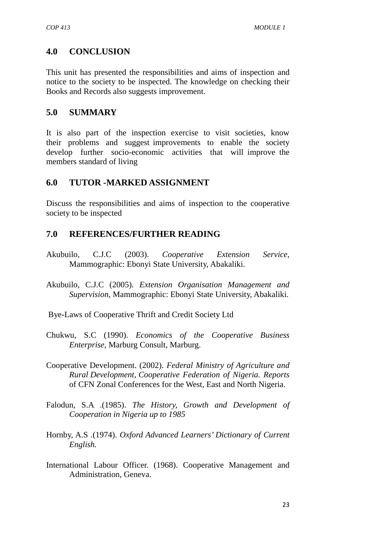# **4.0 CONCLUSION**

This unit has presented the responsibilities and aims of inspection and notice to the society to be inspected. The knowledge on checking their Books and Records also suggests improvement.

## **5.0 SUMMARY**

It is also part of the inspection exercise to visit societies, know their problems and suggest improvements to enable the society develop further socio-economic activities that will improve the members standard of living

# **6.0 TUTOR -MARKED ASSIGNMENT**

Discuss the responsibilities and aims of inspection to the cooperative society to be inspected

# **7.0 REFERENCES/FURTHER READING**

- Akubuilo, C.J.C (2003). *Cooperative Extension Service,* Mammographic: Ebonyi State University, Abakaliki.
- Akubuilo, C.J.C (2005). *Extension Organisation Management and Supervision,* Mammographic: Ebonyi State University, Abakaliki.
- Bye-Laws of Cooperative Thrift and Credit Society Ltd
- Chukwu, S.C (1990). *Economics of the Cooperative Business Enterprise,* Marburg Consult, Marburg.
- Cooperative Development. (2002). *Federal Ministry of Agriculture and Rural Development, Cooperative Federation of Nigeria. Reports* of CFN Zonal Conferences for the West, East and North Nigeria.
- Falodun, S.A .(1985). *The History, Growth and Development of Cooperation in Nigeria up to 1985*
- Hornby, A.S .(1974). *Oxford Advanced Learners' Dictionary of Current English.*
- International Labour Officer. (1968). Cooperative Management and Administration, Geneva.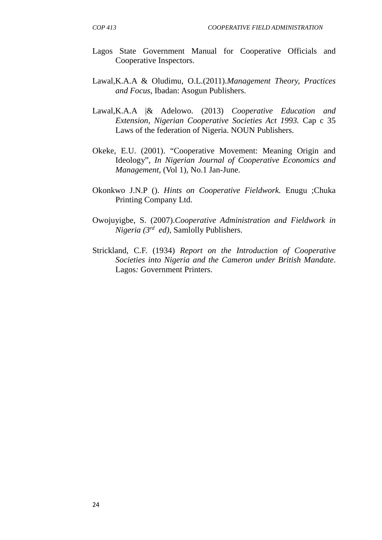- Lagos State Government Manual for Cooperative Officials and Cooperative Inspectors.
- Lawal,K.A.A & Oludimu, O.L.(2011).*Management Theory, Practices and Focus*, Ibadan: Asogun Publishers.
- Lawal,K.A.A |& Adelowo. (2013) *Cooperative Education and Extension, Nigerian Cooperative Societies Act 1993.* Cap c 35 Laws of the federation of Nigeria. NOUN Publishers.
- Okeke, E.U. (2001). "Cooperative Movement: Meaning Origin and Ideology", *In Nigerian Journal of Cooperative Economics and Management,* (Vol 1), No.1 Jan-June.
- Okonkwo J.N.P (). *Hints on Cooperative Fieldwork.* Enugu ;Chuka Printing Company Ltd.
- Owojuyigbe, S. (2007).*Cooperative Administration and Fieldwork in Nigeria (3rd ed)*, Samlolly Publishers.
- Strickland, C.F. (1934) *Report on the Introduction of Cooperative Societies into Nigeria and the Cameron under British Mandate*. Lagos*:* Government Printers.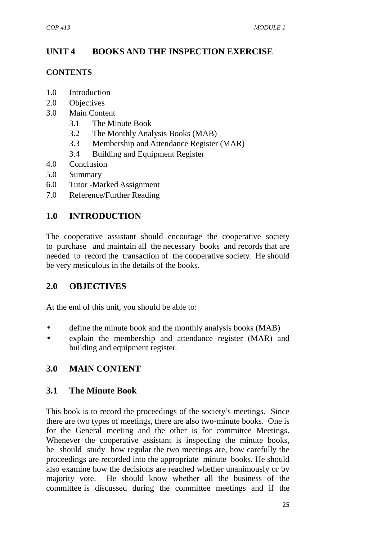# **UNIT 4 BOOKS AND THE INSPECTION EXERCISE**

#### **CONTENTS**

- 1.0 Introduction
- 2.0 Objectives
- 3.0 Main Content
	- 3.1 The Minute Book
	- 3.2 The Monthly Analysis Books (MAB)
	- 3.3 Membership and Attendance Register (MAR)
	- 3.4 Building and Equipment Register
- 4.0 Conclusion
- 5.0 Summary
- 6.0 Tutor -Marked Assignment
- 7.0 Reference/Further Reading

# **1.0 INTRODUCTION**

The cooperative assistant should encourage the cooperative society to purchase and maintain all the necessary books and records that are needed to record the transaction of the cooperative society. He should be very meticulous in the details of the books.

## **2.0 OBJECTIVES**

At the end of this unit, you should be able to:

- define the minute book and the monthly analysis books (MAB)
- explain the membership and attendance register (MAR) and building and equipment register.

# **3.0 MAIN CONTENT**

## **3.1 The Minute Book**

This book is to record the proceedings of the society's meetings. Since there are two types of meetings, there are also two-minute books. One is for the General meeting and the other is for committee Meetings. Whenever the cooperative assistant is inspecting the minute books, he should study how regular the two meetings are, how carefully the proceedings are recorded into the appropriate minute books. He should also examine how the decisions are reached whether unanimously or by majority vote. He should know whether all the business of the committee is discussed during the committee meetings and if the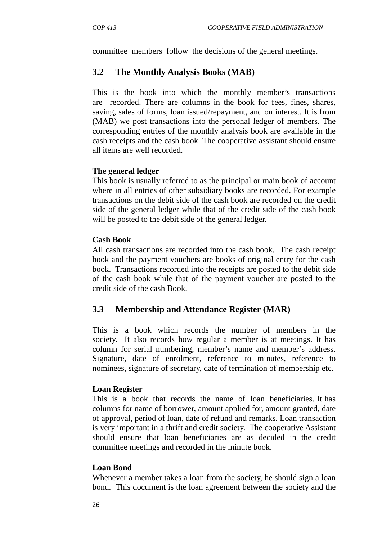committee members follow the decisions of the general meetings.

## **3.2 The Monthly Analysis Books (MAB)**

This is the book into which the monthly member's transactions are recorded. There are columns in the book for fees, fines, shares, saving, sales of forms, loan issued/repayment, and on interest. It is from (MAB) we post transactions into the personal ledger of members. The corresponding entries of the monthly analysis book are available in the cash receipts and the cash book. The cooperative assistant should ensure all items are well recorded.

#### **The general ledger**

This book is usually referred to as the principal or main book of account where in all entries of other subsidiary books are recorded. For example transactions on the debit side of the cash book are recorded on the credit side of the general ledger while that of the credit side of the cash book will be posted to the debit side of the general ledger.

#### **Cash Book**

All cash transactions are recorded into the cash book. The cash receipt book and the payment vouchers are books of original entry for the cash book. Transactions recorded into the receipts are posted to the debit side of the cash book while that of the payment voucher are posted to the credit side of the cash Book.

## **3.3 Membership and Attendance Register (MAR)**

This is a book which records the number of members in the society. It also records how regular a member is at meetings. It has column for serial numbering, member's name and member's address. Signature, date of enrolment, reference to minutes, reference to nominees, signature of secretary, date of termination of membership etc.

#### **Loan Register**

This is a book that records the name of loan beneficiaries. It has columns for name of borrower, amount applied for, amount granted, date of approval, period of loan, date of refund and remarks. Loan transaction is very important in a thrift and credit society. The cooperative Assistant should ensure that loan beneficiaries are as decided in the credit committee meetings and recorded in the minute book.

#### **Loan Bond**

Whenever a member takes a loan from the society, he should sign a loan bond. This document is the loan agreement between the society and the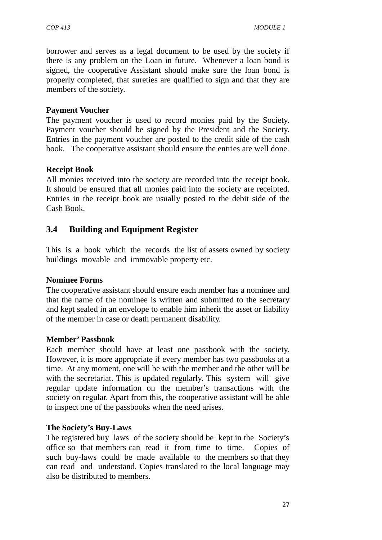borrower and serves as a legal document to be used by the society if there is any problem on the Loan in future. Whenever a loan bond is signed, the cooperative Assistant should make sure the loan bond is properly completed, that sureties are qualified to sign and that they are members of the society.

#### **Payment Voucher**

The payment voucher is used to record monies paid by the Society. Payment voucher should be signed by the President and the Society. Entries in the payment voucher are posted to the credit side of the cash book. The cooperative assistant should ensure the entries are well done.

#### **Receipt Book**

All monies received into the society are recorded into the receipt book. It should be ensured that all monies paid into the society are receipted. Entries in the receipt book are usually posted to the debit side of the Cash Book.

# **3.4 Building and Equipment Register**

This is a book which the records the list of assets owned by society buildings movable and immovable property etc.

#### **Nominee Forms**

The cooperative assistant should ensure each member has a nominee and that the name of the nominee is written and submitted to the secretary and kept sealed in an envelope to enable him inherit the asset or liability of the member in case or death permanent disability.

#### **Member' Passbook**

Each member should have at least one passbook with the society. However, it is more appropriate if every member has two passbooks at a time. At any moment, one will be with the member and the other will be with the secretariat. This is updated regularly. This system will give regular update information on the member's transactions with the society on regular. Apart from this, the cooperative assistant will be able to inspect one of the passbooks when the need arises.

#### **The Society's Buy-Laws**

The registered buy laws of the society should be kept in the Society's office so that members can read it from time to time. Copies of such buy-laws could be made available to the members so that they can read and understand. Copies translated to the local language may also be distributed to members.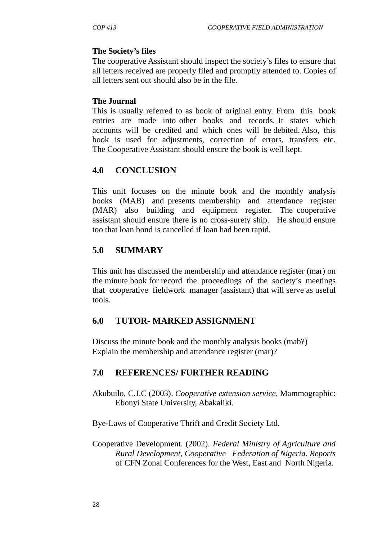#### **The Society's files**

The cooperative Assistant should inspect the society's files to ensure that all letters received are properly filed and promptly attended to. Copies of all letters sent out should also be in the file.

#### **The Journal**

This is usually referred to as book of original entry. From this book entries are made into other books and records. It states which accounts will be credited and which ones will be debited. Also, this book is used for adjustments, correction of errors, transfers etc. The Cooperative Assistant should ensure the book is well kept.

# **4.0 CONCLUSION**

This unit focuses on the minute book and the monthly analysis books (MAB) and presents membership and attendance register (MAR) also building and equipment register. The cooperative assistant should ensure there is no cross-surety ship. He should ensure too that loan bond is cancelled if loan had been rapid.

# **5.0 SUMMARY**

This unit has discussed the membership and attendance register (mar) on the minute book for record the proceedings of the society's meetings that cooperative fieldwork manager (assistant) that will serve as useful tools.

## **6.0 TUTOR- MARKED ASSIGNMENT**

Discuss the minute book and the monthly analysis books (mab?) Explain the membership and attendance register (mar)?

# **7.0 REFERENCES/ FURTHER READING**

Akubuilo, C.J.C (2003). *Cooperative extension service,* Mammographic: Ebonyi State University, Abakaliki.

Bye-Laws of Cooperative Thrift and Credit Society Ltd.

Cooperative Development. (2002). *Federal Ministry of Agriculture and Rural Development, Cooperative Federation of Nigeria. Reports* of CFN Zonal Conferences for the West, East and North Nigeria.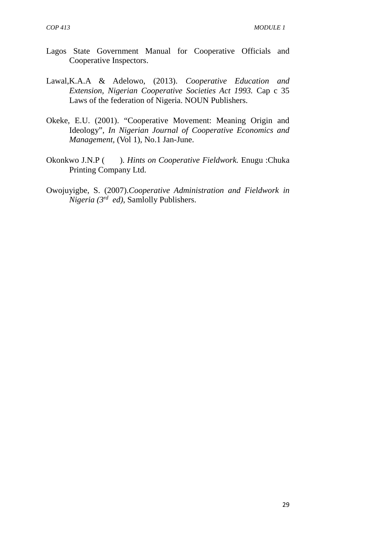- Lagos State Government Manual for Cooperative Officials and Cooperative Inspectors.
- Lawal,K.A.A & Adelowo, (2013). *Cooperative Education and Extension, Nigerian Cooperative Societies Act 1993.* Cap c 35 Laws of the federation of Nigeria. NOUN Publishers.
- Okeke, E.U. (2001). "Cooperative Movement: Meaning Origin and Ideology", *In Nigerian Journal of Cooperative Economics and Management,* (Vol 1), No.1 Jan-June.
- Okonkwo J.N.P ( ). *Hints on Cooperative Fieldwork.* Enugu :Chuka Printing Company Ltd.
- Owojuyigbe, S. (2007).*Cooperative Administration and Fieldwork in Nigeria (3rd ed)*, Samlolly Publishers.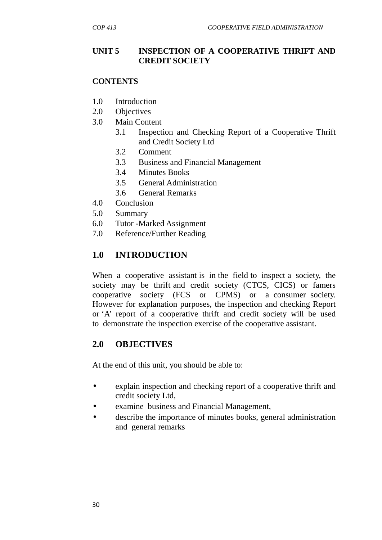### **UNIT 5 INSPECTION OF A COOPERATIVE THRIFT AND CREDIT SOCIETY**

#### **CONTENTS**

- 1.0 Introduction
- 2.0 Objectives
- 3.0 Main Content
	- 3.1 Inspection and Checking Report of a Cooperative Thrift and Credit Society Ltd
	- 3.2 Comment
	- 3.3 Business and Financial Management
	- 3.4 Minutes Books
	- 3.5 General Administration
	- 3.6 General Remarks
- 4.0 Conclusion
- 5.0 Summary
- 6.0 Tutor -Marked Assignment
- 7.0 Reference/Further Reading

## **1.0 INTRODUCTION**

When a cooperative assistant is in the field to inspect a society, the society may be thrift and credit society (CTCS, CICS) or famers cooperative society (FCS or CPMS) or a consumer society. However for explanation purposes, the inspection and checking Report or 'A' report of a cooperative thrift and credit society will be used to demonstrate the inspection exercise of the cooperative assistant.

### **2.0 OBJECTIVES**

At the end of this unit, you should be able to:

- explain inspection and checking report of a cooperative thrift and credit society Ltd,
- examine business and Financial Management,
- describe the importance of minutes books, general administration and general remarks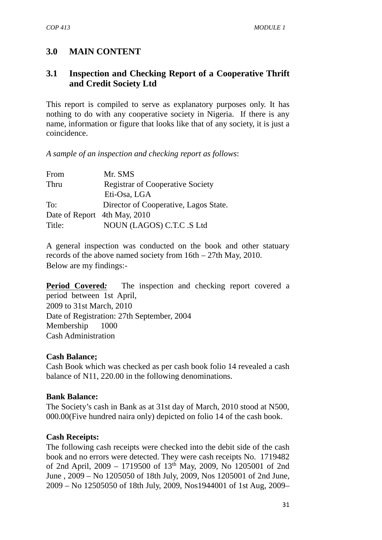### **3.0 MAIN CONTENT**

### **3.1 Inspection and Checking Report of a Cooperative Thrift and Credit Society Ltd**

This report is compiled to serve as explanatory purposes only. It has nothing to do with any cooperative society in Nigeria. If there is any name, information or figure that looks like that of any society, it is just a coincidence.

*A sample of an inspection and checking report as follows*:

| From                         | Mr. SMS                                 |
|------------------------------|-----------------------------------------|
| Thru                         | <b>Registrar of Cooperative Society</b> |
|                              | Eti-Osa, LGA                            |
| To:                          | Director of Cooperative, Lagos State.   |
| Date of Report 4th May, 2010 |                                         |
| Title:                       | NOUN (LAGOS) C.T.C .S Ltd               |

A general inspection was conducted on the book and other statuary records of the above named society from 16th – 27th May, 2010. Below are my findings:-

**Period Covered:** The inspection and checking report covered a period between 1st April, 2009 to 31st March, 2010 Date of Registration: 27th September, 2004 Membership 1000 Cash Administration

#### **Cash Balance;**

Cash Book which was checked as per cash book folio 14 revealed a cash balance of N11, 220.00 in the following denominations.

#### **Bank Balance:**

The Society's cash in Bank as at 31st day of March, 2010 stood at N500, 000.00(Five hundred naira only) depicted on folio 14 of the cash book.

#### **Cash Receipts:**

The following cash receipts were checked into the debit side of the cash book and no errors were detected. They were cash receipts No. 1719482 of 2nd April, 2009 – 1719500 of 13th May, 2009, No 1205001 of 2nd June , 2009 – No 1205050 of 18th July, 2009, Nos 1205001 of 2nd June, 2009 – No 12505050 of 18th July, 2009, Nos1944001 of 1st Aug, 2009–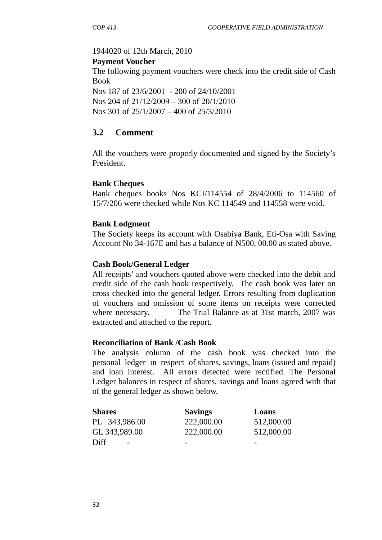## 1944020 of 12th March, 2010

#### **Payment Voucher**

The following payment vouchers were check into the credit side of Cash Book

Nos 187 of 23/6/2001 - 200 of 24/10/2001 Nos 204 of 21/12/2009 – 300 of 20/1/2010 Nos 301 of 25/1/2007 – 400 of 25/3/2010

## **3.2 Comment**

All the vouchers were properly documented and signed by the Society's President.

### **Bank Cheques**

Bank cheques books Nos KCI/114554 of 28/4/2006 to 114560 of 15/7/206 were checked while Nos KC 114549 and 114558 were void.

### **Bank Lodgment**

The Society keeps its account with Osabiya Bank, Eti-Osa with Saving Account No 34-167E and has a balance of N500, 00.00 as stated above.

### **Cash Book/General Ledger**

All receipts' and vouchers quoted above were checked into the debit and credit side of the cash book respectively. The cash book was later on cross checked into the general ledger. Errors resulting from duplication of vouchers and omission of some items on receipts were corrected where necessary. The Trial Balance as at 31st march, 2007 was extracted and attached to the report.

### **Reconciliation of Bank /Cash Book**

The analysis column of the cash book was checked into the personal ledger in respect of shares, savings, loans (issued and repaid) and loan interest. All errors detected were rectified. The Personal Ledger balances in respect of shares, savings and loans agreed with that of the general ledger as shown below.

| <b>Shares</b>                    | <b>Savings</b> | Loans      |
|----------------------------------|----------------|------------|
| PL 343,986.00                    | 222,000.00     | 512,000.00 |
| GL 343,989.00                    | 222,000.00     | 512,000.00 |
| Diff<br>$\overline{\phantom{0}}$ | -              | -          |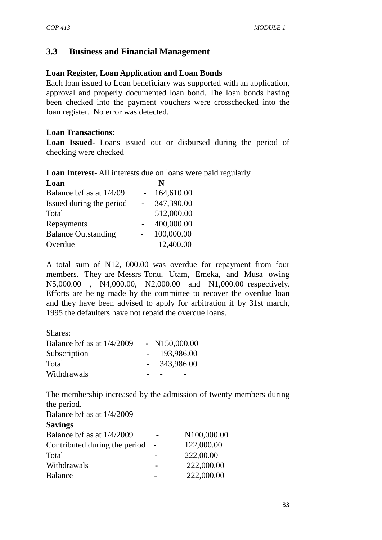## **3.3 Business and Financial Management**

#### **Loan Register, Loan Application and Loan Bonds**

Each loan issued to Loan beneficiary was supported with an application, approval and properly documented loan bond. The loan bonds having been checked into the payment vouchers were crosschecked into the loan register. No error was detected.

#### **Loan Transactions:**

**Loan Issued**- Loans issued out or disbursed during the period of checking were checked

**Loan Interest**- All interests due on loans were paid regularly

| N          |
|------------|
| 164,610.00 |
| 347,390.00 |
| 512,000.00 |
| 400,000.00 |
| 100,000.00 |
| 12,400.00  |
|            |

A total sum of N12, 000.00 was overdue for repayment from four members. They are Messrs Tonu, Utam, Emeka, and Musa owing N5,000.00 , N4,000.00, N2,000.00 and N1,000.00 respectively. Efforts are being made by the committee to recover the overdue loan and they have been advised to apply for arbitration if by 31st march, 1995 the defaulters have not repaid the overdue loans.

Shares:

| Balance $b/f$ as at $1/4/2009$ | $- N150,000.00$ |
|--------------------------------|-----------------|
| Subscription                   | $-193,986.00$   |
| Total                          | 343,986.00      |
| Withdrawals                    |                 |

The membership increased by the admission of twenty members during the period.

Balance b/f as at 1/4/2009

#### **Savings**

| N100,000.00 |
|-------------|
| 122,000.00  |
| 222,00.00   |
| 222,000.00  |
| 222,000.00  |
|             |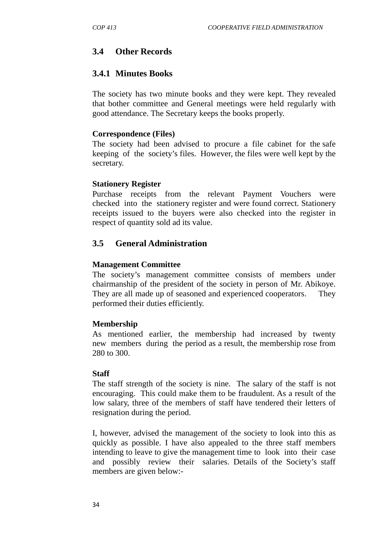## **3.4 Other Records**

## **3.4.1 Minutes Books**

The society has two minute books and they were kept. They revealed that bother committee and General meetings were held regularly with good attendance. The Secretary keeps the books properly.

### **Correspondence (Files)**

The society had been advised to procure a file cabinet for the safe keeping of the society's files. However, the files were well kept by the secretary.

### **Stationery Register**

Purchase receipts from the relevant Payment Vouchers were checked into the stationery register and were found correct. Stationery receipts issued to the buyers were also checked into the register in respect of quantity sold ad its value.

# **3.5 General Administration**

### **Management Committee**

The society's management committee consists of members under chairmanship of the president of the society in person of Mr. Abikoye. They are all made up of seasoned and experienced cooperators. They performed their duties efficiently.

### **Membership**

As mentioned earlier, the membership had increased by twenty new members during the period as a result, the membership rose from 280 to 300.

### **Staff**

The staff strength of the society is nine. The salary of the staff is not encouraging. This could make them to be fraudulent. As a result of the low salary, three of the members of staff have tendered their letters of resignation during the period.

I, however, advised the management of the society to look into this as quickly as possible. I have also appealed to the three staff members intending to leave to give the management time to look into their case and possibly review their salaries. Details of the Society's staff members are given below:-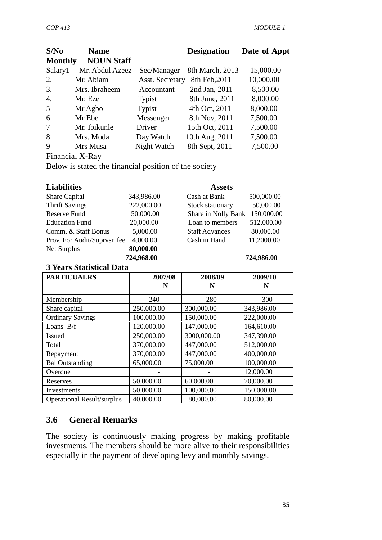| S/No           | <b>Name</b>                   |                        | <b>Designation</b> | Date of Appt |
|----------------|-------------------------------|------------------------|--------------------|--------------|
| <b>Monthly</b> | <b>NOUN Staff</b>             |                        |                    |              |
| Salary1        | Mr. Abdul Azeez               | Sec/Manager            | 8th March, 2013    | 15,000.00    |
| 2.             | Mr. Abiam                     | <b>Asst. Secretary</b> | 8th Feb, 2011      | 10,000.00    |
| 3.             | Mrs. Ibraheem                 | Accountant             | 2nd Jan, 2011      | 8,500.00     |
| 4.             | Mr. Eze                       | Typist                 | 8th June, 2011     | 8,000.00     |
| 5              | Mr Agbo                       | Typist                 | 4th Oct, 2011      | 8,000.00     |
| 6              | Mr Ebe                        | Messenger              | 8th Nov, 2011      | 7,500.00     |
| 7              | Mr. Ibikunle                  | Driver                 | 15th Oct, 2011     | 7,500.00     |
| 8              | Mrs. Moda                     | Day Watch              | 10th Aug, 2011     | 7,500.00     |
| 9              | Mrs Musa                      | Night Watch            | 8th Sept, 2011     | 7,500.00     |
|                | $\Gamma'$ '1 $\overline{V}$ n |                        |                    |              |

Financial X-Ray

Below is stated the financial position of the society

| <b>Liabilities</b>          |            | <b>Assets</b>         |            |
|-----------------------------|------------|-----------------------|------------|
| Share Capital               | 343,986.00 | Cash at Bank          | 500,000.00 |
| <b>Thrift Savings</b>       | 222,000.00 | Stock stationary      | 50,000.00  |
| Reserve Fund                | 50,000.00  | Share in Nolly Bank   | 150,000.00 |
| <b>Education Fund</b>       | 20,000.00  | Loan to members       | 512,000.00 |
| Comm. & Staff Bonus         | 5,000.00   | <b>Staff Advances</b> | 80,000.00  |
| Prov. For Audit/Suprysn fee | 4,000.00   | Cash in Hand          | 11,2000.00 |
| Net Surplus                 | 80,000.00  |                       |            |
|                             | 724,968.00 |                       | 724,986.00 |

### **3 Years Statistical Data**

| <b>PARTICUALRS</b>                | 2007/08    | 2008/09     | 2009/10    |
|-----------------------------------|------------|-------------|------------|
|                                   | N          | N           | N          |
| Membership                        | 240        | 280         | 300        |
| Share capital                     | 250,000.00 | 300,000.00  | 343,986.00 |
| <b>Ordinary Savings</b>           | 100,000.00 | 150,000.00  | 222,000.00 |
| Loans B/f                         | 120,000.00 | 147,000.00  | 164,610.00 |
| <b>Issued</b>                     | 250,000.00 | 3000,000.00 | 347,390.00 |
| Total                             | 370,000.00 | 447,000.00  | 512,000.00 |
| Repayment                         | 370,000.00 | 447,000.00  | 400,000.00 |
| <b>Bal Outstanding</b>            | 65,000.00  | 75,000.00   | 100,000.00 |
| Overdue                           |            |             | 12,000.00  |
| Reserves                          | 50,000.00  | 60,000.00   | 70,000.00  |
| Investments                       | 50,000.00  | 100,000.00  | 150,000.00 |
| <b>Operational Result/surplus</b> | 40,000.00  | 80,000.00   | 80,000.00  |

## **3.6 General Remarks**

The society is continuously making progress by making profitable investments. The members should be more alive to their responsibilities especially in the payment of developing levy and monthly savings.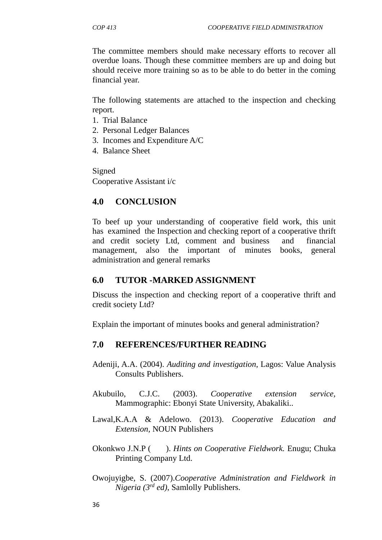The committee members should make necessary efforts to recover all overdue loans. Though these committee members are up and doing but should receive more training so as to be able to do better in the coming financial year.

The following statements are attached to the inspection and checking report.

- 1. Trial Balance
- 2. Personal Ledger Balances
- 3. Incomes and Expenditure A/C
- 4. Balance Sheet

Signed Cooperative Assistant i/c

## **4.0 CONCLUSION**

To beef up your understanding of cooperative field work, this unit has examined the Inspection and checking report of a cooperative thrift and credit society Ltd, comment and business and financial management, also the important of minutes books, general administration and general remarks

### **6.0 TUTOR -MARKED ASSIGNMENT**

Discuss the inspection and checking report of a cooperative thrift and credit society Ltd?

Explain the important of minutes books and general administration?

# **7.0 REFERENCES/FURTHER READING**

- Adeniji, A.A. (2004). *Auditing and investigation*, Lagos: Value Analysis Consults Publishers.
- Akubuilo, C.J.C. (2003). *Cooperative extension service,* Mammographic: Ebonyi State University, Abakaliki..
- Lawal,K.A.A & Adelowo. (2013). *Cooperative Education and Extension,* NOUN Publishers
- Okonkwo J.N.P ( ). *Hints on Cooperative Fieldwork.* Enugu; Chuka Printing Company Ltd.
- Owojuyigbe, S. (2007).*Cooperative Administration and Fieldwork in Nigeria (3rd ed)*, Samlolly Publishers.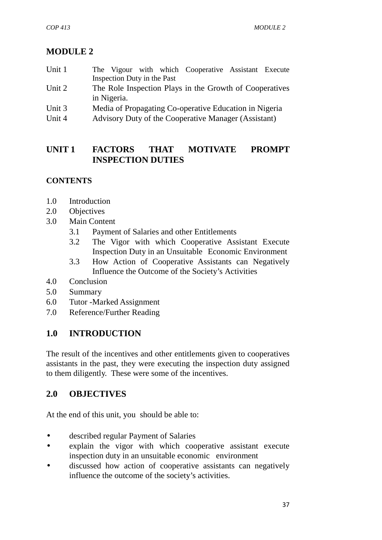# **MODULE 2**

- Unit 1 The Vigour with which Cooperative Assistant Execute Inspection Duty in the Past
- Unit 2 The Role Inspection Plays in the Growth of Cooperatives in Nigeria.
- Unit 3 Media of Propagating Co-operative Education in Nigeria
- Unit 4 Advisory Duty of the Cooperative Manager (Assistant)

# **UNIT 1 FACTORS THAT MOTIVATE PROMPT INSPECTION DUTIES**

# **CONTENTS**

- 1.0 Introduction
- 2.0 Objectives
- 3.0 Main Content
	- 3.1 Payment of Salaries and other Entitlements
	- 3.2 The Vigor with which Cooperative Assistant Execute Inspection Duty in an Unsuitable Economic Environment
	- 3.3 How Action of Cooperative Assistants can Negatively Influence the Outcome of the Society's Activities
- 4.0 Conclusion
- 5.0 Summary
- 6.0 Tutor -Marked Assignment
- 7.0 Reference/Further Reading

# **1.0 INTRODUCTION**

The result of the incentives and other entitlements given to cooperatives assistants in the past, they were executing the inspection duty assigned to them diligently. These were some of the incentives.

# **2.0 OBJECTIVES**

At the end of this unit, you should be able to:

- described regular Payment of Salaries
- explain the vigor with which cooperative assistant execute inspection duty in an unsuitable economic environment
- discussed how action of cooperative assistants can negatively influence the outcome of the society's activities.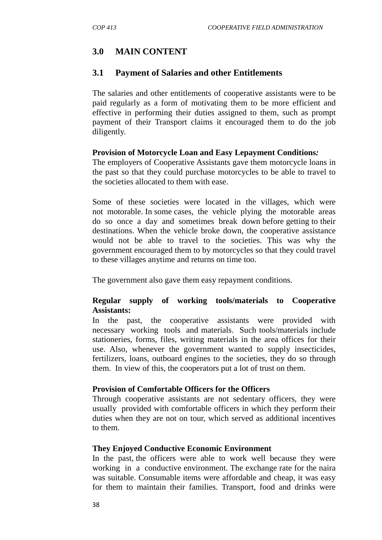## **3.0 MAIN CONTENT**

#### **3.1 Payment of Salaries and other Entitlements**

The salaries and other entitlements of cooperative assistants were to be paid regularly as a form of motivating them to be more efficient and effective in performing their duties assigned to them, such as prompt payment of their Transport claims it encouraged them to do the job diligently.

#### **Provision of Motorcycle Loan and Easy Lepayment Conditions***:*

The employers of Cooperative Assistants gave them motorcycle loans in the past so that they could purchase motorcycles to be able to travel to the societies allocated to them with ease.

Some of these societies were located in the villages, which were not motorable. In some cases, the vehicle plying the motorable areas do so once a day and sometimes break down before getting to their destinations. When the vehicle broke down, the cooperative assistance would not be able to travel to the societies. This was why the government encouraged them to by motorcycles so that they could travel to these villages anytime and returns on time too.

The government also gave them easy repayment conditions.

#### **Regular supply of working tools/materials to Cooperative Assistants:**

In the past, the cooperative assistants were provided with necessary working tools and materials. Such tools/materials include stationeries, forms, files, writing materials in the area offices for their use. Also, whenever the government wanted to supply insecticides, fertilizers, loans, outboard engines to the societies, they do so through them. In view of this, the cooperators put a lot of trust on them.

#### **Provision of Comfortable Officers for the Officers**

Through cooperative assistants are not sedentary officers, they were usually provided with comfortable officers in which they perform their duties when they are not on tour, which served as additional incentives to them.

#### **They Enjoyed Conductive Economic Environment**

In the past, the officers were able to work well because they were working in a conductive environment. The exchange rate for the naira was suitable. Consumable items were affordable and cheap, it was easy for them to maintain their families. Transport, food and drinks were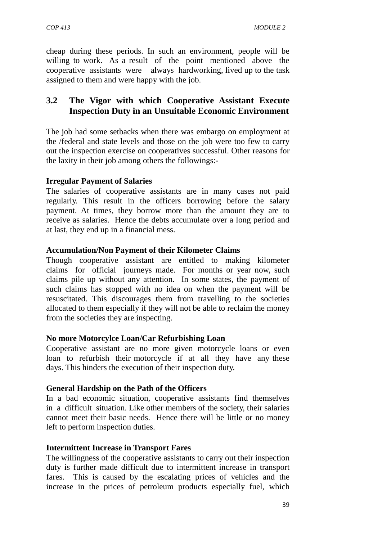cheap during these periods. In such an environment, people will be willing to work. As a result of the point mentioned above the cooperative assistants were always hardworking, lived up to the task assigned to them and were happy with the job.

## **3.2 The Vigor with which Cooperative Assistant Execute Inspection Duty in an Unsuitable Economic Environment**

The job had some setbacks when there was embargo on employment at the /federal and state levels and those on the job were too few to carry out the inspection exercise on cooperatives successful. Other reasons for the laxity in their job among others the followings:-

### **Irregular Payment of Salaries**

The salaries of cooperative assistants are in many cases not paid regularly. This result in the officers borrowing before the salary payment. At times, they borrow more than the amount they are to receive as salaries. Hence the debts accumulate over a long period and at last, they end up in a financial mess.

### **Accumulation/Non Payment of their Kilometer Claims**

Though cooperative assistant are entitled to making kilometer claims for official journeys made. For months or year now, such claims pile up without any attention. In some states, the payment of such claims has stopped with no idea on when the payment will be resuscitated. This discourages them from travelling to the societies allocated to them especially if they will not be able to reclaim the money from the societies they are inspecting.

### **No more Motorcylce Loan/Car Refurbishing Loan**

Cooperative assistant are no more given motorcycle loans or even loan to refurbish their motorcycle if at all they have any these days. This hinders the execution of their inspection duty.

### **General Hardship on the Path of the Officers**

In a bad economic situation, cooperative assistants find themselves in a difficult situation. Like other members of the society, their salaries cannot meet their basic needs. Hence there will be little or no money left to perform inspection duties.

### **Intermittent Increase in Transport Fares**

The willingness of the cooperative assistants to carry out their inspection duty is further made difficult due to intermittent increase in transport fares. This is caused by the escalating prices of vehicles and the increase in the prices of petroleum products especially fuel, which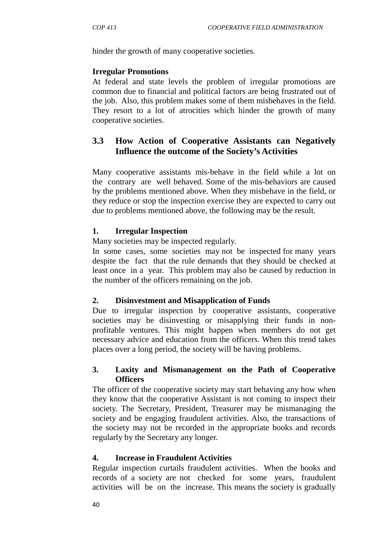hinder the growth of many cooperative societies.

#### **Irregular Promotions**

At federal and state levels the problem of irregular promotions are common due to financial and political factors are being frustrated out of the job. Also, this problem makes some of them misbehaves in the field. They resort to a lot of atrocities which hinder the growth of many cooperative societies.

## **3.3 How Action of Cooperative Assistants can Negatively Influence the outcome of the Society's Activities**

Many cooperative assistants mis-behave in the field while a lot on the contrary are well behaved. Some of the mis-behaviors are caused by the problems mentioned above. When they misbehave in the field, or they reduce or stop the inspection exercise they are expected to carry out due to problems mentioned above, the following may be the result.

### **1. Irregular Inspection**

Many societies may be inspected regularly.

In some cases, some societies may not be inspected for many years despite the fact that the rule demands that they should be checked at least once in a year. This problem may also be caused by reduction in the number of the officers remaining on the job.

### **2. Disinvestment and Misapplication of Funds**

Due to irregular inspection by cooperative assistants, cooperative societies may be disinvesting or misapplying their funds in non profitable ventures. This might happen when members do not get necessary advice and education from the officers. When this trend takes places over a long period, the society will be having problems.

### **3. Laxity and Mismanagement on the Path of Cooperative Officers**

The officer of the cooperative society may start behaving any how when they know that the cooperative Assistant is not coming to inspect their society. The Secretary, President, Treasurer may be mismanaging the society and be engaging fraudulent activities. Also, the transactions of the society may not be recorded in the appropriate books and records regularly by the Secretary any longer.

### **4. Increase in Fraudulent Activities**

Regular inspection curtails fraudulent activities. When the books and records of a society are not checked for some years, fraudulent activities will be on the increase. This means the society is gradually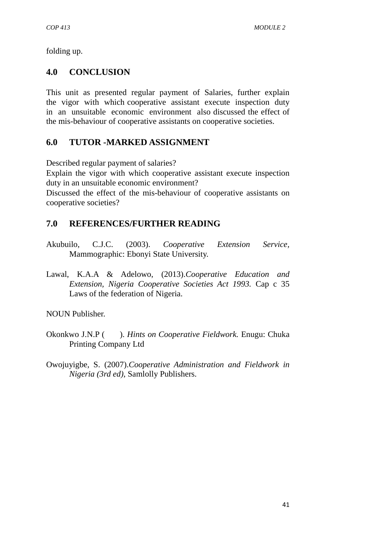folding up.

## **4.0 CONCLUSION**

This unit as presented regular payment of Salaries, further explain the vigor with which cooperative assistant execute inspection duty in an unsuitable economic environment also discussed the effect of the mis-behaviour of cooperative assistants on cooperative societies.

# **6.0 TUTOR -MARKED ASSIGNMENT**

Described regular payment of salaries?

Explain the vigor with which cooperative assistant execute inspection duty in an unsuitable economic environment?

Discussed the effect of the mis-behaviour of cooperative assistants on cooperative societies?

# **7.0 REFERENCES/FURTHER READING**

- Akubuilo, C.J.C. (2003). *Cooperative Extension Service,* Mammographic: Ebonyi State University.
- Lawal, K.A.A & Adelowo, (2013).*Cooperative Education and Extension, Nigeria Cooperative Societies Act 1993.* Cap c 35 Laws of the federation of Nigeria.

NOUN Publisher.

- Okonkwo J.N.P ( ). *Hints on Cooperative Fieldwork.* Enugu: Chuka Printing Company Ltd
- Owojuyigbe, S. (2007).*Cooperative Administration and Fieldwork in Nigeria (3rd ed)*, Samlolly Publishers.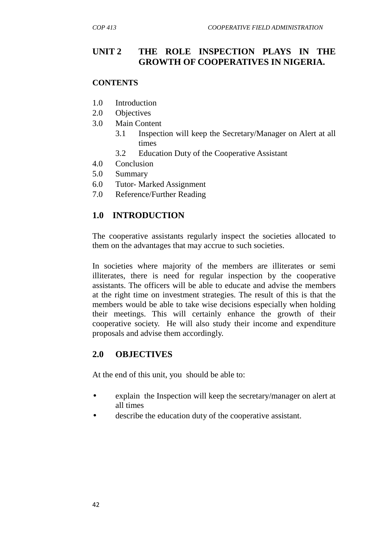# **UNIT 2 THE ROLE INSPECTION PLAYS IN THE GROWTH OF COOPERATIVES IN NIGERIA.**

#### **CONTENTS**

- 1.0 Introduction
- 2.0 Objectives
- 3.0 Main Content
	- 3.1 Inspection will keep the Secretary/Manager on Alert at all times
	- 3.2 Education Duty of the Cooperative Assistant
- 4.0 Conclusion
- 5.0 Summary
- 6.0 Tutor- Marked Assignment
- 7.0 Reference/Further Reading

### **1.0 INTRODUCTION**

The cooperative assistants regularly inspect the societies allocated to them on the advantages that may accrue to such societies.

In societies where majority of the members are illiterates or semi illiterates, there is need for regular inspection by the cooperative assistants. The officers will be able to educate and advise the members at the right time on investment strategies. The result of this is that the members would be able to take wise decisions especially when holding their meetings. This will certainly enhance the growth of their cooperative society. He will also study their income and expenditure proposals and advise them accordingly.

### **2.0 OBJECTIVES**

At the end of this unit, you should be able to:

- explain the Inspection will keep the secretary/manager on alert at all times
- describe the education duty of the cooperative assistant.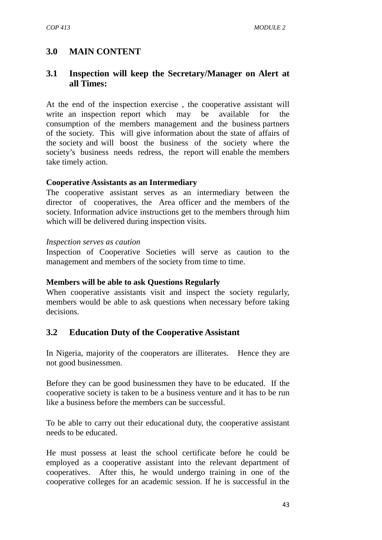### **3.0 MAIN CONTENT**

### **3.1 Inspection will keep the Secretary/Manager on Alert at all Times:**

At the end of the inspection exercise , the cooperative assistant will write an inspection report which may be available for the consumption of the members management and the business partners of the society. This will give information about the state of affairs of the society and will boost the business of the society where the society's business needs redress, the report will enable the members take timely action.

#### **Cooperative Assistants as an Intermediary**

The cooperative assistant serves as an intermediary between the director of cooperatives, the Area officer and the members of the society. Information advice instructions get to the members through him which will be delivered during inspection visits.

#### *Inspection serves as caution*

Inspection of Cooperative Societies will serve as caution to the management and members of the society from time to time.

#### **Members will be able to ask Questions Regularly**

When cooperative assistants visit and inspect the society regularly, members would be able to ask questions when necessary before taking decisions.

### **3.2 Education Duty of the Cooperative Assistant**

In Nigeria, majority of the cooperators are illiterates. Hence they are not good businessmen.

Before they can be good businessmen they have to be educated. If the cooperative society is taken to be a business venture and it has to be run like a business before the members can be successful.

To be able to carry out their educational duty, the cooperative assistant needs to be educated.

He must possess at least the school certificate before he could be employed as a cooperative assistant into the relevant department of cooperatives. After this, he would undergo training in one of the cooperative colleges for an academic session. If he is successful in the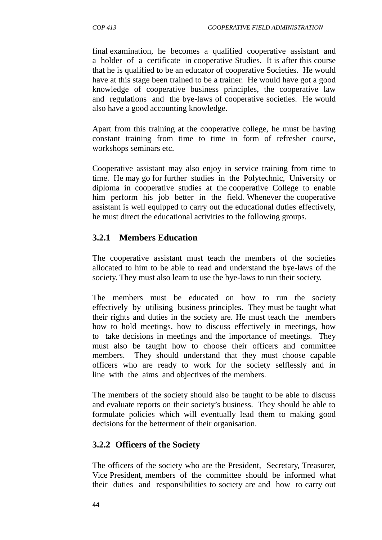final examination, he becomes a qualified cooperative assistant and a holder of a certificate in cooperative Studies. It is after this course that he is qualified to be an educator of cooperative Societies. He would have at this stage been trained to be a trainer. He would have got a good knowledge of cooperative business principles, the cooperative law and regulations and the bye-laws of cooperative societies. He would also have a good accounting knowledge.

Apart from this training at the cooperative college, he must be having constant training from time to time in form of refresher course, workshops seminars etc.

Cooperative assistant may also enjoy in service training from time to time. He may go for further studies in the Polytechnic, University or diploma in cooperative studies at the cooperative College to enable him perform his job better in the field. Whenever the cooperative assistant is well equipped to carry out the educational duties effectively, he must direct the educational activities to the following groups.

### **3.2.1 Members Education**

The cooperative assistant must teach the members of the societies allocated to him to be able to read and understand the bye-laws of the society. They must also learn to use the bye-laws to run their society.

The members must be educated on how to run the society effectively by utilising business principles. They must be taught what their rights and duties in the society are. He must teach the members how to hold meetings, how to discuss effectively in meetings, how to take decisions in meetings and the importance of meetings. They must also be taught how to choose their officers and committee members. They should understand that they must choose capable officers who are ready to work for the society selflessly and in line with the aims and objectives of the members.

The members of the society should also be taught to be able to discuss and evaluate reports on their society's business. They should be able to formulate policies which will eventually lead them to making good decisions for the betterment of their organisation.

### **3.2.2 Officers of the Society**

The officers of the society who are the President, Secretary, Treasurer, Vice President, members of the committee should be informed what their duties and responsibilities to society are and how to carry out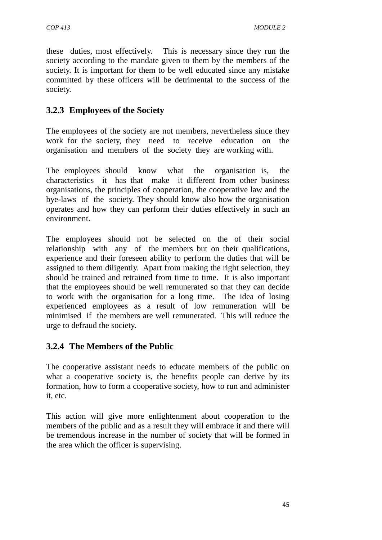these duties, most effectively. This is necessary since they run the society according to the mandate given to them by the members of the society. It is important for them to be well educated since any mistake committed by these officers will be detrimental to the success of the society.

## **3.2.3 Employees of the Society**

The employees of the society are not members, nevertheless since they work for the society, they need to receive education on the organisation and members of the society they are working with.

The employees should know what the organisation is, the characteristics it has that make it different from other business organisations, the principles of cooperation, the cooperative law and the bye-laws of the society. They should know also how the organisation operates and how they can perform their duties effectively in such an environment.

The employees should not be selected on the of their social relationship with any of the members but on their qualifications, experience and their foreseen ability to perform the duties that will be assigned to them diligently. Apart from making the right selection, they should be trained and retrained from time to time. It is also important that the employees should be well remunerated so that they can decide to work with the organisation for a long time. The idea of losing experienced employees as a result of low remuneration will be minimised if the members are well remunerated. This will reduce the urge to defraud the society.

# **3.2.4 The Members of the Public**

The cooperative assistant needs to educate members of the public on what a cooperative society is, the benefits people can derive by its formation, how to form a cooperative society, how to run and administer it, etc.

This action will give more enlightenment about cooperation to the members of the public and as a result they will embrace it and there will be tremendous increase in the number of society that will be formed in the area which the officer is supervising.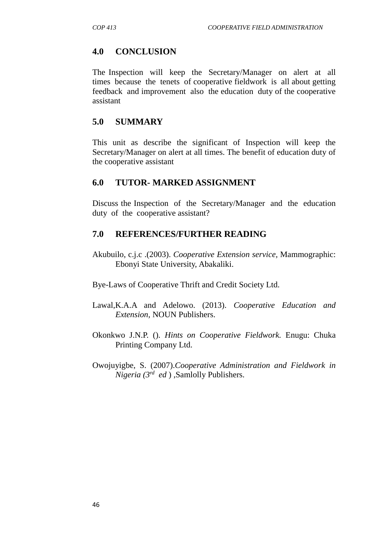### **4.0 CONCLUSION**

The Inspection will keep the Secretary/Manager on alert at all times because the tenets of cooperative fieldwork is all about getting feedback and improvement also the education duty of the cooperative assistant

### **5.0 SUMMARY**

This unit as describe the significant of Inspection will keep the Secretary/Manager on alert at all times. The benefit of education duty of the cooperative assistant

### **6.0 TUTOR- MARKED ASSIGNMENT**

Discuss the Inspection of the Secretary/Manager and the education duty of the cooperative assistant?

### **7.0 REFERENCES/FURTHER READING**

Akubuilo, c.j.c .(2003). *Cooperative Extension service,* Mammographic: Ebonyi State University, Abakaliki.

Bye-Laws of Cooperative Thrift and Credit Society Ltd.

- Lawal,K.A.A and Adelowo. (2013). *Cooperative Education and Extension,* NOUN Publishers.
- Okonkwo J.N.P. (). *Hints on Cooperative Fieldwork.* Enugu: Chuka Printing Company Ltd.
- Owojuyigbe, S. (2007).*Cooperative Administration and Fieldwork in Nigeria (3rd ed* ) ,Samlolly Publishers.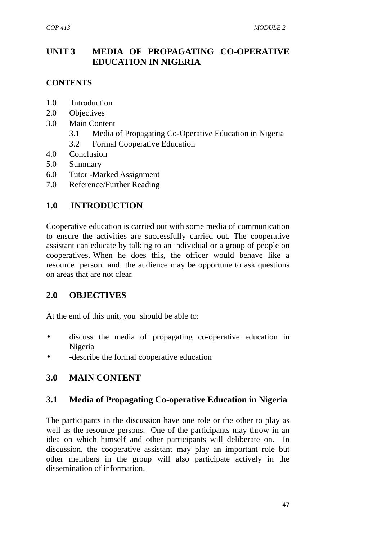# **UNIT 3 MEDIA OF PROPAGATING CO-OPERATIVE EDUCATION IN NIGERIA**

### **CONTENTS**

- 1.0 Introduction
- 2.0 Objectives
- 3.0 Main Content
	- 3.1 Media of Propagating Co-Operative Education in Nigeria
	- 3.2 Formal Cooperative Education
- 4.0 Conclusion
- 5.0 Summary
- 6.0 Tutor -Marked Assignment
- 7.0 Reference/Further Reading

### **1.0 INTRODUCTION**

Cooperative education is carried out with some media of communication to ensure the activities are successfully carried out. The cooperative assistant can educate by talking to an individual or a group of people on cooperatives. When he does this, the officer would behave like a resource person and the audience may be opportune to ask questions on areas that are not clear.

### **2.0 OBJECTIVES**

At the end of this unit, you should be able to:

- discuss the media of propagating co-operative education in Nigeria
- -describe the formal cooperative education

### **3.0 MAIN CONTENT**

### **3.1 Media of Propagating Co-operative Education in Nigeria**

The participants in the discussion have one role or the other to play as well as the resource persons. One of the participants may throw in an idea on which himself and other participants will deliberate on. In discussion, the cooperative assistant may play an important role but other members in the group will also participate actively in the dissemination of information.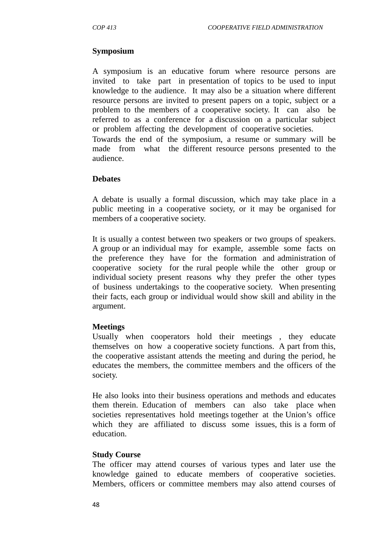### **Symposium**

A symposium is an educative forum where resource persons are invited to take part in presentation of topics to be used to input knowledge to the audience. It may also be a situation where different resource persons are invited to present papers on a topic, subject or a problem to the members of a cooperative society. It can also be referred to as a conference for a discussion on a particular subject or problem affecting the development of cooperative societies.

Towards the end of the symposium, a resume or summary will be made from what the different resource persons presented to the audience.

### **Debates**

A debate is usually a formal discussion, which may take place in a public meeting in a cooperative society, or it may be organised for members of a cooperative society.

It is usually a contest between two speakers or two groups of speakers. A group or an individual may for example, assemble some facts on the preference they have for the formation and administration of cooperative society for the rural people while the other group or individual society present reasons why they prefer the other types of business undertakings to the cooperative society. When presenting their facts, each group or individual would show skill and ability in the argument.

### **Meetings**

Usually when cooperators hold their meetings , they educate themselves on how a cooperative society functions. A part from this, the cooperative assistant attends the meeting and during the period, he educates the members, the committee members and the officers of the society.

He also looks into their business operations and methods and educates them therein. Education of members can also take place when societies representatives hold meetings together at the Union's office which they are affiliated to discuss some issues, this is a form of education.

### **Study Course**

The officer may attend courses of various types and later use the knowledge gained to educate members of cooperative societies. Members, officers or committee members may also attend courses of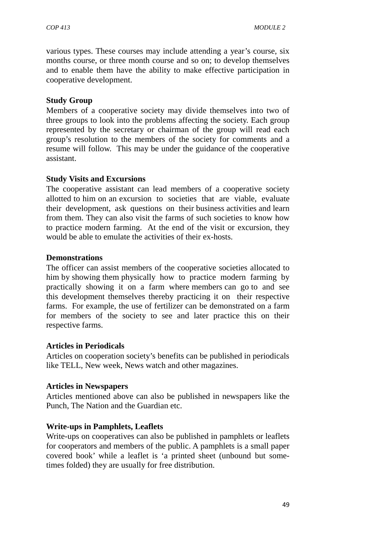various types. These courses may include attending a year's course, six months course, or three month course and so on; to develop themselves and to enable them have the ability to make effective participation in cooperative development.

### **Study Group**

Members of a cooperative society may divide themselves into two of three groups to look into the problems affecting the society. Each group represented by the secretary or chairman of the group will read each group's resolution to the members of the society for comments and a resume will follow. This may be under the guidance of the cooperative assistant.

### **Study Visits and Excursions**

The cooperative assistant can lead members of a cooperative society allotted to him on an excursion to societies that are viable, evaluate their development, ask questions on their business activities and learn from them. They can also visit the farms of such societies to know how to practice modern farming. At the end of the visit or excursion, they would be able to emulate the activities of their ex-hosts.

### **Demonstrations**

The officer can assist members of the cooperative societies allocated to him by showing them physically how to practice modern farming by practically showing it on a farm where members can go to and see this development themselves thereby practicing it on their respective farms. For example, the use of fertilizer can be demonstrated on a farm for members of the society to see and later practice this on their respective farms.

### **Articles in Periodicals**

Articles on cooperation society's benefits can be published in periodicals like TELL, New week, News watch and other magazines.

### **Articles in Newspapers**

Articles mentioned above can also be published in newspapers like the Punch, The Nation and the Guardian etc.

### **Write-ups in Pamphlets, Leaflets**

Write-ups on cooperatives can also be published in pamphlets or leaflets for cooperators and members of the public. A pamphlets is a small paper covered book' while a leaflet is 'a printed sheet (unbound but sometimes folded) they are usually for free distribution.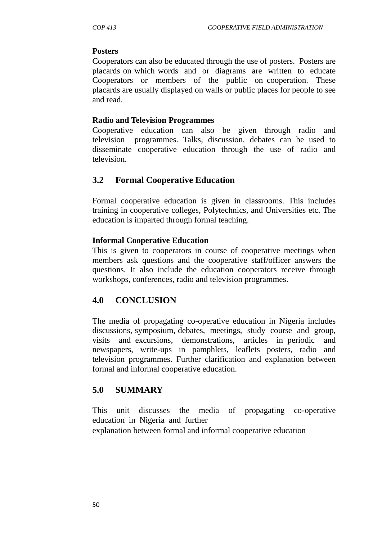#### **Posters**

Cooperators can also be educated through the use of posters. Posters are placards on which words and or diagrams are written to educate Cooperators or members of the public on cooperation. These placards are usually displayed on walls or public places for people to see and read.

#### **Radio and Television Programmes**

Cooperative education can also be given through radio and television programmes. Talks, discussion, debates can be used to disseminate cooperative education through the use of radio and television.

### **3.2 Formal Cooperative Education**

Formal cooperative education is given in classrooms. This includes training in cooperative colleges, Polytechnics, and Universities etc. The education is imparted through formal teaching.

#### **Informal Cooperative Education**

This is given to cooperators in course of cooperative meetings when members ask questions and the cooperative staff/officer answers the questions. It also include the education cooperators receive through workshops, conferences, radio and television programmes.

### **4.0 CONCLUSION**

The media of propagating co-operative education in Nigeria includes discussions, symposium, debates, meetings, study course and group, visits and excursions, demonstrations, articles in periodic and newspapers, write-ups in pamphlets, leaflets posters, radio and television programmes. Further clarification and explanation between formal and informal cooperative education.

### **5.0 SUMMARY**

This unit discusses the media of propagating co-operative education in Nigeria and further

explanation between formal and informal cooperative education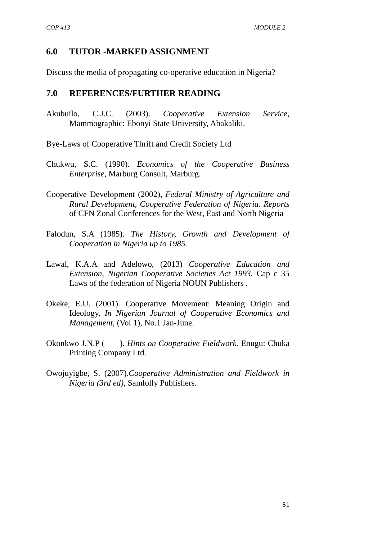## **6.0 TUTOR -MARKED ASSIGNMENT**

Discuss the media of propagating co-operative education in Nigeria?

### **7.0 REFERENCES/FURTHER READING**

- Akubuilo, C.J.C. (2003). *Cooperative Extension Service,* Mammographic: Ebonyi State University, Abakaliki.
- Bye-Laws of Cooperative Thrift and Credit Society Ltd
- Chukwu, S.C. (1990). *Economics of the Cooperative Business Enterprise,* Marburg Consult, Marburg.
- Cooperative Development (2002), *Federal Ministry of Agriculture and Rural Development, Cooperative Federation of Nigeria. Reports* of CFN Zonal Conferences for the West, East and North Nigeria
- Falodun, S.A (1985). *The History, Growth and Development of Cooperation in Nigeria up to 1985.*
- Lawal, K.A.A and Adelowo, (2013) *Cooperative Education and Extension, Nigerian Cooperative Societies Act 1993.* Cap c 35 Laws of the federation of Nigeria NOUN Publishers .
- Okeke, E.U. (2001). Cooperative Movement: Meaning Origin and Ideology, *In Nigerian Journal of Cooperative Economics and Management,* (Vol 1), No.1 Jan-June.
- Okonkwo J.N.P ( ). *Hints on Cooperative Fieldwork.* Enugu: Chuka Printing Company Ltd.
- Owojuyigbe, S. (2007).*Cooperative Administration and Fieldwork in Nigeria (3rd ed)*, Samlolly Publishers.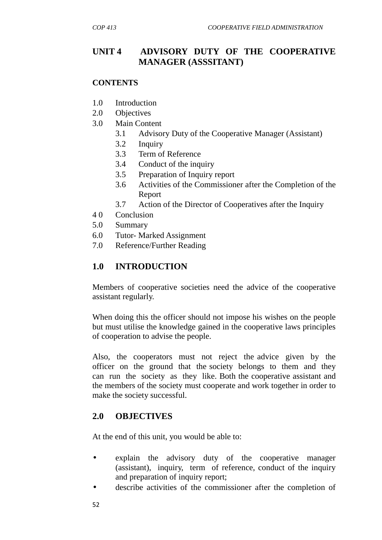## **UNIT 4 ADVISORY DUTY OF THE COOPERATIVE MANAGER (ASSSITANT)**

#### **CONTENTS**

- 1.0 Introduction
- 2.0 Objectives
- 3.0 Main Content
	- 3.1 Advisory Duty of the Cooperative Manager (Assistant)
	- 3.2 Inquiry
	- 3.3 Term of Reference
	- 3.4 Conduct of the inquiry
	- 3.5 Preparation of Inquiry report
	- 3.6 Activities of the Commissioner after the Completion of the Report
	- 3.7 Action of the Director of Cooperatives after the Inquiry
- 4 0 Conclusion
- 5.0 Summary
- 6.0 Tutor- Marked Assignment
- 7.0 Reference/Further Reading

### **1.0 INTRODUCTION**

Members of cooperative societies need the advice of the cooperative assistant regularly.

When doing this the officer should not impose his wishes on the people but must utilise the knowledge gained in the cooperative laws principles of cooperation to advise the people.

Also, the cooperators must not reject the advice given by the officer on the ground that the society belongs to them and they can run the society as they like. Both the cooperative assistant and the members of the society must cooperate and work together in order to make the society successful.

### **2.0 OBJECTIVES**

At the end of this unit, you would be able to:

- explain the advisory duty of the cooperative manager (assistant), inquiry, term of reference, conduct of the inquiry and preparation of inquiry report;
- describe activities of the commissioner after the completion of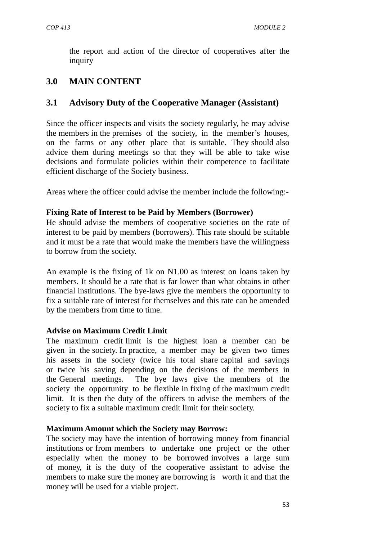the report and action of the director of cooperatives after the inquiry

# **3.0 MAIN CONTENT**

### **3.1 Advisory Duty of the Cooperative Manager (Assistant)**

Since the officer inspects and visits the society regularly, he may advise the members in the premises of the society, in the member's houses, on the farms or any other place that is suitable. They should also advice them during meetings so that they will be able to take wise decisions and formulate policies within their competence to facilitate efficient discharge of the Society business.

Areas where the officer could advise the member include the following:-

### **Fixing Rate of Interest to be Paid by Members (Borrower)**

He should advise the members of cooperative societies on the rate of interest to be paid by members (borrowers). This rate should be suitable and it must be a rate that would make the members have the willingness to borrow from the society.

An example is the fixing of 1k on N1.00 as interest on loans taken by members. It should be a rate that is far lower than what obtains in other financial institutions. The bye-laws give the members the opportunity to fix a suitable rate of interest for themselves and this rate can be amended by the members from time to time.

### **Advise on Maximum Credit Limit**

The maximum credit limit is the highest loan a member can be given in the society. In practice, a member may be given two times his assets in the society (twice his total share capital and savings or twice his saving depending on the decisions of the members in the General meetings. The bye laws give the members of the society the opportunity to be flexible in fixing of the maximum credit limit. It is then the duty of the officers to advise the members of the society to fix a suitable maximum credit limit for their society.

### **Maximum Amount which the Society may Borrow:**

The society may have the intention of borrowing money from financial institutions or from members to undertake one project or the other especially when the money to be borrowed involves a large sum of money, it is the duty of the cooperative assistant to advise the members to make sure the money are borrowing is worth it and that the money will be used for a viable project.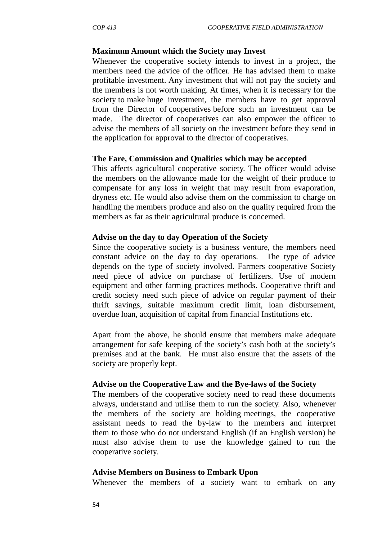### **Maximum Amount which the Society may Invest**

Whenever the cooperative society intends to invest in a project, the members need the advice of the officer. He has advised them to make profitable investment. Any investment that will not pay the society and the members is not worth making. At times, when it is necessary for the society to make huge investment, the members have to get approval from the Director of cooperatives before such an investment can be made. The director of cooperatives can also empower the officer to advise the members of all society on the investment before they send in the application for approval to the director of cooperatives.

#### **The Fare, Commission and Qualities which may be accepted**

This affects agricultural cooperative society. The officer would advise the members on the allowance made for the weight of their produce to compensate for any loss in weight that may result from evaporation, dryness etc. He would also advise them on the commission to charge on handling the members produce and also on the quality required from the members as far as their agricultural produce is concerned.

#### **Advise on the day to day Operation of the Society**

Since the cooperative society is a business venture, the members need constant advice on the day to day operations. The type of advice depends on the type of society involved. Farmers cooperative Society need piece of advice on purchase of fertilizers. Use of modern equipment and other farming practices methods. Cooperative thrift and credit society need such piece of advice on regular payment of their thrift savings, suitable maximum credit limit, loan disbursement, overdue loan, acquisition of capital from financial Institutions etc.

Apart from the above, he should ensure that members make adequate arrangement for safe keeping of the society's cash both at the society's premises and at the bank. He must also ensure that the assets of the society are properly kept.

#### **Advise on the Cooperative Law and the Bye-laws of the Society**

The members of the cooperative society need to read these documents always, understand and utilise them to run the society. Also, whenever the members of the society are holding meetings, the cooperative assistant needs to read the by-law to the members and interpret them to those who do not understand English (if an English version) he must also advise them to use the knowledge gained to run the cooperative society.

### **Advise Members on Business to Embark Upon**

Whenever the members of a society want to embark on any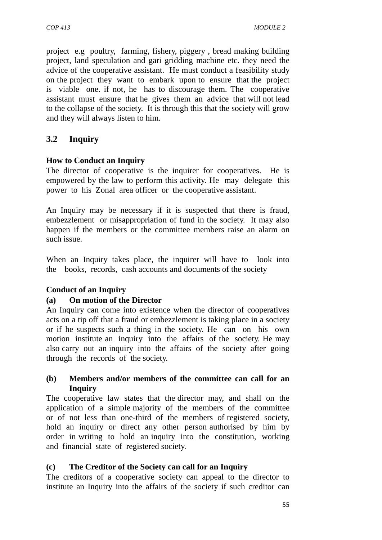project e.g poultry, farming, fishery, piggery , bread making building project, land speculation and gari gridding machine etc. they need the advice of the cooperative assistant. He must conduct a feasibility study on the project they want to embark upon to ensure that the project is viable one. if not, he has to discourage them. The cooperative assistant must ensure that he gives them an advice that will not lead to the collapse of the society. It is through this that the society will grow and they will always listen to him.

# **3.2 Inquiry**

### **How to Conduct an Inquiry**

The director of cooperative is the inquirer for cooperatives. He is empowered by the law to perform this activity. He may delegate this power to his Zonal area officer or the cooperative assistant.

An Inquiry may be necessary if it is suspected that there is fraud, embezzlement or misappropriation of fund in the society. It may also happen if the members or the committee members raise an alarm on such issue.

When an Inquiry takes place, the inquirer will have to look into the books, records, cash accounts and documents of the society

### **Conduct of an Inquiry**

### **(a) On motion of the Director**

An Inquiry can come into existence when the director of cooperatives acts on a tip off that a fraud or embezzlement is taking place in a society or if he suspects such a thing in the society. He can on his own motion institute an inquiry into the affairs of the society. He may also carry out an inquiry into the affairs of the society after going through the records of the society.

### **(b) Members and/or members of the committee can call for an Inquiry**

The cooperative law states that the director may, and shall on the application of a simple majority of the members of the committee or of not less than one-third of the members of registered society, hold an inquiry or direct any other person authorised by him by order in writing to hold an inquiry into the constitution, working and financial state of registered society.

### **(c) The Creditor of the Society can call for an Inquiry**

The creditors of a cooperative society can appeal to the director to institute an Inquiry into the affairs of the society if such creditor can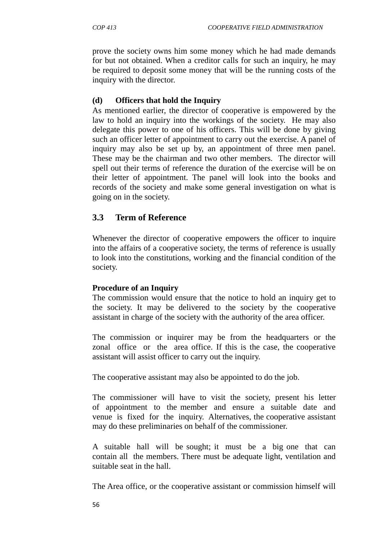prove the society owns him some money which he had made demands for but not obtained. When a creditor calls for such an inquiry, he may be required to deposit some money that will be the running costs of the inquiry with the director.

## **(d) Officers that hold the Inquiry**

As mentioned earlier, the director of cooperative is empowered by the law to hold an inquiry into the workings of the society. He may also delegate this power to one of his officers. This will be done by giving such an officer letter of appointment to carry out the exercise. A panel of inquiry may also be set up by, an appointment of three men panel. These may be the chairman and two other members. The director will spell out their terms of reference the duration of the exercise will be on their letter of appointment. The panel will look into the books and records of the society and make some general investigation on what is going on in the society.

# **3.3 Term of Reference**

Whenever the director of cooperative empowers the officer to inquire into the affairs of a cooperative society, the terms of reference is usually to look into the constitutions, working and the financial condition of the society.

### **Procedure of an Inquiry**

The commission would ensure that the notice to hold an inquiry get to the society. It may be delivered to the society by the cooperative assistant in charge of the society with the authority of the area officer.

The commission or inquirer may be from the headquarters or the zonal office or the area office. If this is the case, the cooperative assistant will assist officer to carry out the inquiry.

The cooperative assistant may also be appointed to do the job.

The commissioner will have to visit the society, present his letter of appointment to the member and ensure a suitable date and venue is fixed for the inquiry. Alternatives, the cooperative assistant may do these preliminaries on behalf of the commissioner.

A suitable hall will be sought; it must be a big one that can contain all the members. There must be adequate light, ventilation and suitable seat in the hall.

The Area office, or the cooperative assistant or commission himself will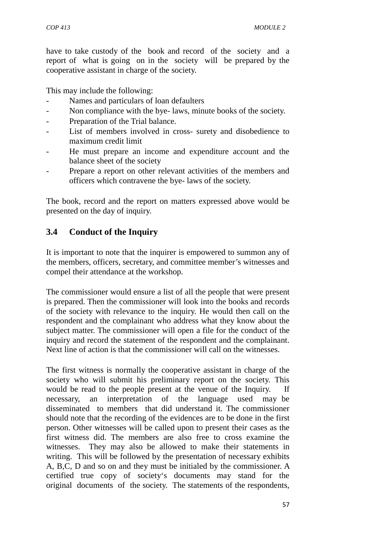have to take custody of the book and record of the society and a report of what is going on in the society will be prepared by the cooperative assistant in charge of the society.

This may include the following:

- Names and particulars of loan defaulters
- Non compliance with the bye- laws, minute books of the society.
- Preparation of the Trial balance.
- List of members involved in cross- surety and disobedience to maximum credit limit
- He must prepare an income and expenditure account and the balance sheet of the society
- Prepare a report on other relevant activities of the members and officers which contravene the bye- laws of the society.

The book, record and the report on matters expressed above would be presented on the day of inquiry.

# **3.4 Conduct of the Inquiry**

It is important to note that the inquirer is empowered to summon any of the members, officers, secretary, and committee member's witnesses and compel their attendance at the workshop.

The commissioner would ensure a list of all the people that were present is prepared. Then the commissioner will look into the books and records of the society with relevance to the inquiry. He would then call on the respondent and the complainant who address what they know about the subject matter. The commissioner will open a file for the conduct of the inquiry and record the statement of the respondent and the complainant. Next line of action is that the commissioner will call on the witnesses.

The first witness is normally the cooperative assistant in charge of the society who will submit his preliminary report on the society. This would be read to the people present at the venue of the Inquiry. If necessary, an interpretation of the language used may be disseminated to members that did understand it. The commissioner should note that the recording of the evidences are to be done in the first person. Other witnesses will be called upon to present their cases as the first witness did. The members are also free to cross examine the witnesses. They may also be allowed to make their statements in writing. This will be followed by the presentation of necessary exhibits A, B,C, D and so on and they must be initialed by the commissioner. A certified true copy of society's documents may stand for the original documents of the society. The statements of the respondents,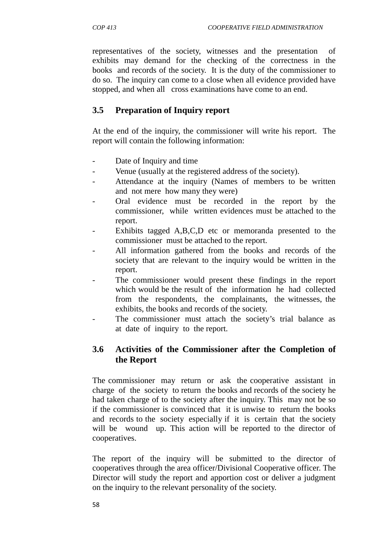representatives of the society, witnesses and the presentation of exhibits may demand for the checking of the correctness in the books and records of the society. It is the duty of the commissioner to do so. The inquiry can come to a close when all evidence provided have stopped, and when all cross examinations have come to an end.

# **3.5 Preparation of Inquiry report**

At the end of the inquiry, the commissioner will write his report. The report will contain the following information:

- Date of Inquiry and time
- Venue (usually at the registered address of the society).
- Attendance at the inquiry (Names of members to be written and not mere how many they were)
- Oral evidence must be recorded in the report by the commissioner, while written evidences must be attached to the report.
- Exhibits tagged A,B,C,D etc or memoranda presented to the commissioner must be attached to the report.
- All information gathered from the books and records of the society that are relevant to the inquiry would be written in the report.
- The commissioner would present these findings in the report which would be the result of the information he had collected from the respondents, the complainants, the witnesses, the exhibits, the books and records of the society.
- The commissioner must attach the society's trial balance as at date of inquiry to the report.

# **3.6 Activities of the Commissioner after the Completion of the Report**

The commissioner may return or ask the cooperative assistant in charge of the society to return the books and records of the society he had taken charge of to the society after the inquiry. This may not be so if the commissioner is convinced that it is unwise to return the books and records to the society especially if it is certain that the society will be wound up. This action will be reported to the director of cooperatives.

The report of the inquiry will be submitted to the director of cooperatives through the area officer/Divisional Cooperative officer. The Director will study the report and apportion cost or deliver a judgment on the inquiry to the relevant personality of the society.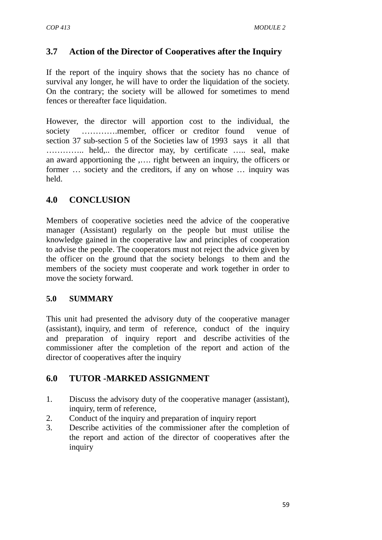# **3.7 Action of the Director of Cooperatives after the Inquiry**

If the report of the inquiry shows that the society has no chance of survival any longer, he will have to order the liquidation of the society. On the contrary; the society will be allowed for sometimes to mend fences or thereafter face liquidation.

However, the director will apportion cost to the individual, the society ………….member, officer or creditor found venue of section 37 sub-section 5 of the Societies law of 1993 says it all that ………….. held,.. the director may, by certificate ….. seal, make an award apportioning the ,…. right between an inquiry, the officers or former … society and the creditors, if any on whose … inquiry was held.

# **4.0 CONCLUSION**

Members of cooperative societies need the advice of the cooperative manager (Assistant) regularly on the people but must utilise the knowledge gained in the cooperative law and principles of cooperation to advise the people. The cooperators must not reject the advice given by the officer on the ground that the society belongs to them and the members of the society must cooperate and work together in order to move the society forward.

### **5.0 SUMMARY**

This unit had presented the advisory duty of the cooperative manager (assistant), inquiry, and term of reference, conduct of the inquiry and preparation of inquiry report and describe activities of the commissioner after the completion of the report and action of the director of cooperatives after the inquiry

# **6.0 TUTOR -MARKED ASSIGNMENT**

- 1. Discuss the advisory duty of the cooperative manager (assistant), inquiry, term of reference,
- 2. Conduct of the inquiry and preparation of inquiry report
- 3. Describe activities of the commissioner after the completion of the report and action of the director of cooperatives after the inquiry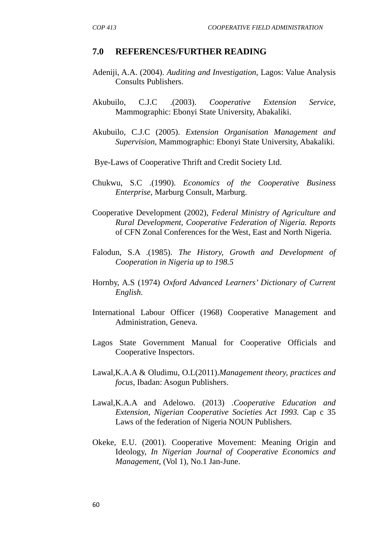#### **7.0 REFERENCES/FURTHER READING**

- Adeniji, A.A. (2004). *Auditing and Investigation*, Lagos: Value Analysis Consults Publishers.
- Akubuilo, C.J.C .(2003). *Cooperative Extension Service,* Mammographic: Ebonyi State University, Abakaliki.
- Akubuilo, C.J.C (2005). *Extension Organisation Management and Supervision,* Mammographic: Ebonyi State University, Abakaliki.
- Bye-Laws of Cooperative Thrift and Credit Society Ltd.
- Chukwu, S.C .(1990). *Economics of the Cooperative Business Enterprise,* Marburg Consult, Marburg.
- Cooperative Development (2002), *Federal Ministry of Agriculture and Rural Development, Cooperative Federation of Nigeria. Reports* of CFN Zonal Conferences for the West, East and North Nigeria.
- Falodun, S.A .(1985). *The History, Growth and Development of Cooperation in Nigeria up to 198.5*
- Hornby, A.S (1974) *Oxford Advanced Learners' Dictionary of Current English.*
- International Labour Officer (1968) Cooperative Management and Administration, Geneva.
- Lagos State Government Manual for Cooperative Officials and Cooperative Inspectors.
- Lawal,K.A.A & Oludimu, O.L(2011).*Management theory, practices and focus*, Ibadan: Asogun Publishers.
- Lawal,K.A.A and Adelowo. (2013) .*Cooperative Education and Extension, Nigerian Cooperative Societies Act 1993.* Cap c 35 Laws of the federation of Nigeria NOUN Publishers.
- Okeke, E.U. (2001). Cooperative Movement: Meaning Origin and Ideology, *In Nigerian Journal of Cooperative Economics and Management,* (Vol 1), No.1 Jan-June.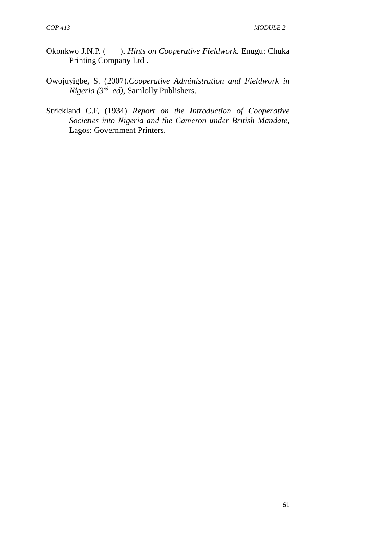- Okonkwo J.N.P. ( ). *Hints on Cooperative Fieldwork.* Enugu: Chuka Printing Company Ltd .
- Owojuyigbe, S. (2007).*Cooperative Administration and Fieldwork in Nigeria (3rd ed)*, Samlolly Publishers.
- Strickland C.F, (1934) *Report on the Introduction of Cooperative Societies into Nigeria and the Cameron under British Mandate,* Lagos: Government Printers.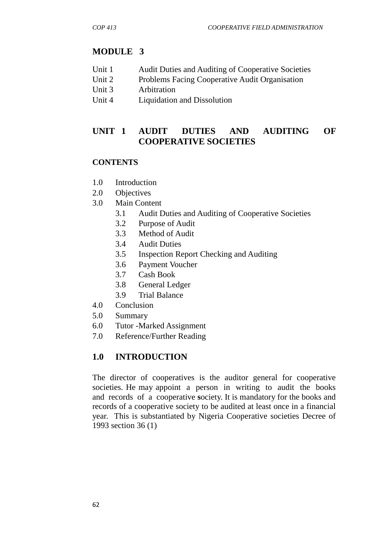# **MODULE 3**

- Unit 1 Audit Duties and Auditing of Cooperative Societies
- Unit 2 Problems Facing Cooperative Audit Organisation
- Unit 3 Arbitration
- Unit 4 Liquidation and Dissolution

# **UNIT 1 AUDIT DUTIES AND AUDITING OF COOPERATIVE SOCIETIES**

## **CONTENTS**

- 1.0 Introduction
- 2.0 Objectives
- 3.0 Main Content
	- 3.1 Audit Duties and Auditing of Cooperative Societies
	- 3.2 Purpose of Audit
	- 3.3 Method of Audit
	- 3.4 Audit Duties
	- 3.5 Inspection Report Checking and Auditing
	- 3.6 Payment Voucher
	- 3.7 Cash Book
	- 3.8 General Ledger
	- 3.9 Trial Balance
- 4.0 Conclusion
- 5.0 Summary
- 6.0 Tutor -Marked Assignment
- 7.0 Reference/Further Reading

# **1.0 INTRODUCTION**

The director of cooperatives is the auditor general for cooperative societies. He may appoint a person in writing to audit the books and records of a cooperative **s**ociety. It is mandatory for the books and records of a cooperative society to be audited at least once in a financial year. This is substantiated by Nigeria Cooperative societies Decree of 1993 section 36 (1)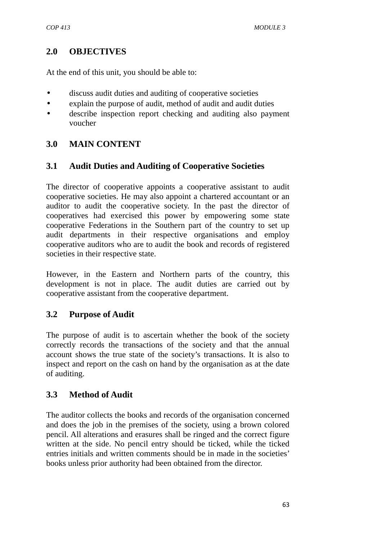## **2.0 OBJECTIVES**

At the end of this unit, you should be able to:

- discuss audit duties and auditing of cooperative societies
- explain the purpose of audit, method of audit and audit duties
- describe inspection report checking and auditing also payment voucher

# **3.0 MAIN CONTENT**

## **3.1 Audit Duties and Auditing of Cooperative Societies**

The director of cooperative appoints a cooperative assistant to audit cooperative societies. He may also appoint a chartered accountant or an auditor to audit the cooperative society. In the past the director of cooperatives had exercised this power by empowering some state cooperative Federations in the Southern part of the country to set up audit departments in their respective organisations and employ cooperative auditors who are to audit the book and records of registered societies in their respective state.

However, in the Eastern and Northern parts of the country, this development is not in place. The audit duties are carried out by cooperative assistant from the cooperative department.

# **3.2 Purpose of Audit**

The purpose of audit is to ascertain whether the book of the society correctly records the transactions of the society and that the annual account shows the true state of the society's transactions. It is also to inspect and report on the cash on hand by the organisation as at the date of auditing.

# **3.3 Method of Audit**

The auditor collects the books and records of the organisation concerned and does the job in the premises of the society, using a brown colored pencil. All alterations and erasures shall be ringed and the correct figure written at the side. No pencil entry should be ticked, while the ticked entries initials and written comments should be in made in the societies' books unless prior authority had been obtained from the director.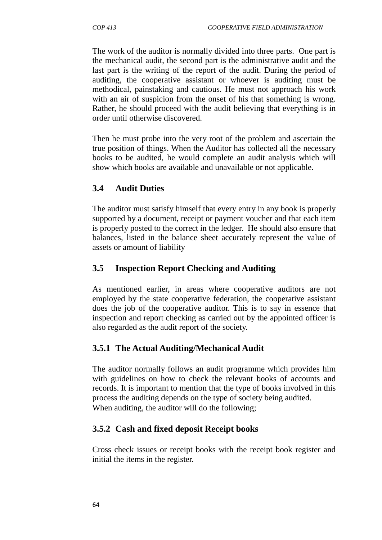The work of the auditor is normally divided into three parts. One part is the mechanical audit, the second part is the administrative audit and the last part is the writing of the report of the audit. During the period of auditing, the cooperative assistant or whoever is auditing must be methodical, painstaking and cautious. He must not approach his work with an air of suspicion from the onset of his that something is wrong. Rather, he should proceed with the audit believing that everything is in order until otherwise discovered.

Then he must probe into the very root of the problem and ascertain the true position of things. When the Auditor has collected all the necessary books to be audited, he would complete an audit analysis which will show which books are available and unavailable or not applicable.

# **3.4 Audit Duties**

The auditor must satisfy himself that every entry in any book is properly supported by a document, receipt or payment voucher and that each item is properly posted to the correct in the ledger. He should also ensure that balances, listed in the balance sheet accurately represent the value of assets or amount of liability

# **3.5 Inspection Report Checking and Auditing**

As mentioned earlier, in areas where cooperative auditors are not employed by the state cooperative federation, the cooperative assistant does the job of the cooperative auditor. This is to say in essence that inspection and report checking as carried out by the appointed officer is also regarded as the audit report of the society.

# **3.5.1 The Actual Auditing/Mechanical Audit**

The auditor normally follows an audit programme which provides him with guidelines on how to check the relevant books of accounts and records. It is important to mention that the type of books involved in this process the auditing depends on the type of society being audited. When auditing, the auditor will do the following;

# **3.5.2 Cash and fixed deposit Receipt books**

Cross check issues or receipt books with the receipt book register and initial the items in the register.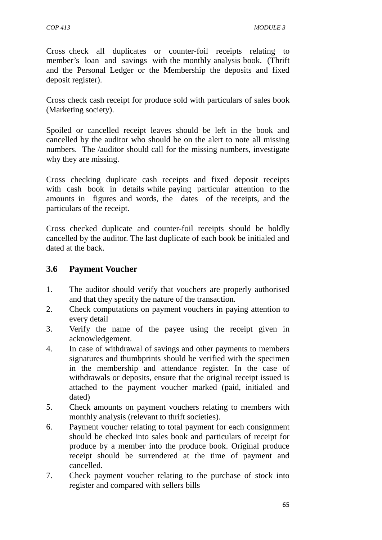Cross check all duplicates or counter-foil receipts relating to member's loan and savings with the monthly analysis book. (Thrift and the Personal Ledger or the Membership the deposits and fixed deposit register).

Cross check cash receipt for produce sold with particulars of sales book (Marketing society).

Spoiled or cancelled receipt leaves should be left in the book and cancelled by the auditor who should be on the alert to note all missing numbers. The /auditor should call for the missing numbers, investigate why they are missing.

Cross checking duplicate cash receipts and fixed deposit receipts with cash book in details while paying particular attention to the amounts in figures and words, the dates of the receipts, and the particulars of the receipt.

Cross checked duplicate and counter-foil receipts should be boldly cancelled by the auditor. The last duplicate of each book be initialed and dated at the back.

## **3.6 Payment Voucher**

- 1. The auditor should verify that vouchers are properly authorised and that they specify the nature of the transaction.
- 2. Check computations on payment vouchers in paying attention to every detail
- 3. Verify the name of the payee using the receipt given in acknowledgement.
- 4. In case of withdrawal of savings and other payments to members signatures and thumbprints should be verified with the specimen in the membership and attendance register. In the case of withdrawals or deposits, ensure that the original receipt issued is attached to the payment voucher marked (paid, initialed and dated)
- 5. Check amounts on payment vouchers relating to members with monthly analysis (relevant to thrift societies).
- 6. Payment voucher relating to total payment for each consignment should be checked into sales book and particulars of receipt for produce by a member into the produce book. Original produce receipt should be surrendered at the time of payment and cancelled.
- 7. Check payment voucher relating to the purchase of stock into register and compared with sellers bills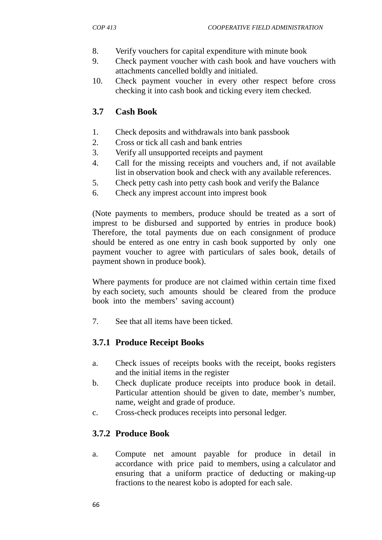- 8. Verify vouchers for capital expenditure with minute book
- 9. Check payment voucher with cash book and have vouchers with attachments cancelled boldly and initialed.
- 10. Check payment voucher in every other respect before cross checking it into cash book and ticking every item checked.

# **3.7 Cash Book**

- 1. Check deposits and withdrawals into bank passbook
- 2. Cross or tick all cash and bank entries
- 3. Verify all unsupported receipts and payment
- 4. Call for the missing receipts and vouchers and, if not available list in observation book and check with any available references.
- 5. Check petty cash into petty cash book and verify the Balance
- 6. Check any imprest account into imprest book

(Note payments to members, produce should be treated as a sort of imprest to be disbursed and supported by entries in produce book) Therefore, the total payments due on each consignment of produce should be entered as one entry in cash book supported by only one payment voucher to agree with particulars of sales book, details of payment shown in produce book).

Where payments for produce are not claimed within certain time fixed by each society, such amounts should be cleared from the produce book into the members' saving account)

7. See that all items have been ticked.

## **3.7.1 Produce Receipt Books**

- a. Check issues of receipts books with the receipt, books registers and the initial items in the register
- b. Check duplicate produce receipts into produce book in detail. Particular attention should be given to date, member's number, name, weight and grade of produce.
- c. Cross-check produces receipts into personal ledger.

# **3.7.2 Produce Book**

a. Compute net amount payable for produce in detail in accordance with price paid to members, using a calculator and ensuring that a uniform practice of deducting or making-up fractions to the nearest kobo is adopted for each sale.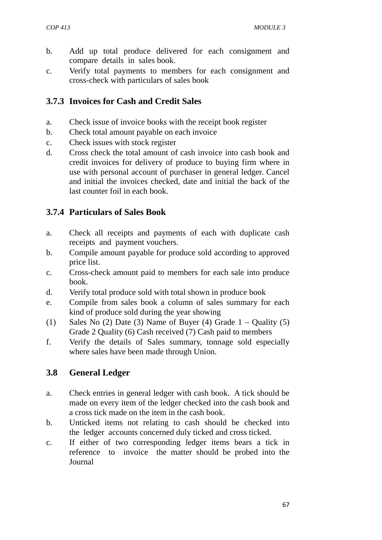- b. Add up total produce delivered for each consignment and compare details in sales book.
- c. Verify total payments to members for each consignment and cross-check with particulars of sales book

### **3.7.3 Invoices for Cash and Credit Sales**

- a. Check issue of invoice books with the receipt book register
- b. Check total amount payable on each invoice
- c. Check issues with stock register
- d. Cross check the total amount of cash invoice into cash book and credit invoices for delivery of produce to buying firm where in use with personal account of purchaser in general ledger. Cancel and initial the invoices checked, date and initial the back of the last counter foil in each book.

## **3.7.4 Particulars of Sales Book**

- a. Check all receipts and payments of each with duplicate cash receipts and payment vouchers.
- b. Compile amount payable for produce sold according to approved price list.
- c. Cross-check amount paid to members for each sale into produce book.
- d. Verify total produce sold with total shown in produce book
- e. Compile from sales book a column of sales summary for each kind of produce sold during the year showing
- (1) Sales No (2) Date (3) Name of Buyer (4) Grade  $1 -$  Ouality (5) Grade 2 Quality (6) Cash received (7) Cash paid to members
- f. Verify the details of Sales summary, tonnage sold especially where sales have been made through Union.

## **3.8 General Ledger**

- a. Check entries in general ledger with cash book. A tick should be made on every item of the ledger checked into the cash book and a cross tick made on the item in the cash book.
- b. Unticked items not relating to cash should be checked into the ledger accounts concerned duly ticked and cross ticked.
- c. If either of two corresponding ledger items bears a tick in reference to invoice the matter should be probed into the Journal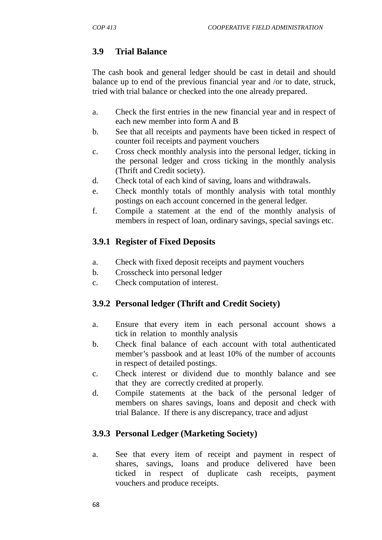## **3.9 Trial Balance**

The cash book and general ledger should be cast in detail and should balance up to end of the previous financial year and /or to date, struck, tried with trial balance or checked into the one already prepared.

- a. Check the first entries in the new financial year and in respect of each new member into form A and B
- b. See that all receipts and payments have been ticked in respect of counter foil receipts and payment vouchers
- c. Cross check monthly analysis into the personal ledger, ticking in the personal ledger and cross ticking in the monthly analysis (Thrift and Credit society).
- d. Check total of each kind of saving, loans and withdrawals.
- e. Check monthly totals of monthly analysis with total monthly postings on each account concerned in the general ledger.
- f. Compile a statement at the end of the monthly analysis of members in respect of loan, ordinary savings, special savings etc.

## **3.9.1 Register of Fixed Deposits**

- a. Check with fixed deposit receipts and payment vouchers
- b. Crosscheck into personal ledger
- c. Check computation of interest.

## **3.9.2 Personal ledger (Thrift and Credit Society)**

- a. Ensure that every item in each personal account shows a tick in relation to monthly analysis
- b. Check final balance of each account with total authenticated member's passbook and at least 10% of the number of accounts in respect of detailed postings.
- c. Check interest or dividend due to monthly balance and see that they are correctly credited at properly.
- d. Compile statements at the back of the personal ledger of members on shares savings, loans and deposit and check with trial Balance. If there is any discrepancy, trace and adjust

### **3.9.3 Personal Ledger (Marketing Society)**

a. See that every item of receipt and payment in respect of shares, savings, loans and produce delivered have been ticked in respect of duplicate cash receipts, payment vouchers and produce receipts.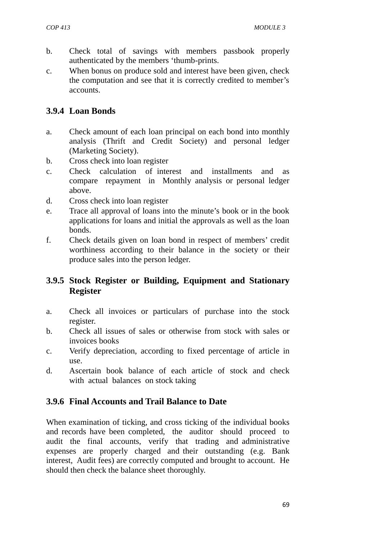- b. Check total of savings with members passbook properly authenticated by the members 'thumb-prints.
- c. When bonus on produce sold and interest have been given, check the computation and see that it is correctly credited to member's accounts.

## **3.9.4 Loan Bonds**

- a. Check amount of each loan principal on each bond into monthly analysis (Thrift and Credit Society) and personal ledger (Marketing Society).
- b. Cross check into loan register
- c. Check calculation of interest and installments and as compare repayment in Monthly analysis or personal ledger above.
- d. Cross check into loan register
- e. Trace all approval of loans into the minute's book or in the book applications for loans and initial the approvals as well as the loan bonds.
- f. Check details given on loan bond in respect of members' credit worthiness according to their balance in the society or their produce sales into the person ledger.

## **3.9.5 Stock Register or Building, Equipment and Stationary Register**

- a. Check all invoices or particulars of purchase into the stock register.
- b. Check all issues of sales or otherwise from stock with sales or invoices books
- c. Verify depreciation, according to fixed percentage of article in use.
- d. Ascertain book balance of each article of stock and check with actual balances on stock taking

## **3.9.6 Final Accounts and Trail Balance to Date**

When examination of ticking, and cross ticking of the individual books and records have been completed, the auditor should proceed to audit the final accounts, verify that trading and administrative expenses are properly charged and their outstanding (e.g. Bank interest, Audit fees) are correctly computed and brought to account. He should then check the balance sheet thoroughly.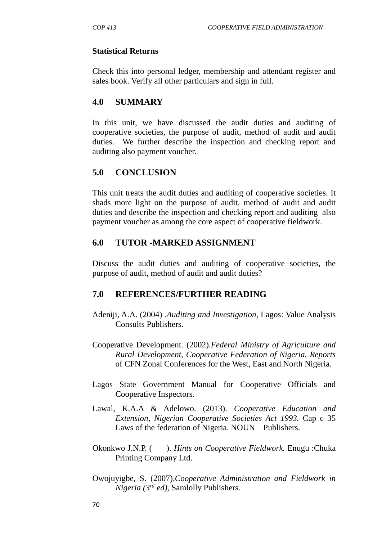#### **Statistical Returns**

Check this into personal ledger, membership and attendant register and sales book. Verify all other particulars and sign in full.

### **4.0 SUMMARY**

In this unit, we have discussed the audit duties and auditing of cooperative societies, the purpose of audit, method of audit and audit duties. We further describe the inspection and checking report and auditing also payment voucher.

### **5.0 CONCLUSION**

This unit treats the audit duties and auditing of cooperative societies. It shads more light on the purpose of audit, method of audit and audit duties and describe the inspection and checking report and auditing also payment voucher as among the core aspect of cooperative fieldwork.

### **6.0 TUTOR -MARKED ASSIGNMENT**

Discuss the audit duties and auditing of cooperative societies, the purpose of audit, method of audit and audit duties?

### **7.0 REFERENCES/FURTHER READING**

- Adeniji, A.A. (2004) .*Auditing and Investigation*, Lagos: Value Analysis Consults Publishers.
- Cooperative Development. (2002).*Federal Ministry of Agriculture and Rural Development, Cooperative Federation of Nigeria. Reports* of CFN Zonal Conferences for the West, East and North Nigeria.
- Lagos State Government Manual for Cooperative Officials and Cooperative Inspectors.
- Lawal, K.A.A & Adelowo. (2013). *Cooperative Education and Extension, Nigerian Cooperative Societies Act 1993.* Cap c 35 Laws of the federation of Nigeria. NOUN Publishers.
- Okonkwo J.N.P. ( ). *Hints on Cooperative Fieldwork.* Enugu :Chuka Printing Company Ltd.
- Owojuyigbe, S. (2007).*Cooperative Administration and Fieldwork in Nigeria (3rd ed)*, Samlolly Publishers.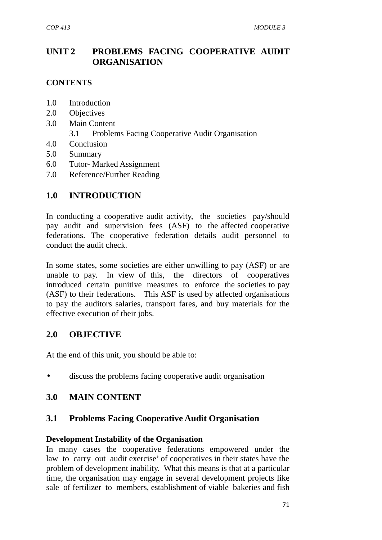## **UNIT 2 PROBLEMS FACING COOPERATIVE AUDIT ORGANISATION**

### **CONTENTS**

- 1.0 Introduction
- 2.0 Objectives
- 3.0 Main Content
	- 3.1 Problems Facing Cooperative Audit Organisation
- 4.0 Conclusion
- 5.0 Summary
- 6.0 Tutor- Marked Assignment
- 7.0 Reference/Further Reading

### **1.0 INTRODUCTION**

In conducting a cooperative audit activity, the societies pay/should pay audit and supervision fees (ASF) to the affected cooperative federations. The cooperative federation details audit personnel to conduct the audit check.

In some states, some societies are either unwilling to pay (ASF) or are unable to pay. In view of this, the directors of cooperatives introduced certain punitive measures to enforce the societies to pay (ASF) to their federations. This ASF is used by affected organisations to pay the auditors salaries, transport fares, and buy materials for the effective execution of their jobs.

#### **2.0 OBJECTIVE**

At the end of this unit, you should be able to:

discuss the problems facing cooperative audit organisation

#### **3.0 MAIN CONTENT**

#### **3.1 Problems Facing Cooperative Audit Organisation**

#### **Development Instability of the Organisation**

In many cases the cooperative federations empowered under the law to carry out audit exercise' of cooperatives in their states have the problem of development inability. What this means is that at a particular time, the organisation may engage in several development projects like sale of fertilizer to members, establishment of viable bakeries and fish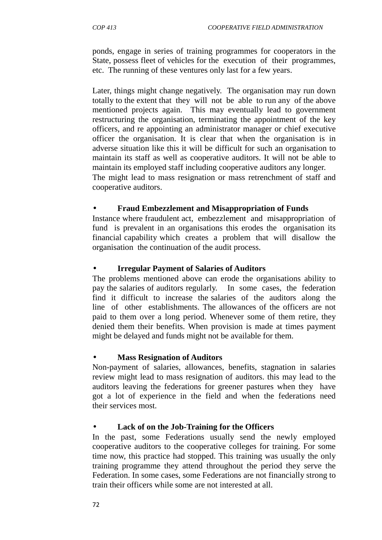ponds, engage in series of training programmes for cooperators in the State, possess fleet of vehicles for the execution of their programmes, etc. The running of these ventures only last for a few years.

Later, things might change negatively. The organisation may run down totally to the extent that they will not be able to run any of the above mentioned projects again. This may eventually lead to government restructuring the organisation, terminating the appointment of the key officers, and re appointing an administrator manager or chief executive officer the organisation. It is clear that when the organisation is in adverse situation like this it will be difficult for such an organisation to maintain its staff as well as cooperative auditors. It will not be able to maintain its employed staff including cooperative auditors any longer. The might lead to mass resignation or mass retrenchment of staff and cooperative auditors.

### **Fraud Embezzlement and Misappropriation of Funds**

Instance where fraudulent act, embezzlement and misappropriation of fund is prevalent in an organisations this erodes the organisation its financial capability which creates a problem that will disallow the organisation the continuation of the audit process.

### **Irregular Payment of Salaries of Auditors**

The problems mentioned above can erode the organisations ability to pay the salaries of auditors regularly. In some cases, the federation find it difficult to increase the salaries of the auditors along the line of other establishments. The allowances of the officers are not paid to them over a long period. Whenever some of them retire, they denied them their benefits. When provision is made at times payment might be delayed and funds might not be available for them.

#### **Mass Resignation of Auditors**

Non-payment of salaries, allowances, benefits, stagnation in salaries review might lead to mass resignation of auditors. this may lead to the auditors leaving the federations for greener pastures when they have got a lot of experience in the field and when the federations need their services most.

#### **Lack of on the Job-Training for the Officers**

In the past, some Federations usually send the newly employed cooperative auditors to the cooperative colleges for training. For some time now, this practice had stopped. This training was usually the only training programme they attend throughout the period they serve the Federation. In some cases, some Federations are not financially strong to train their officers while some are not interested at all.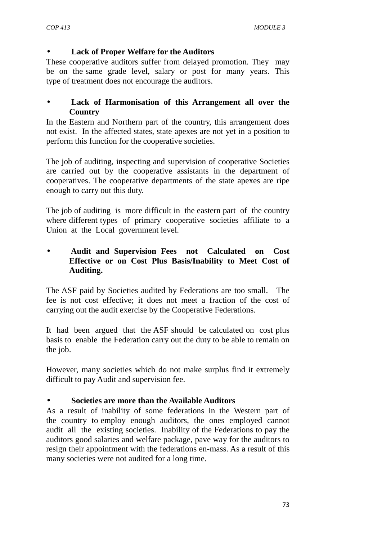### **Lack of Proper Welfare for the Auditors**

These cooperative auditors suffer from delayed promotion. They may be on the same grade level, salary or post for many years. This type of treatment does not encourage the auditors.

### **Lack of Harmonisation of this Arrangement all over the Country**

In the Eastern and Northern part of the country, this arrangement does not exist. In the affected states, state apexes are not yet in a position to perform this function for the cooperative societies.

The job of auditing, inspecting and supervision of cooperative Societies are carried out by the cooperative assistants in the department of cooperatives. The cooperative departments of the state apexes are ripe enough to carry out this duty.

The job of auditing is more difficult in the eastern part of the country where different types of primary cooperative societies affiliate to a Union at the Local government level.

### **Audit and Supervision Fees not Calculated on Cost Effective or on Cost Plus Basis/Inability to Meet Cost of Auditing.**

The ASF paid by Societies audited by Federations are too small. The fee is not cost effective; it does not meet a fraction of the cost of carrying out the audit exercise by the Cooperative Federations.

It had been argued that the ASF should be calculated on cost plus basis to enable the Federation carry out the duty to be able to remain on the job.

However, many societies which do not make surplus find it extremely difficult to pay Audit and supervision fee.

### **Societies are more than the Available Auditors**

As a result of inability of some federations in the Western part of the country to employ enough auditors, the ones employed cannot audit all the existing societies. Inability of the Federations to pay the auditors good salaries and welfare package, pave way for the auditors to resign their appointment with the federations en-mass. As a result of this many societies were not audited for a long time.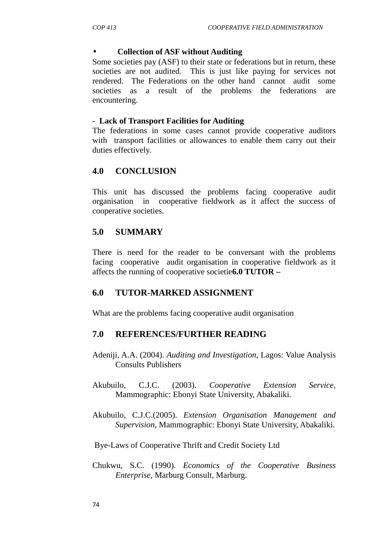#### **Collection of ASF without Auditing**

Some societies pay (ASF) to their state or federations but in return, these societies are not audited. This is just like paying for services not rendered. The Federations on the other hand cannot audit some societies as a result of the problems the federations are encountering.

#### **- Lack of Transport Facilities for Auditing**

The federations in some cases cannot provide cooperative auditors with transport facilities or allowances to enable them carry out their duties effectively.

### **4.0 CONCLUSION**

This unit has discussed the problems facing cooperative audit organisation in cooperative fieldwork as it affect the success of cooperative societies.

### **5.0 SUMMARY**

There is need for the reader to be conversant with the problems facing cooperative audit organisation in cooperative fieldwork as it affects the running of cooperative societie**6.0 TUTOR –**

### **6.0 TUTOR-MARKED ASSIGNMENT**

What are the problems facing cooperative audit organisation

### **7.0 REFERENCES/FURTHER READING**

- Adeniji, A.A. (2004). *Auditing and Investigation*, Lagos: Value Analysis Consults Publishers
- Akubuilo, C.J.C. (2003). *Cooperative Extension Service,* Mammographic: Ebonyi State University, Abakaliki.
- Akubuilo, C.J.C.(2005). *Extension Organisation Management and Supervision,* Mammographic: Ebonyi State University, Abakaliki.

Bye-Laws of Cooperative Thrift and Credit Society Ltd

Chukwu, S.C. (1990). *Economics of the Cooperative Business Enterprise,* Marburg Consult, Marburg.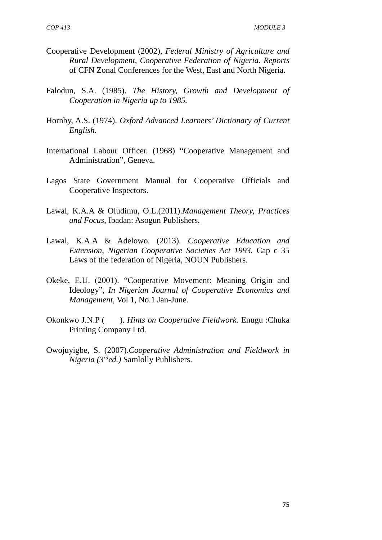- Cooperative Development (2002), *Federal Ministry of Agriculture and Rural Development, Cooperative Federation of Nigeria. Reports* of CFN Zonal Conferences for the West, East and North Nigeria.
- Falodun, S.A. (1985). *The History, Growth and Development of Cooperation in Nigeria up to 1985.*
- Hornby, A.S. (1974). *Oxford Advanced Learners' Dictionary of Current English.*
- International Labour Officer. (1968) "Cooperative Management and Administration", Geneva.
- Lagos State Government Manual for Cooperative Officials and Cooperative Inspectors.
- Lawal, K.A.A & Oludimu, O.L.(2011).*Management Theory, Practices and Focus*, Ibadan: Asogun Publishers.
- Lawal, K.A.A & Adelowo. (2013). *Cooperative Education and Extension, Nigerian Cooperative Societies Act 1993.* Cap c 35 Laws of the federation of Nigeria*,* NOUN Publishers.
- Okeke, E.U. (2001). "Cooperative Movement: Meaning Origin and Ideology", *In Nigerian Journal of Cooperative Economics and Management,* Vol 1, No.1 Jan-June.
- Okonkwo J.N.P ( ). *Hints on Cooperative Fieldwork.* Enugu :Chuka Printing Company Ltd.
- Owojuyigbe, S. (2007).*Cooperative Administration and Fieldwork in Nigeria (3rded.)* Samlolly Publishers.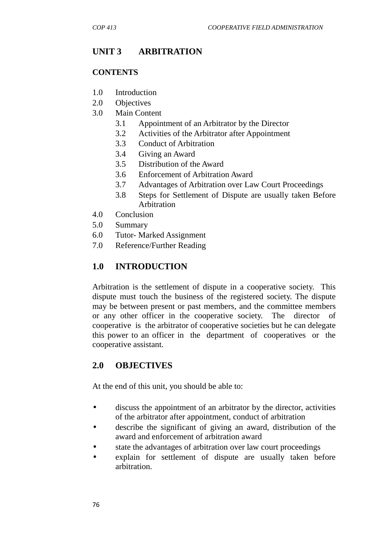# **UNIT 3 ARBITRATION**

### **CONTENTS**

- 1.0 Introduction
- 2.0 Objectives
- 3.0 Main Content
	- 3.1 Appointment of an Arbitrator by the Director
	- 3.2 Activities of the Arbitrator after Appointment
	- 3.3 Conduct of Arbitration
	- 3.4 Giving an Award
	- 3.5 Distribution of the Award
	- 3.6 Enforcement of Arbitration Award
	- 3.7 Advantages of Arbitration over Law Court Proceedings
	- 3.8 Steps for Settlement of Dispute are usually taken Before Arbitration
- 4.0 Conclusion
- 5.0 Summary
- 6.0 Tutor- Marked Assignment
- 7.0 Reference/Further Reading

## **1.0 INTRODUCTION**

Arbitration is the settlement of dispute in a cooperative society. This dispute must touch the business of the registered society. The dispute may be between present or past members, and the committee members or any other officer in the cooperative society. The director of cooperative is the arbitrator of cooperative societies but he can delegate this power to an officer in the department of cooperatives or the cooperative assistant.

## **2.0 OBJECTIVES**

At the end of this unit, you should be able to:

- discuss the appointment of an arbitrator by the director, activities of the arbitrator after appointment, conduct of arbitration
- describe the significant of giving an award, distribution of the award and enforcement of arbitration award
- state the advantages of arbitration over law court proceedings
- explain for settlement of dispute are usually taken before arbitration.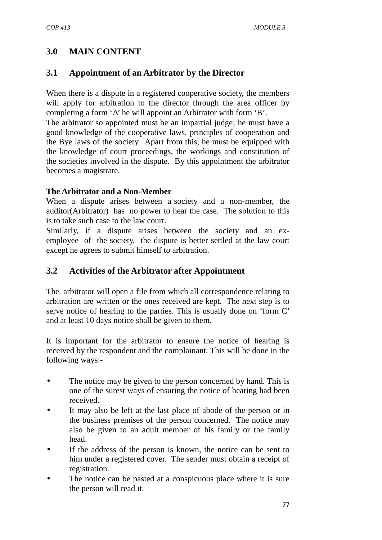# **3.0 MAIN CONTENT**

### **3.1 Appointment of an Arbitrator by the Director**

When there is a dispute in a registered cooperative society, the members will apply for arbitration to the director through the area officer by completing a form 'A' he will appoint an Arbitrator with form 'B'.

The arbitrator so appointed must be an impartial judge; he must have a good knowledge of the cooperative laws, principles of cooperation and the Bye laws of the society. Apart from this, he must be equipped with the knowledge of court proceedings, the workings and constitution of the societies involved in the dispute. By this appointment the arbitrator becomes a magistrate.

### **The Arbitrator and a Non-Member**

When a dispute arises between a society and a non-member, the auditor(Arbitrator) has no power to hear the case. The solution to this is to take such case to the law court.

Similarly, if a dispute arises between the society and an ex employee of the society, the dispute is better settled at the law court except he agrees to submit himself to arbitration.

### **3.2 Activities of the Arbitrator after Appointment**

The arbitrator will open a file from which all correspondence relating to arbitration are written or the ones received are kept. The next step is to serve notice of hearing to the parties. This is usually done on 'form C' and at least 10 days notice shall be given to them.

It is important for the arbitrator to ensure the notice of hearing is received by the respondent and the complainant. This will be done in the following ways:-

- The notice may be given to the person concerned by hand. This is one of the surest ways of ensuring the notice of hearing had been received.
- It may also be left at the last place of abode of the person or in the business premises of the person concerned. The notice may also be given to an adult member of his family or the family head.
- If the address of the person is known, the notice can be sent to him under a registered cover. The sender must obtain a receipt of registration.
- The notice can be pasted at a conspicuous place where it is sure the person will read it.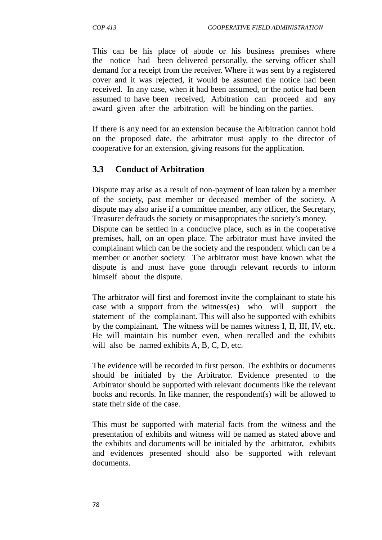This can be his place of abode or his business premises where the notice had been delivered personally, the serving officer shall demand for a receipt from the receiver. Where it was sent by a registered cover and it was rejected, it would be assumed the notice had been received. In any case, when it had been assumed, or the notice had been assumed to have been received, Arbitration can proceed and any award given after the arbitration will be binding on the parties.

If there is any need for an extension because the Arbitration cannot hold on the proposed date, the arbitrator must apply to the director of cooperative for an extension, giving reasons for the application.

# **3.3 Conduct of Arbitration**

Dispute may arise as a result of non-payment of loan taken by a member of the society, past member or deceased member of the society. A dispute may also arise if a committee member, any officer, the Secretary, Treasurer defrauds the society or misappropriates the society's money.

Dispute can be settled in a conducive place, such as in the cooperative premises, hall, on an open place. The arbitrator must have invited the complainant which can be the society and the respondent which can be a member or another society. The arbitrator must have known what the dispute is and must have gone through relevant records to inform himself about the dispute.

The arbitrator will first and foremost invite the complainant to state his case with a support from the witness(es) who will support the statement of the complainant. This will also be supported with exhibits by the complainant. The witness will be names witness I, II, III, IV, etc. He will maintain his number even, when recalled and the exhibits will also be named exhibits A, B, C, D, etc.

The evidence will be recorded in first person. The exhibits or documents should be initialed by the Arbitrator. Evidence presented to the Arbitrator should be supported with relevant documents like the relevant books and records. In like manner, the respondent(s) will be allowed to state their side of the case.

This must be supported with material facts from the witness and the presentation of exhibits and witness will be named as stated above and the exhibits and documents will be initialed by the arbitrator, exhibits and evidences presented should also be supported with relevant documents.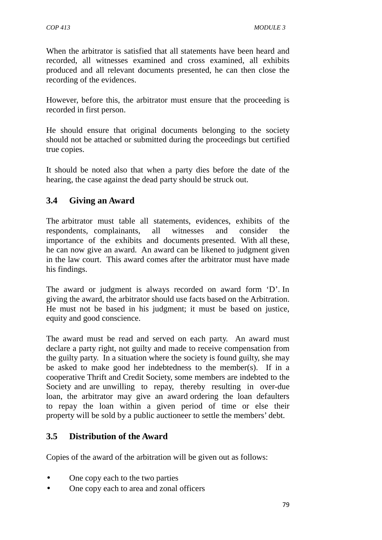When the arbitrator is satisfied that all statements have been heard and recorded, all witnesses examined and cross examined, all exhibits produced and all relevant documents presented, he can then close the recording of the evidences.

However, before this, the arbitrator must ensure that the proceeding is recorded in first person.

He should ensure that original documents belonging to the society should not be attached or submitted during the proceedings but certified true copies.

It should be noted also that when a party dies before the date of the hearing, the case against the dead party should be struck out.

## **3.4 Giving an Award**

The arbitrator must table all statements, evidences, exhibits of the respondents, complainants, all witnesses and consider the importance of the exhibits and documents presented. With all these, he can now give an award. An award can be likened to judgment given in the law court. This award comes after the arbitrator must have made his findings.

The award or judgment is always recorded on award form 'D'. In giving the award, the arbitrator should use facts based on the Arbitration. He must not be based in his judgment; it must be based on justice, equity and good conscience.

The award must be read and served on each party. An award must declare a party right, not guilty and made to receive compensation from the guilty party. In a situation where the society is found guilty, she may be asked to make good her indebtedness to the member(s). If in a cooperative Thrift and Credit Society, some members are indebted to the Society and are unwilling to repay, thereby resulting in over-due loan, the arbitrator may give an award ordering the loan defaulters to repay the loan within a given period of time or else their property will be sold by a public auctioneer to settle the members' debt.

## **3.5 Distribution of the Award**

Copies of the award of the arbitration will be given out as follows:

- One copy each to the two parties
- One copy each to area and zonal officers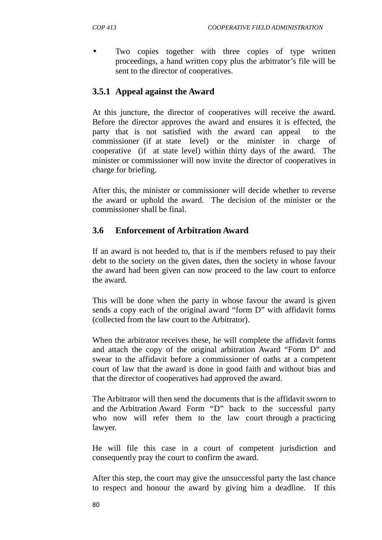Two copies together with three copies of type written proceedings, a hand written copy plus the arbitrator's file will be sent to the director of cooperatives.

## **3.5.1 Appeal against the Award**

At this juncture, the director of cooperatives will receive the award. Before the director approves the award and ensures it is effected, the party that is not satisfied with the award can appeal to the commissioner (if at state level) or the minister in charge of cooperative (if at state level) within thirty days of the award. The minister or commissioner will now invite the director of cooperatives in charge for briefing.

After this, the minister or commissioner will decide whether to reverse the award or uphold the award. The decision of the minister or the commissioner shall be final.

# **3.6 Enforcement of Arbitration Award**

If an award is not heeded to, that is if the members refused to pay their debt to the society on the given dates, then the society in whose favour the award had been given can now proceed to the law court to enforce the award.

This will be done when the party in whose favour the award is given sends a copy each of the original award "form D" with affidavit forms (collected from the law court to the Arbitrator).

When the arbitrator receives these, he will complete the affidavit forms and attach the copy of the original arbitration Award "Form D" and swear to the affidavit before a commissioner of oaths at a competent court of law that the award is done in good faith and without bias and that the director of cooperatives had approved the award.

The Arbitrator will then send the documents that is the affidavit sworn to and the Arbitration Award Form "D" back to the successful party who now will refer them to the law court through a practicing lawyer.

He will file this case in a court of competent jurisdiction and consequently pray the court to confirm the award.

After this step, the court may give the unsuccessful party the last chance to respect and honour the award by giving him a deadline. If this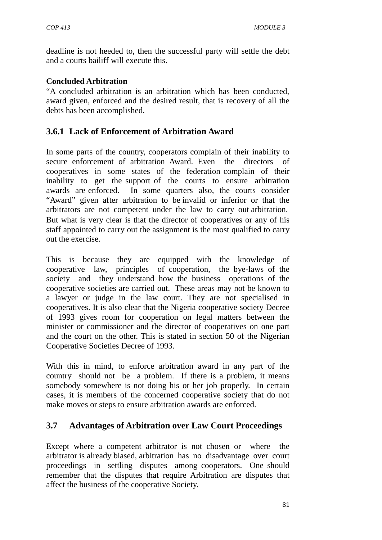deadline is not heeded to, then the successful party will settle the debt and a courts bailiff will execute this.

#### **Concluded Arbitration**

"A concluded arbitration is an arbitration which has been conducted, award given, enforced and the desired result, that is recovery of all the debts has been accomplished.

### **3.6.1 Lack of Enforcement of Arbitration Award**

In some parts of the country, cooperators complain of their inability to secure enforcement of arbitration Award. Even the directors of cooperatives in some states of the federation complain of their inability to get the support of the courts to ensure arbitration awards are enforced. In some quarters also, the courts consider "Award" given after arbitration to be invalid or inferior or that the arbitrators are not competent under the law to carry out arbitration. But what is very clear is that the director of cooperatives or any of his staff appointed to carry out the assignment is the most qualified to carry out the exercise.

This is because they are equipped with the knowledge of cooperative law, principles of cooperation, the bye-laws of the society and they understand how the business operations of the cooperative societies are carried out. These areas may not be known to a lawyer or judge in the law court. They are not specialised in cooperatives. It is also clear that the Nigeria cooperative society Decree of 1993 gives room for cooperation on legal matters between the minister or commissioner and the director of cooperatives on one part and the court on the other. This is stated in section 50 of the Nigerian Cooperative Societies Decree of 1993.

With this in mind, to enforce arbitration award in any part of the country should not be a problem. If there is a problem, it means somebody somewhere is not doing his or her job properly. In certain cases, it is members of the concerned cooperative society that do not make moves or steps to ensure arbitration awards are enforced.

## **3.7 Advantages of Arbitration over Law Court Proceedings**

Except where a competent arbitrator is not chosen or where the arbitrator is already biased, arbitration has no disadvantage over court proceedings in settling disputes among cooperators. One should remember that the disputes that require Arbitration are disputes that affect the business of the cooperative Society.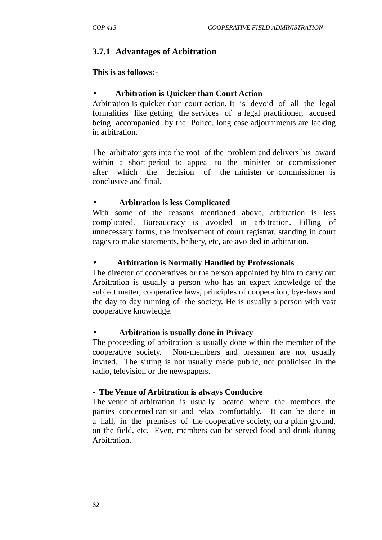## **3.7.1 Advantages of Arbitration**

#### **This is as follows:-**

#### **Arbitration is Quicker than Court Action**

Arbitration is quicker than court action. It is devoid of all the legal formalities like getting the services of a legal practitioner, accused being accompanied by the Police, long case adjournments are lacking in arbitration.

The arbitrator gets into the root of the problem and delivers his award within a short period to appeal to the minister or commissioner after which the decision of the minister or commissioner is conclusive and final.

#### **Arbitration is less Complicated**

With some of the reasons mentioned above, arbitration is less complicated. Bureaucracy is avoided in arbitration. Filling of unnecessary forms, the involvement of court registrar, standing in court cages to make statements, bribery, etc, are avoided in arbitration.

#### **Arbitration is Normally Handled by Professionals**

The director of cooperatives or the person appointed by him to carry out Arbitration is usually a person who has an expert knowledge of the subject matter, cooperative laws, principles of cooperation, bye-laws and the day to day running of the society. He is usually a person with vast cooperative knowledge.

#### **Arbitration is usually done in Privacy**

The proceeding of arbitration is usually done within the member of the cooperative society. Non-members and pressmen are not usually invited. The sitting is not usually made public, not publicised in the radio, television or the newspapers.

#### **- The Venue of Arbitration is always Conducive**

The venue of arbitration is usually located where the members, the parties concerned can sit and relax comfortably. It can be done in a hall, in the premises of the cooperative society, on a plain ground, on the field, etc. Even, members can be served food and drink during Arbitration.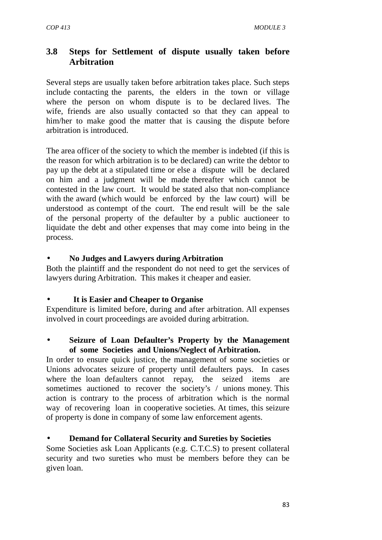## **3.8 Steps for Settlement of dispute usually taken before Arbitration**

Several steps are usually taken before arbitration takes place. Such steps include contacting the parents, the elders in the town or village where the person on whom dispute is to be declared lives. The wife, friends are also usually contacted so that they can appeal to him/her to make good the matter that is causing the dispute before arbitration is introduced.

The area officer of the society to which the member is indebted (if this is the reason for which arbitration is to be declared) can write the debtor to pay up the debt at a stipulated time or else a dispute will be declared on him and a judgment will be made thereafter which cannot be contested in the law court. It would be stated also that non-compliance with the award (which would be enforced by the law court) will be understood as contempt of the court. The end result will be the sale of the personal property of the defaulter by a public auctioneer to liquidate the debt and other expenses that may come into being in the process.

### **No Judges and Lawyers during Arbitration**

Both the plaintiff and the respondent do not need to get the services of lawyers during Arbitration. This makes it cheaper and easier.

### **It is Easier and Cheaper to Organise**

Expenditure is limited before, during and after arbitration. All expenses involved in court proceedings are avoided during arbitration.

#### **Seizure of Loan Defaulter's Property by the Management of some Societies and Unions/Neglect of Arbitration.**

In order to ensure quick justice, the management of some societies or Unions advocates seizure of property until defaulters pays. In cases where the loan defaulters cannot repay, the seized items are sometimes auctioned to recover the society's / unions money. This action is contrary to the process of arbitration which is the normal way of recovering loan in cooperative societies. At times, this seizure of property is done in company of some law enforcement agents.

### **Demand for Collateral Security and Sureties by Societies**

Some Societies ask Loan Applicants (e.g. C.T.C.S) to present collateral security and two sureties who must be members before they can be given loan.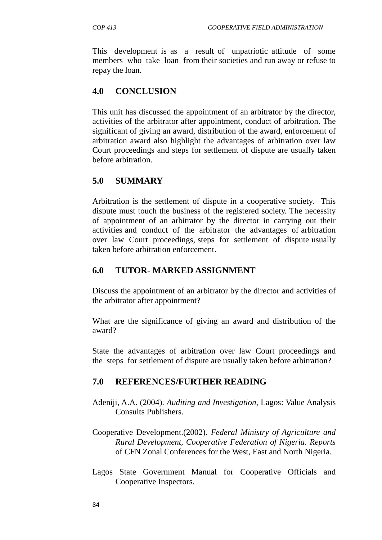This development is as a result of unpatriotic attitude of some members who take loan from their societies and run away or refuse to repay the loan.

### **4.0 CONCLUSION**

This unit has discussed the appointment of an arbitrator by the director, activities of the arbitrator after appointment, conduct of arbitration. The significant of giving an award, distribution of the award, enforcement of arbitration award also highlight the advantages of arbitration over law Court proceedings and steps for settlement of dispute are usually taken before arbitration.

### **5.0 SUMMARY**

Arbitration is the settlement of dispute in a cooperative society. This dispute must touch the business of the registered society. The necessity of appointment of an arbitrator by the director in carrying out their activities and conduct of the arbitrator the advantages of arbitration over law Court proceedings, steps for settlement of dispute usually taken before arbitration enforcement.

### **6.0 TUTOR- MARKED ASSIGNMENT**

Discuss the appointment of an arbitrator by the director and activities of the arbitrator after appointment?

What are the significance of giving an award and distribution of the award?

State the advantages of arbitration over law Court proceedings and the steps for settlement of dispute are usually taken before arbitration?

### **7.0 REFERENCES/FURTHER READING**

- Adeniji, A.A. (2004). *Auditing and Investigation*, Lagos: Value Analysis Consults Publishers.
- Cooperative Development.(2002). *Federal Ministry of Agriculture and Rural Development, Cooperative Federation of Nigeria. Reports* of CFN Zonal Conferences for the West, East and North Nigeria.
- Lagos State Government Manual for Cooperative Officials and Cooperative Inspectors.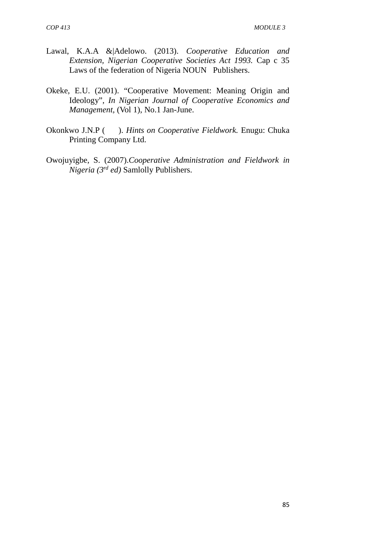- Lawal, K.A.A &|Adelowo. (2013). *Cooperative Education and Extension, Nigerian Cooperative Societies Act 1993.* Cap c 35 Laws of the federation of Nigeria NOUN Publishers.
- Okeke, E.U. (2001). "Cooperative Movement: Meaning Origin and Ideology", *In Nigerian Journal of Cooperative Economics and Management,* (Vol 1), No.1 Jan-June.
- Okonkwo J.N.P ( ). *Hints on Cooperative Fieldwork.* Enugu: Chuka Printing Company Ltd.
- Owojuyigbe, S. (2007).*Cooperative Administration and Fieldwork in Nigeria (3rd ed)* Samlolly Publishers.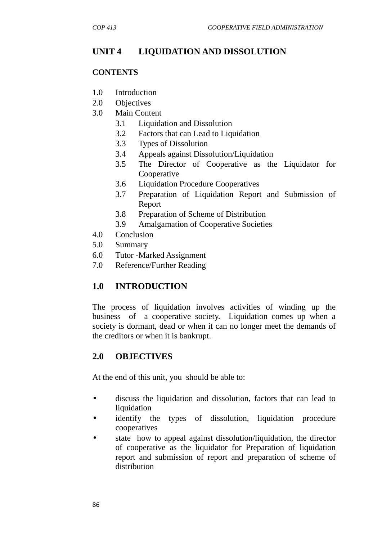# **UNIT 4 LIQUIDATION AND DISSOLUTION**

### **CONTENTS**

- 1.0 Introduction
- 2.0 Objectives
- 3.0 Main Content
	- 3.1 Liquidation and Dissolution
	- 3.2 Factors that can Lead to Liquidation
	- 3.3 Types of Dissolution
	- 3.4 Appeals against Dissolution/Liquidation
	- 3.5 The Director of Cooperative as the Liquidator for Cooperative
	- 3.6 Liquidation Procedure Cooperatives
	- 3.7 Preparation of Liquidation Report and Submission of Report
	- 3.8 Preparation of Scheme of Distribution
	- 3.9 Amalgamation of Cooperative Societies
- 4.0 Conclusion
- 5.0 Summary
- 6.0 Tutor -Marked Assignment
- 7.0 Reference/Further Reading

## **1.0 INTRODUCTION**

The process of liquidation involves activities of winding up the business of a cooperative society. Liquidation comes up when a society is dormant, dead or when it can no longer meet the demands of the creditors or when it is bankrupt.

## **2.0 OBJECTIVES**

At the end of this unit, you should be able to:

- discuss the liquidation and dissolution, factors that can lead to liquidation
- identify the types of dissolution, liquidation procedure cooperatives
- state how to appeal against dissolution/liquidation, the director of cooperative as the liquidator for Preparation of liquidation report and submission of report and preparation of scheme of distribution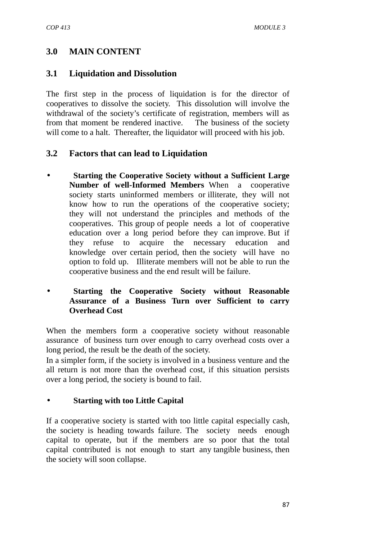## **3.0 MAIN CONTENT**

### **3.1 Liquidation and Dissolution**

The first step in the process of liquidation is for the director of cooperatives to dissolve the society. This dissolution will involve the withdrawal of the society's certificate of registration, members will as from that moment be rendered inactive. The business of the society will come to a halt. Thereafter, the liquidator will proceed with his job.

### **3.2 Factors that can lead to Liquidation**

 **Starting the Cooperative Society without a Sufficient Large Number of well-Informed Members** When a cooperative society starts uninformed members or illiterate, they will not know how to run the operations of the cooperative society; they will not understand the principles and methods of the cooperatives. This group of people needs a lot of cooperative education over a long period before they can improve. But if they refuse to acquire the necessary education and knowledge over certain period, then the society will have no option to fold up. Illiterate members will not be able to run the cooperative business and the end result will be failure.

#### **Starting the Cooperative Society without Reasonable Assurance of a Business Turn over Sufficient to carry Overhead Cost**

When the members form a cooperative society without reasonable assurance of business turn over enough to carry overhead costs over a long period, the result be the death of the society.

In a simpler form, if the society is involved in a business venture and the all return is not more than the overhead cost, if this situation persists over a long period, the society is bound to fail.

#### **Starting with too Little Capital**

If a cooperative society is started with too little capital especially cash, the society is heading towards failure. The society needs enough capital to operate, but if the members are so poor that the total capital contributed is not enough to start any tangible business, then the society will soon collapse.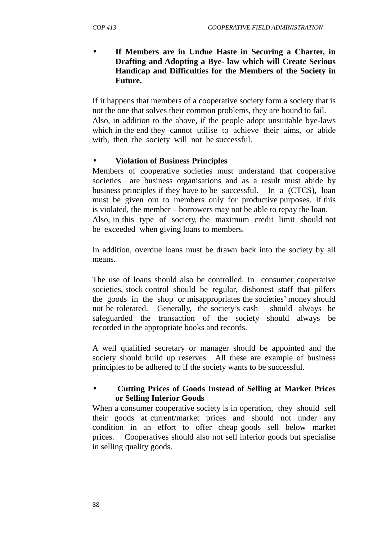#### **If Members are in Undue Haste in Securing a Charter, in Drafting and Adopting a Bye- law which will Create Serious Handicap and Difficulties for the Members of the Society in Future.**

If it happens that members of a cooperative society form a society that is not the one that solves their common problems, they are bound to fail. Also, in addition to the above, if the people adopt unsuitable bye-laws which in the end they cannot utilise to achieve their aims, or abide with, then the society will not be successful.

#### **Violation of Business Principles**

Members of cooperative societies must understand that cooperative societies are business organisations and as a result must abide by business principles if they have to be successful. In a (CTCS), loan must be given out to members only for productive purposes. If this is violated, the member – borrowers may not be able to repay the loan. Also, in this type of society, the maximum credit limit should not be exceeded when giving loans to members.

In addition, overdue loans must be drawn back into the society by all means.

The use of loans should also be controlled. In consumer cooperative societies, stock control should be regular, dishonest staff that pilfers the goods in the shop or misappropriates the societies' money should not be tolerated. Generally, the society's cash should always be safeguarded the transaction of the society should always be recorded in the appropriate books and records.

A well qualified secretary or manager should be appointed and the society should build up reserves. All these are example of business principles to be adhered to if the society wants to be successful.

### **Cutting Prices of Goods Instead of Selling at Market Prices or Selling Inferior Goods**

When a consumer cooperative society is in operation, they should sell their goods at current/market prices and should not under any condition in an effort to offer cheap goods sell below market prices. Cooperatives should also not sell inferior goods but specialise in selling quality goods.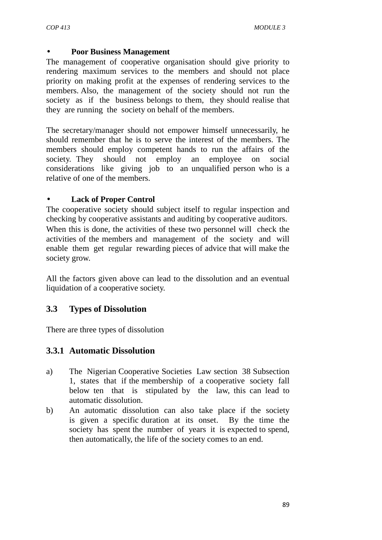#### **Poor Business Management**

The management of cooperative organisation should give priority to rendering maximum services to the members and should not place priority on making profit at the expenses of rendering services to the members. Also, the management of the society should not run the society as if the business belongs to them, they should realise that they are running the society on behalf of the members.

The secretary/manager should not empower himself unnecessarily, he should remember that he is to serve the interest of the members. The members should employ competent hands to run the affairs of the society. They should not employ an employee on social considerations like giving job to an unqualified person who is a relative of one of the members.

#### **Lack of Proper Control**

The cooperative society should subject itself to regular inspection and checking by cooperative assistants and auditing by cooperative auditors. When this is done, the activities of these two personnel will check the activities of the members and management of the society and will enable them get regular rewarding pieces of advice that will make the society grow.

All the factors given above can lead to the dissolution and an eventual liquidation of a cooperative society.

### **3.3 Types of Dissolution**

There are three types of dissolution

### **3.3.1 Automatic Dissolution**

- a) The Nigerian Cooperative Societies Law section 38 Subsection 1, states that if the membership of a cooperative society fall below ten that is stipulated by the law, this can lead to automatic dissolution.
- b) An automatic dissolution can also take place if the society is given a specific duration at its onset. By the time the society has spent the number of years it is expected to spend, then automatically, the life of the society comes to an end.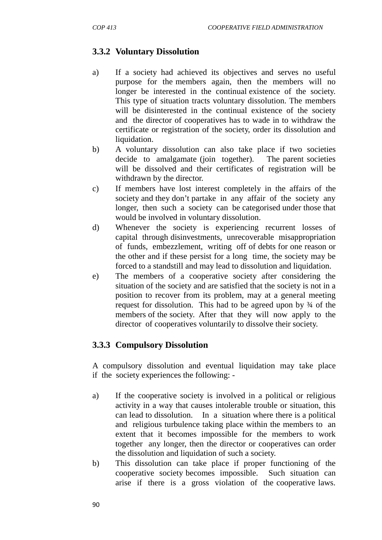# **3.3.2 Voluntary Dissolution**

- a) If a society had achieved its objectives and serves no useful purpose for the members again, then the members will no longer be interested in the continual existence of the society. This type of situation tracts voluntary dissolution. The members will be disinterested in the continual existence of the society and the director of cooperatives has to wade in to withdraw the certificate or registration of the society, order its dissolution and liquidation.
- b) A voluntary dissolution can also take place if two societies decide to amalgamate (join together). The parent societies will be dissolved and their certificates of registration will be withdrawn by the director.
- c) If members have lost interest completely in the affairs of the society and they don't partake in any affair of the society any longer, then such a society can be categorised under those that would be involved in voluntary dissolution.
- d) Whenever the society is experiencing recurrent losses of capital through disinvestments, unrecoverable misappropriation of funds, embezzlement, writing off of debts for one reason or the other and if these persist for a long time, the society may be forced to a standstill and may lead to dissolution and liquidation.
- e) The members of a cooperative society after considering the situation of the society and are satisfied that the society is not in a position to recover from its problem, may at a general meeting request for dissolution. This had to be agreed upon by ¾ of the members of the society. After that they will now apply to the director of cooperatives voluntarily to dissolve their society.

## **3.3.3 Compulsory Dissolution**

A compulsory dissolution and eventual liquidation may take place if the society experiences the following: -

- a) If the cooperative society is involved in a political or religious activity in a way that causes intolerable trouble or situation, this can lead to dissolution. In a situation where there is a political and religious turbulence taking place within the members to an extent that it becomes impossible for the members to work together any longer, then the director or cooperatives can order the dissolution and liquidation of such a society.
- b) This dissolution can take place if proper functioning of the cooperative society becomes impossible. Such situation can arise if there is a gross violation of the cooperative laws.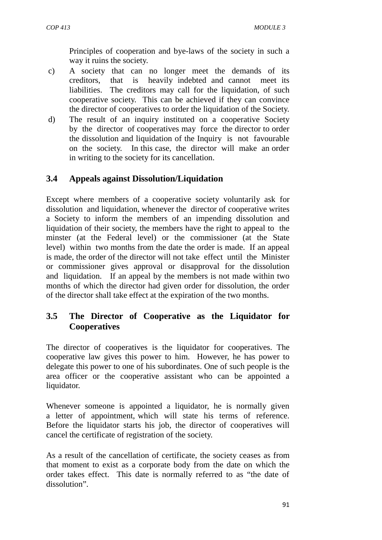Principles of cooperation and bye-laws of the society in such a way it ruins the society.

- c) A society that can no longer meet the demands of its creditors, that is heavily indebted and cannot meet its liabilities. The creditors may call for the liquidation, of such cooperative society. This can be achieved if they can convince the director of cooperatives to order the liquidation of the Society.
- d) The result of an inquiry instituted on a cooperative Society by the director of cooperatives may force the director to order the dissolution and liquidation of the Inquiry is not favourable on the society. In this case, the director will make an order in writing to the society for its cancellation.

## **3.4 Appeals against Dissolution/Liquidation**

Except where members of a cooperative society voluntarily ask for dissolution and liquidation, whenever the director of cooperative writes a Society to inform the members of an impending dissolution and liquidation of their society, the members have the right to appeal to the minster (at the Federal level) or the commissioner (at the State level) within two months from the date the order is made. If an appeal is made, the order of the director will not take effect until the Minister or commissioner gives approval or disapproval for the dissolution and liquidation. If an appeal by the members is not made within two months of which the director had given order for dissolution, the order of the director shall take effect at the expiration of the two months.

### **3.5 The Director of Cooperative as the Liquidator for Cooperatives**

The director of cooperatives is the liquidator for cooperatives. The cooperative law gives this power to him. However, he has power to delegate this power to one of his subordinates. One of such people is the area officer or the cooperative assistant who can be appointed a liquidator.

Whenever someone is appointed a liquidator, he is normally given a letter of appointment, which will state his terms of reference. Before the liquidator starts his job, the director of cooperatives will cancel the certificate of registration of the society.

As a result of the cancellation of certificate, the society ceases as from that moment to exist as a corporate body from the date on which the order takes effect. This date is normally referred to as "the date of dissolution".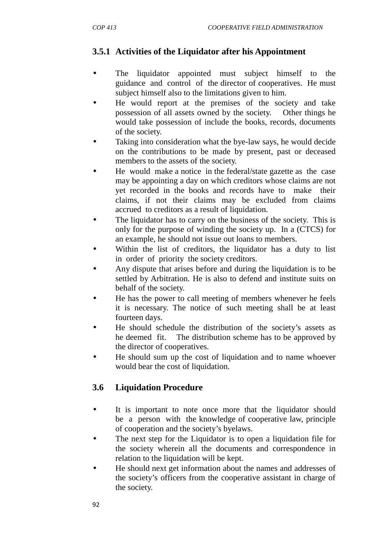## **3.5.1 Activities of the Liquidator after his Appointment**

- The liquidator appointed must subject himself to the guidance and control of the director of cooperatives. He must subject himself also to the limitations given to him.
- He would report at the premises of the society and take possession of all assets owned by the society. Other things he would take possession of include the books, records, documents of the society.
- Taking into consideration what the bye-law says, he would decide on the contributions to be made by present, past or deceased members to the assets of the society.
- He would make a notice in the federal/state gazette as the case may be appointing a day on which creditors whose claims are not yet recorded in the books and records have to make their claims, if not their claims may be excluded from claims accrued to creditors as a result of liquidation.
- The liquidator has to carry on the business of the society. This is only for the purpose of winding the society up. In a (CTCS) for an example, he should not issue out loans to members.
- Within the list of creditors, the liquidator has a duty to list in order of priority the society creditors.
- Any dispute that arises before and during the liquidation is to be settled by Arbitration. He is also to defend and institute suits on behalf of the society.
- He has the power to call meeting of members whenever he feels it is necessary. The notice of such meeting shall be at least fourteen days.
- He should schedule the distribution of the society's assets as he deemed fit. The distribution scheme has to be approved by the director of cooperatives.
- He should sum up the cost of liquidation and to name whoever would bear the cost of liquidation.

# **3.6 Liquidation Procedure**

- It is important to note once more that the liquidator should be a person with the knowledge of cooperative law, principle of cooperation and the society's byelaws.
- The next step for the Liquidator is to open a liquidation file for the society wherein all the documents and correspondence in relation to the liquidation will be kept.
- He should next get information about the names and addresses of the society's officers from the cooperative assistant in charge of the society.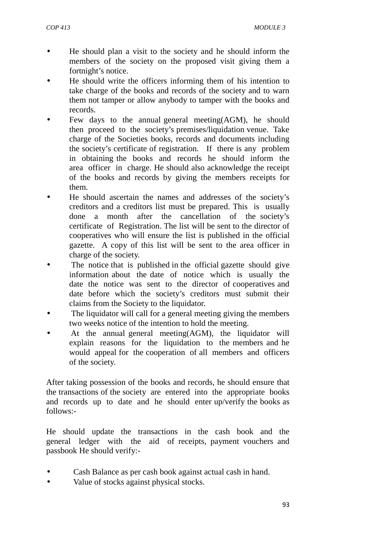- He should plan a visit to the society and he should inform the members of the society on the proposed visit giving them a fortnight's notice.
- He should write the officers informing them of his intention to take charge of the books and records of the society and to warn them not tamper or allow anybody to tamper with the books and records.
- Few days to the annual general meeting(AGM), he should then proceed to the society's premises/liquidation venue. Take charge of the Societies books, records and documents including the society's certificate of registration. If there is any problem in obtaining the books and records he should inform the area officer in charge. He should also acknowledge the receipt of the books and records by giving the members receipts for them.
- He should ascertain the names and addresses of the society's creditors and a creditors list must be prepared. This is usually done a month after the cancellation of the society's certificate of Registration. The list will be sent to the director of cooperatives who will ensure the list is published in the official gazette. A copy of this list will be sent to the area officer in charge of the society.
- The notice that is published in the official gazette should give information about the date of notice which is usually the date the notice was sent to the director of cooperatives and date before which the society's creditors must submit their claims from the Society to the liquidator.
- The liquidator will call for a general meeting giving the members two weeks notice of the intention to hold the meeting.
- At the annual general meeting(AGM), the liquidator will explain reasons for the liquidation to the members and he would appeal for the cooperation of all members and officers of the society.

After taking possession of the books and records, he should ensure that the transactions of the society are entered into the appropriate books and records up to date and he should enter up/verify the books as follows:-

He should update the transactions in the cash book and the general ledger with the aid of receipts, payment vouchers and passbook He should verify:-

- Cash Balance as per cash book against actual cash in hand.
- Value of stocks against physical stocks.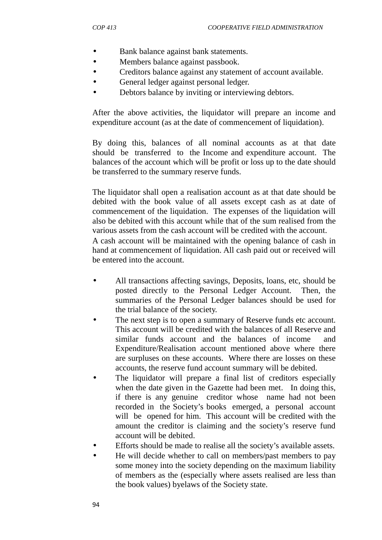- Bank balance against bank statements.
- Members balance against passbook.
- Creditors balance against any statement of account available.
- General ledger against personal ledger.
- Debtors balance by inviting or interviewing debtors.

After the above activities, the liquidator will prepare an income and expenditure account (as at the date of commencement of liquidation).

By doing this, balances of all nominal accounts as at that date should be transferred to the Income and expenditure account. The balances of the account which will be profit or loss up to the date should be transferred to the summary reserve funds.

The liquidator shall open a realisation account as at that date should be debited with the book value of all assets except cash as at date of commencement of the liquidation. The expenses of the liquidation will also be debited with this account while that of the sum realised from the various assets from the cash account will be credited with the account. A cash account will be maintained with the opening balance of cash in

hand at commencement of liquidation. All cash paid out or received will be entered into the account.

- All transactions affecting savings, Deposits, loans, etc, should be posted directly to the Personal Ledger Account. Then, the summaries of the Personal Ledger balances should be used for the trial balance of the society.
- The next step is to open a summary of Reserve funds etc account. This account will be credited with the balances of all Reserve and similar funds account and the balances of income and Expenditure/Realisation account mentioned above where there are surpluses on these accounts. Where there are losses on these accounts, the reserve fund account summary will be debited.
- The liquidator will prepare a final list of creditors especially when the date given in the Gazette had been met. In doing this, if there is any genuine creditor whose name had not been recorded in the Society's books emerged, a personal account will be opened for him. This account will be credited with the amount the creditor is claiming and the society's reserve fund account will be debited.
- Efforts should be made to realise all the society's available assets.
- He will decide whether to call on members/past members to pay some money into the society depending on the maximum liability of members as the (especially where assets realised are less than the book values) byelaws of the Society state.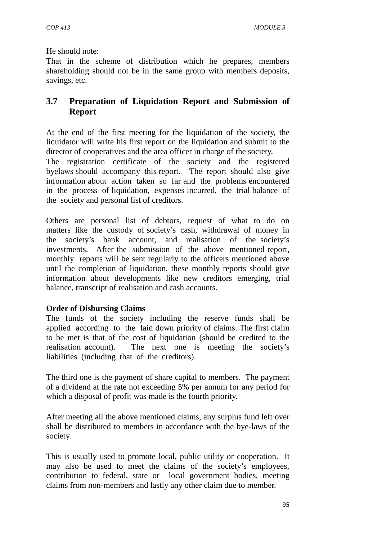He should note:

That in the scheme of distribution which he prepares, members shareholding should not be in the same group with members deposits, savings, etc.

## **3.7 Preparation of Liquidation Report and Submission of Report**

At the end of the first meeting for the liquidation of the society, the liquidator will write his first report on the liquidation and submit to the director of cooperatives and the area officer in charge of the society.

The registration certificate of the society and the registered byelaws should accompany this report. The report should also give information about action taken so far and the problems encountered in the process of liquidation, expenses incurred, the trial balance of the society and personal list of creditors.

Others are personal list of debtors, request of what to do on matters like the custody of society's cash, withdrawal of money in the society's bank account, and realisation of the society's investments. After the submission of the above mentioned report, monthly reports will be sent regularly to the officers mentioned above until the completion of liquidation, these monthly reports should give information about developments like new creditors emerging, trial balance, transcript of realisation and cash accounts.

#### **Order of Disbursing Claims**

The funds of the society including the reserve funds shall be applied according to the laid down priority of claims. The first claim to be met is that of the cost of liquidation (should be credited to the realisation account). The next one is meeting the society's liabilities (including that of the creditors).

The third one is the payment of share capital to members. The payment of a dividend at the rate not exceeding 5% per annum for any period for which a disposal of profit was made is the fourth priority.

After meeting all the above mentioned claims, any surplus fund left over shall be distributed to members in accordance with the bye-laws of the society.

This is usually used to promote local, public utility or cooperation. It may also be used to meet the claims of the society's employees, contribution to federal, state or local government bodies, meeting claims from non-members and lastly any other claim due to member.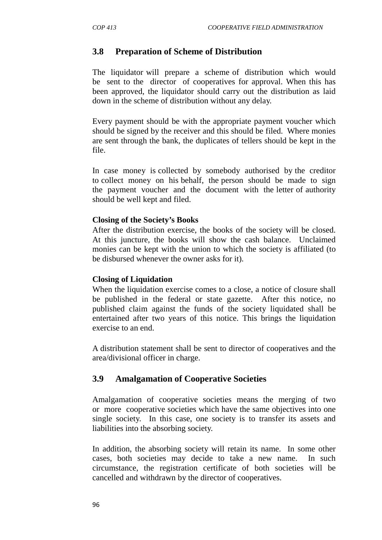### **3.8 Preparation of Scheme of Distribution**

The liquidator will prepare a scheme of distribution which would be sent to the director of cooperatives for approval. When this has been approved, the liquidator should carry out the distribution as laid down in the scheme of distribution without any delay.

Every payment should be with the appropriate payment voucher which should be signed by the receiver and this should be filed. Where monies are sent through the bank, the duplicates of tellers should be kept in the file.

In case money is collected by somebody authorised by the creditor to collect money on his behalf, the person should be made to sign the payment voucher and the document with the letter of authority should be well kept and filed.

#### **Closing of the Society's Books**

After the distribution exercise, the books of the society will be closed. At this juncture, the books will show the cash balance. Unclaimed monies can be kept with the union to which the society is affiliated (to be disbursed whenever the owner asks for it).

#### **Closing of Liquidation**

When the liquidation exercise comes to a close, a notice of closure shall be published in the federal or state gazette. After this notice, no published claim against the funds of the society liquidated shall be entertained after two years of this notice. This brings the liquidation exercise to an end.

A distribution statement shall be sent to director of cooperatives and the area/divisional officer in charge.

### **3.9 Amalgamation of Cooperative Societies**

Amalgamation of cooperative societies means the merging of two or more cooperative societies which have the same objectives into one single society. In this case, one society is to transfer its assets and liabilities into the absorbing society.

In addition, the absorbing society will retain its name. In some other cases, both societies may decide to take a new name. In such circumstance, the registration certificate of both societies will be cancelled and withdrawn by the director of cooperatives.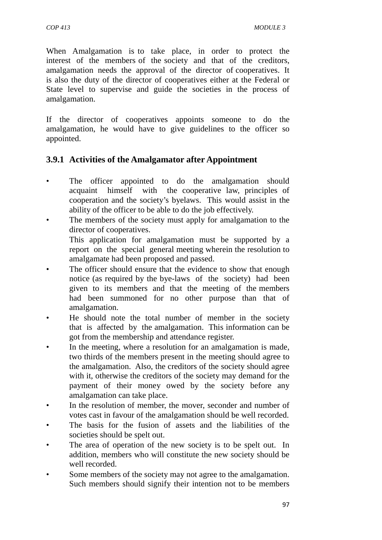When Amalgamation is to take place, in order to protect the interest of the members of the society and that of the creditors, amalgamation needs the approval of the director of cooperatives. It is also the duty of the director of cooperatives either at the Federal or State level to supervise and guide the societies in the process of amalgamation.

If the director of cooperatives appoints someone to do the amalgamation, he would have to give guidelines to the officer so appointed.

### **3.9.1 Activities of the Amalgamator after Appointment**

- The officer appointed to do the amalgamation should acquaint himself with the cooperative law, principles of cooperation and the society's byelaws. This would assist in the ability of the officer to be able to do the job effectively.
- The members of the society must apply for amalgamation to the director of cooperatives.

This application for amalgamation must be supported by a report on the special general meeting wherein the resolution to amalgamate had been proposed and passed.

- The officer should ensure that the evidence to show that enough notice (as required by the bye-laws of the society) had been given to its members and that the meeting of the members had been summoned for no other purpose than that of amalgamation.
- He should note the total number of member in the society that is affected by the amalgamation. This information can be got from the membership and attendance register.
- In the meeting, where a resolution for an amalgamation is made, two thirds of the members present in the meeting should agree to the amalgamation. Also, the creditors of the society should agree with it, otherwise the creditors of the society may demand for the payment of their money owed by the society before any amalgamation can take place.
- In the resolution of member, the mover, seconder and number of votes cast in favour of the amalgamation should be well recorded.
- The basis for the fusion of assets and the liabilities of the societies should be spelt out.
- The area of operation of the new society is to be spelt out. In addition, members who will constitute the new society should be well recorded.
- Some members of the society may not agree to the amalgamation. Such members should signify their intention not to be members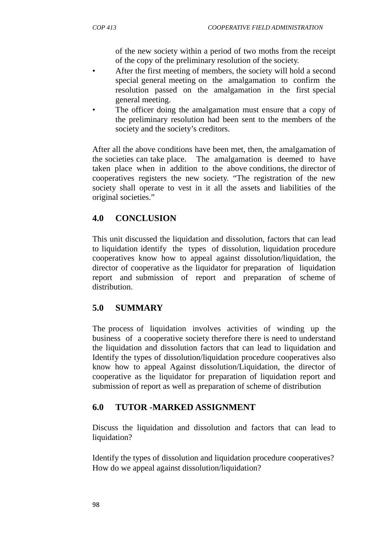of the new society within a period of two moths from the receipt of the copy of the preliminary resolution of the society.

- After the first meeting of members, the society will hold a second special general meeting on the amalgamation to confirm the resolution passed on the amalgamation in the first special general meeting.
- The officer doing the amalgamation must ensure that a copy of the preliminary resolution had been sent to the members of the society and the society's creditors.

After all the above conditions have been met, then, the amalgamation of the societies can take place. The amalgamation is deemed to have taken place when in addition to the above conditions, the director of cooperatives registers the new society. "The registration of the new society shall operate to vest in it all the assets and liabilities of the original societies."

# **4.0 CONCLUSION**

This unit discussed the liquidation and dissolution, factors that can lead to liquidation identify the types of dissolution, liquidation procedure cooperatives know how to appeal against dissolution/liquidation, the director of cooperative as the liquidator for preparation of liquidation report and submission of report and preparation of scheme of distribution.

## **5.0 SUMMARY**

The process of liquidation involves activities of winding up the business of a cooperative society therefore there is need to understand the liquidation and dissolution factors that can lead to liquidation and Identify the types of dissolution/liquidation procedure cooperatives also know how to appeal Against dissolution/Liquidation, the director of cooperative as the liquidator for preparation of liquidation report and submission of report as well as preparation of scheme of distribution

## **6.0 TUTOR -MARKED ASSIGNMENT**

Discuss the liquidation and dissolution and factors that can lead to liquidation?

Identify the types of dissolution and liquidation procedure cooperatives? How do we appeal against dissolution/liquidation?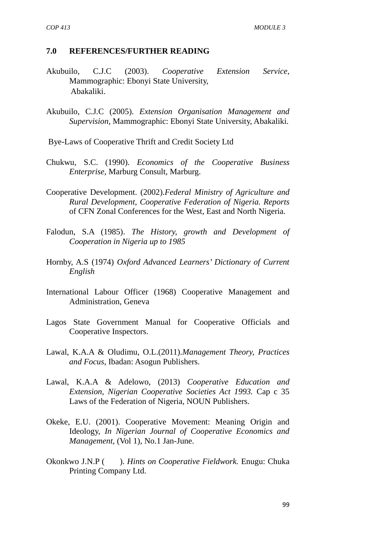#### **7.0 REFERENCES/FURTHER READING**

- Akubuilo, C.J.C (2003). *Cooperative Extension Service,* Mammographic: Ebonyi State University, Abakaliki.
- Akubuilo, C.J.C (2005). *Extension Organisation Management and Supervision,* Mammographic: Ebonyi State University, Abakaliki.
- Bye-Laws of Cooperative Thrift and Credit Society Ltd
- Chukwu, S.C. (1990). *Economics of the Cooperative Business Enterprise,* Marburg Consult, Marburg.
- Cooperative Development. (2002).*Federal Ministry of Agriculture and Rural Development, Cooperative Federation of Nigeria. Reports* of CFN Zonal Conferences for the West, East and North Nigeria.
- Falodun, S.A (1985). *The History, growth and Development of Cooperation in Nigeria up to 1985*
- Hornby, A.S (1974) *Oxford Advanced Learners' Dictionary of Current English*
- International Labour Officer (1968) Cooperative Management and Administration, Geneva
- Lagos State Government Manual for Cooperative Officials and Cooperative Inspectors.
- Lawal, K.A.A & Oludimu, O.L.(2011).*Management Theory, Practices and Focus*, Ibadan: Asogun Publishers.
- Lawal, K.A.A & Adelowo, (2013) *Cooperative Education and Extension, Nigerian Cooperative Societies Act 1993.* Cap c 35 Laws of the Federation of Nigeria, NOUN Publishers.
- Okeke, E.U. (2001). Cooperative Movement: Meaning Origin and Ideology, *In Nigerian Journal of Cooperative Economics and Management,* (Vol 1), No.1 Jan-June.
- Okonkwo J.N.P ( ). *Hints on Cooperative Fieldwork.* Enugu: Chuka Printing Company Ltd.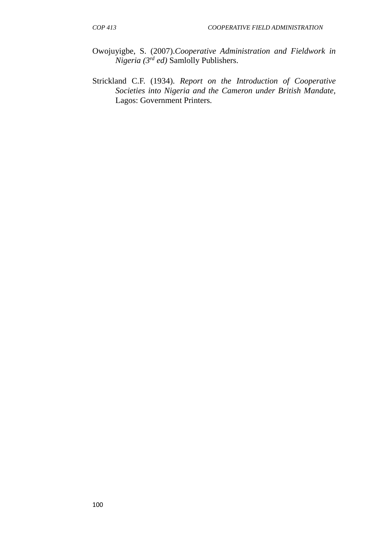- Owojuyigbe, S. (2007).*Cooperative Administration and Fieldwork in Nigeria (3rd ed)* Samlolly Publishers.
- Strickland C.F. (1934). *Report on the Introduction of Cooperative Societies into Nigeria and the Cameron under British Mandate,* Lagos: Government Printers.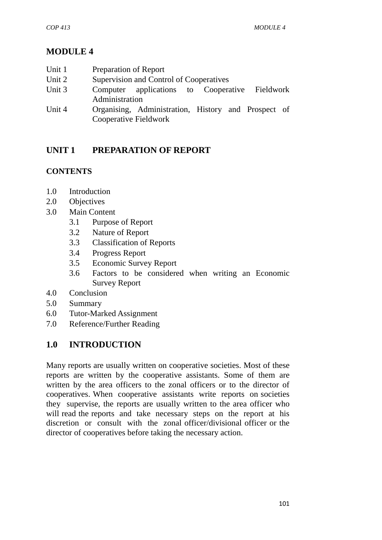# **MODULE 4**

| Unit 1 | Preparation of Report |  |
|--------|-----------------------|--|
|        |                       |  |

- Unit 2 Supervision and Control of Cooperatives
- Unit 3 Computer applications to Cooperative Fieldwork Administration
- Unit 4 Organising, Administration, History and Prospect of Cooperative Fieldwork

# **UNIT 1 PREPARATION OF REPORT**

### **CONTENTS**

- 1.0 Introduction
- 2.0 Objectives
- 3.0 Main Content
	- 3.1 Purpose of Report
	- 3.2 Nature of Report
	- 3.3 Classification of Reports
	- 3.4 Progress Report
	- 3.5 Economic Survey Report
	- 3.6 Factors to be considered when writing an Economic Survey Report
- 4.0 Conclusion
- 5.0 Summary
- 6.0 Tutor-Marked Assignment
- 7.0 Reference/Further Reading

## **1.0 INTRODUCTION**

Many reports are usually written on cooperative societies. Most of these reports are written by the cooperative assistants. Some of them are written by the area officers to the zonal officers or to the director of cooperatives. When cooperative assistants write reports on societies they supervise, the reports are usually written to the area officer who will read the reports and take necessary steps on the report at his discretion or consult with the zonal officer/divisional officer or the director of cooperatives before taking the necessary action.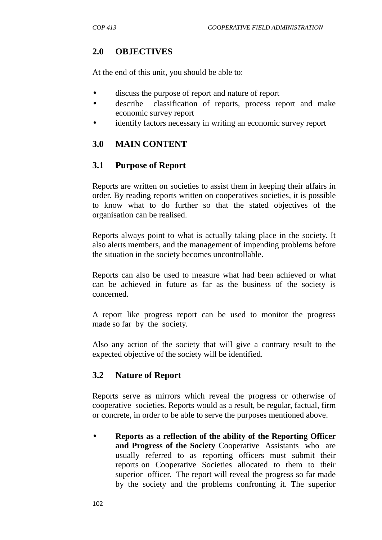# **2.0 OBJECTIVES**

At the end of this unit, you should be able to:

- discuss the purpose of report and nature of report
- describe classification of reports, process report and make economic survey report
- identify factors necessary in writing an economic survey report

# **3.0 MAIN CONTENT**

# **3.1 Purpose of Report**

Reports are written on societies to assist them in keeping their affairs in order. By reading reports written on cooperatives societies, it is possible to know what to do further so that the stated objectives of the organisation can be realised.

Reports always point to what is actually taking place in the society. It also alerts members, and the management of impending problems before the situation in the society becomes uncontrollable.

Reports can also be used to measure what had been achieved or what can be achieved in future as far as the business of the society is concerned.

A report like progress report can be used to monitor the progress made so far by the society.

Also any action of the society that will give a contrary result to the expected objective of the society will be identified.

# **3.2 Nature of Report**

Reports serve as mirrors which reveal the progress or otherwise of cooperative societies. Reports would as a result, be regular, factual, firm or concrete, in order to be able to serve the purposes mentioned above.

 **Reports as a reflection of the ability of the Reporting Officer and Progress of the Society** Cooperative Assistants who are usually referred to as reporting officers must submit their reports on Cooperative Societies allocated to them to their superior officer. The report will reveal the progress so far made by the society and the problems confronting it. The superior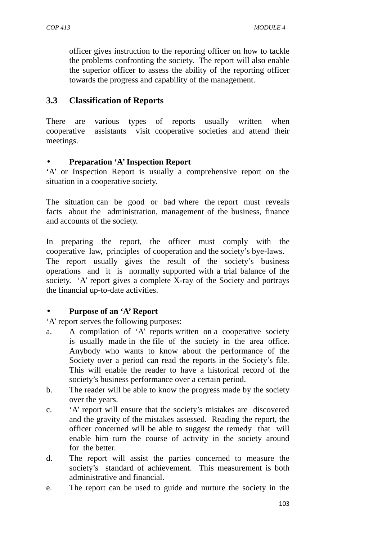officer gives instruction to the reporting officer on how to tackle the problems confronting the society. The report will also enable the superior officer to assess the ability of the reporting officer towards the progress and capability of the management.

# **3.3 Classification of Reports**

There are various types of reports usually written when cooperative assistants visit cooperative societies and attend their meetings.

# **Preparation 'A' Inspection Report**

'A' or Inspection Report is usually a comprehensive report on the situation in a cooperative society.

The situation can be good or bad where the report must reveals facts about the administration, management of the business, finance and accounts of the society.

In preparing the report, the officer must comply with the cooperative law, principles of cooperation and the society's bye-laws. The report usually gives the result of the society's business operations and it is normally supported with a trial balance of the society. 'A' report gives a complete X-ray of the Society and portrays the financial up-to-date activities.

# **Purpose of an 'A' Report**

'A' report serves the following purposes:

- a. A compilation of 'A' reports written on a cooperative society is usually made in the file of the society in the area office. Anybody who wants to know about the performance of the Society over a period can read the reports in the Society's file. This will enable the reader to have a historical record of the society's business performance over a certain period.
- b. The reader will be able to know the progress made by the society over the years.
- c. 'A' report will ensure that the society's mistakes are discovered and the gravity of the mistakes assessed. Reading the report, the officer concerned will be able to suggest the remedy that will enable him turn the course of activity in the society around for the better.
- d. The report will assist the parties concerned to measure the society's standard of achievement. This measurement is both administrative and financial.
- e. The report can be used to guide and nurture the society in the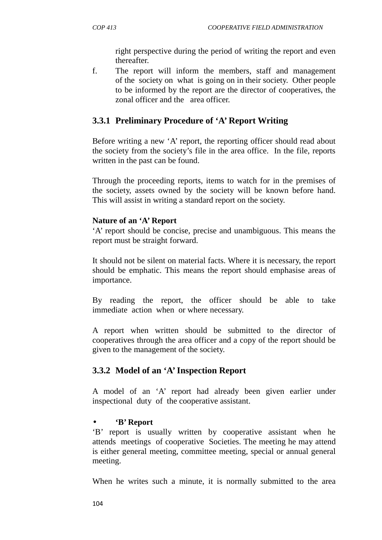right perspective during the period of writing the report and even thereafter.

f. The report will inform the members, staff and management of the society on what is going on in their society. Other people to be informed by the report are the director of cooperatives, the zonal officer and the area officer.

# **3.3.1 Preliminary Procedure of 'A' Report Writing**

Before writing a new 'A' report, the reporting officer should read about the society from the society's file in the area office. In the file, reports written in the past can be found.

Through the proceeding reports, items to watch for in the premises of the society, assets owned by the society will be known before hand. This will assist in writing a standard report on the society.

### **Nature of an 'A' Report**

'A' report should be concise, precise and unambiguous. This means the report must be straight forward.

It should not be silent on material facts. Where it is necessary, the report should be emphatic. This means the report should emphasise areas of importance.

By reading the report, the officer should be able to take immediate action when or where necessary.

A report when written should be submitted to the director of cooperatives through the area officer and a copy of the report should be given to the management of the society.

# **3.3.2 Model of an 'A' Inspection Report**

A model of an 'A' report had already been given earlier under inspectional duty of the cooperative assistant.

# **'B' Report**

'B' report is usually written by cooperative assistant when he attends meetings of cooperative Societies. The meeting he may attend is either general meeting, committee meeting, special or annual general meeting.

When he writes such a minute, it is normally submitted to the area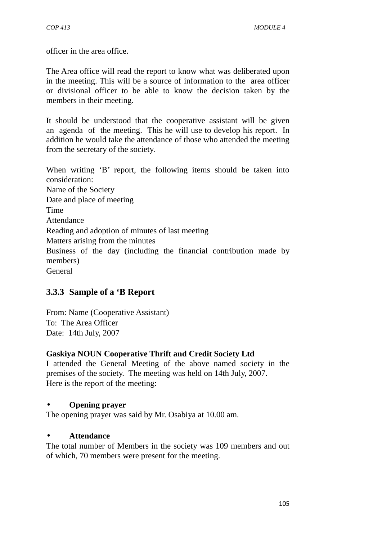officer in the area office.

The Area office will read the report to know what was deliberated upon in the meeting. This will be a source of information to the area officer or divisional officer to be able to know the decision taken by the members in their meeting.

It should be understood that the cooperative assistant will be given an agenda of the meeting. This he will use to develop his report. In addition he would take the attendance of those who attended the meeting from the secretary of the society.

When writing 'B' report, the following items should be taken into consideration: Name of the Society Date and place of meeting Time Attendance Reading and adoption of minutes of last meeting Matters arising from the minutes Business of the day (including the financial contribution made by members) General

# **3.3.3 Sample of a 'B Report**

From: Name (Cooperative Assistant) To: The Area Officer Date: 14th July, 2007

### **Gaskiya NOUN Cooperative Thrift and Credit Society Ltd**

I attended the General Meeting of the above named society in the premises of the society. The meeting was held on 14th July, 2007. Here is the report of the meeting:

### **Opening prayer**

The opening prayer was said by Mr. Osabiya at 10.00 am.

### **Attendance**

The total number of Members in the society was 109 members and out of which, 70 members were present for the meeting.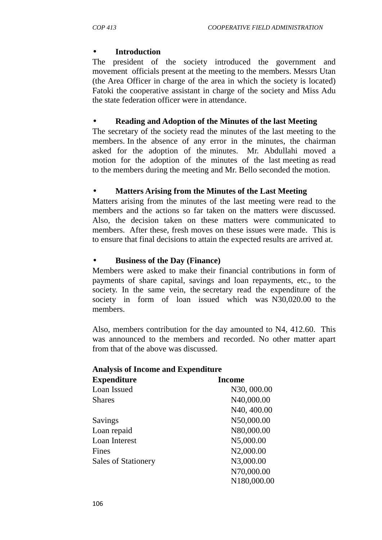### **Introduction**

The president of the society introduced the government and movement officials present at the meeting to the members. Messrs Utan (the Area Officer in charge of the area in which the society is located) Fatoki the cooperative assistant in charge of the society and Miss Adu the state federation officer were in attendance.

### **Reading and Adoption of the Minutes of the last Meeting**

The secretary of the society read the minutes of the last meeting to the members. In the absence of any error in the minutes, the chairman asked for the adoption of the minutes. Mr. Abdullahi moved a motion for the adoption of the minutes of the last meeting as read to the members during the meeting and Mr. Bello seconded the motion.

### **Matters Arising from the Minutes of the Last Meeting**

Matters arising from the minutes of the last meeting were read to the members and the actions so far taken on the matters were discussed. Also, the decision taken on these matters were communicated to members. After these, fresh moves on these issues were made. This is to ensure that final decisions to attain the expected results are arrived at.

### **Business of the Day (Finance)**

Members were asked to make their financial contributions in form of payments of share capital, savings and loan repayments, etc., to the society. In the same vein, the secretary read the expenditure of the society in form of loan issued which was N30,020.00 to the members.

Also, members contribution for the day amounted to N4, 412.60. This was announced to the members and recorded. No other matter apart from that of the above was discussed.

### **Analysis of Income and Expenditure**

| <b>Expenditure</b>         | <b>Income</b> |
|----------------------------|---------------|
| Loan Issued                | N30, 000.00   |
| <b>Shares</b>              | N40,000.00    |
|                            | N40, 400.00   |
| Savings                    | N50,000.00    |
| Loan repaid                | N80,000.00    |
| Loan Interest              | N5,000.00     |
| Fines                      | N2,000.00     |
| <b>Sales of Stationery</b> | N3,000.00     |
|                            | N70,000.00    |
|                            | N180.000.00   |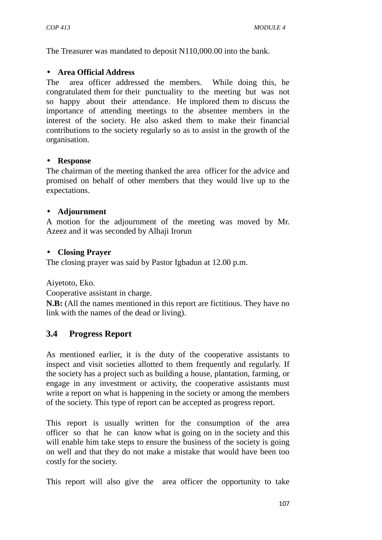The Treasurer was mandated to deposit N110,000.00 into the bank.

### **Area Official Address**

The area officer addressed the members. While doing this, he congratulated them for their punctuality to the meeting but was not so happy about their attendance. He implored them to discuss the importance of attending meetings to the absentee members in the interest of the society. He also asked them to make their financial contributions to the society regularly so as to assist in the growth of the organisation.

#### **Response**

The chairman of the meeting thanked the area officer for the advice and promised on behalf of other members that they would live up to the expectations.

### **Adjournment**

A motion for the adjournment of the meeting was moved by Mr. Azeez and it was seconded by Alhaji Irorun

### **Closing Prayer**

The closing prayer was said by Pastor Igbadun at 12.00 p.m.

Aiyetoto, Eko.

Cooperative assistant in charge.

**N.B:** (All the names mentioned in this report are fictitious. They have no link with the names of the dead or living).

# **3.4 Progress Report**

As mentioned earlier, it is the duty of the cooperative assistants to inspect and visit societies allotted to them frequently and regularly. If the society has a project such as building a house, plantation, farming, or engage in any investment or activity, the cooperative assistants must write a report on what is happening in the society or among the members of the society. This type of report can be accepted as progress report.

This report is usually written for the consumption of the area officer so that he can know what is going on in the society and this will enable him take steps to ensure the business of the society is going on well and that they do not make a mistake that would have been too costly for the society.

This report will also give the area officer the opportunity to take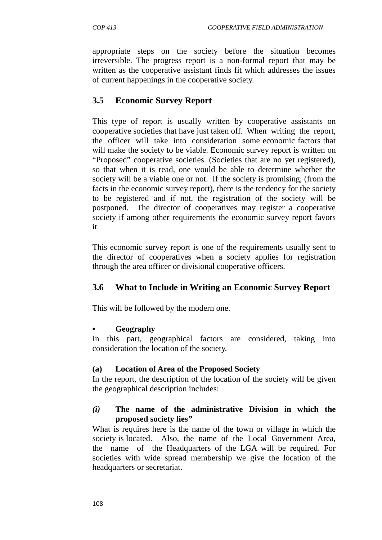appropriate steps on the society before the situation becomes irreversible. The progress report is a non-formal report that may be written as the cooperative assistant finds fit which addresses the issues of current happenings in the cooperative society.

# **3.5 Economic Survey Report**

This type of report is usually written by cooperative assistants on cooperative societies that have just taken off. When writing the report, the officer will take into consideration some economic factors that will make the society to be viable. Economic survey report is written on "Proposed" cooperative societies. (Societies that are no yet registered), so that when it is read, one would be able to determine whether the society will be a viable one or not. If the society is promising, (from the facts in the economic survey report), there is the tendency for the society to be registered and if not, the registration of the society will be postponed. The director of cooperatives may register a cooperative society if among other requirements the economic survey report favors it.

This economic survey report is one of the requirements usually sent to the director of cooperatives when a society applies for registration through the area officer or divisional cooperative officers.

# **3.6 What to Include in Writing an Economic Survey Report**

This will be followed by the modern one.

### **• Geography**

In this part, geographical factors are considered, taking into consideration the location of the society.

### **(a) Location of Area of the Proposed Society**

In the report, the description of the location of the society will be given the geographical description includes:

### *(i)* **The name of the administrative Division in which the proposed society lies***"*

What is requires here is the name of the town or village in which the society is located. Also, the name of the Local Government Area, the name of the Headquarters of the LGA will be required. For societies with wide spread membership we give the location of the headquarters or secretariat.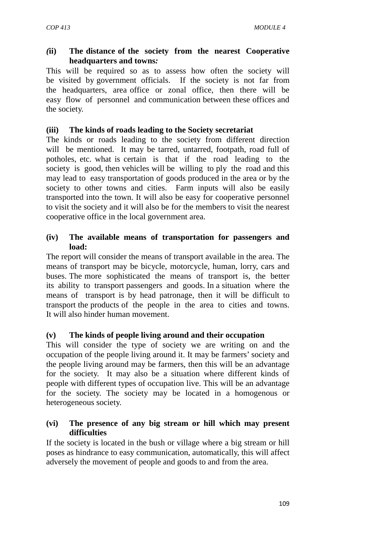### *(***ii) The distance of the society from the nearest Cooperative headquarters and towns***:*

This will be required so as to assess how often the society will be visited by government officials. If the society is not far from the headquarters, area office or zonal office, then there will be easy flow of personnel and communication between these offices and the society.

### **(iii) The kinds of roads leading to the Society secretariat**

The kinds or roads leading to the society from different direction will be mentioned. It may be tarred, untarred, footpath, road full of potholes, etc. what is certain is that if the road leading to the society is good, then vehicles will be willing to ply the road and this may lead to easy transportation of goods produced in the area or by the society to other towns and cities. Farm inputs will also be easily transported into the town. It will also be easy for cooperative personnel to visit the society and it will also be for the members to visit the nearest cooperative office in the local government area.

### **(iv) The available means of transportation for passengers and load:**

The report will consider the means of transport available in the area. The means of transport may be bicycle, motorcycle, human, lorry, cars and buses. The more sophisticated the means of transport is, the better its ability to transport passengers and goods. In a situation where the means of transport is by head patronage, then it will be difficult to transport the products of the people in the area to cities and towns. It will also hinder human movement.

### **(v) The kinds of people living around and their occupation**

This will consider the type of society we are writing on and the occupation of the people living around it. It may be farmers' society and the people living around may be farmers, then this will be an advantage for the society. It may also be a situation where different kinds of people with different types of occupation live. This will be an advantage for the society. The society may be located in a homogenous or heterogeneous society.

### **(vi) The presence of any big stream or hill which may present difficulties**

If the society is located in the bush or village where a big stream or hill poses as hindrance to easy communication, automatically, this will affect adversely the movement of people and goods to and from the area.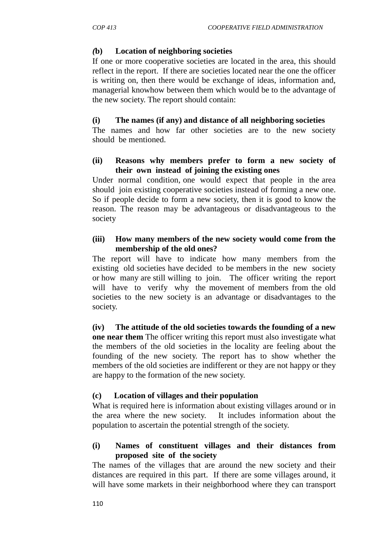### *(***b) Location of neighboring societies**

If one or more cooperative societies are located in the area, this should reflect in the report. If there are societies located near the one the officer is writing on, then there would be exchange of ideas, information and, managerial knowhow between them which would be to the advantage of the new society. The report should contain:

### **(i) The names (if any) and distance of all neighboring societies**

The names and how far other societies are to the new society should be mentioned.

### **(ii) Reasons why members prefer to form a new society of their own instead of joining the existing ones**

Under normal condition, one would expect that people in the area should join existing cooperative societies instead of forming a new one. So if people decide to form a new society, then it is good to know the reason. The reason may be advantageous or disadvantageous to the society

### **(iii) How many members of the new society would come from the membership of the old ones?**

The report will have to indicate how many members from the existing old societies have decided to be members in the new society or how many are still willing to join. The officer writing the report will have to verify why the movement of members from the old societies to the new society is an advantage or disadvantages to the society.

**(iv) The attitude of the old societies towards the founding of a new one near them** The officer writing this report must also investigate what the members of the old societies in the locality are feeling about the founding of the new society. The report has to show whether the members of the old societies are indifferent or they are not happy or they are happy to the formation of the new society.

### **(c) Location of villages and their population**

What is required here is information about existing villages around or in the area where the new society. It includes information about the population to ascertain the potential strength of the society.

### **(i) Names of constituent villages and their distances from proposed site of the society**

The names of the villages that are around the new society and their distances are required in this part. If there are some villages around, it will have some markets in their neighborhood where they can transport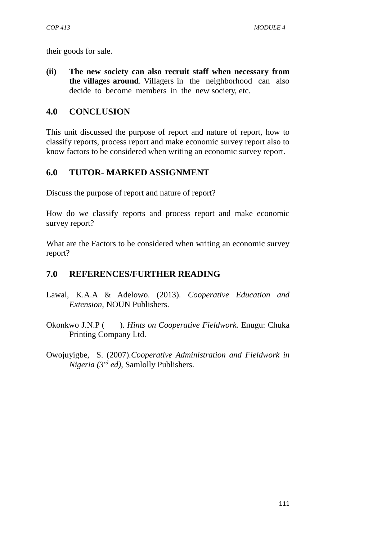their goods for sale.

**(ii) The new society can also recruit staff when necessary from the villages around**. Villagers in the neighborhood can also decide to become members in the new society, etc.

### **4.0 CONCLUSION**

This unit discussed the purpose of report and nature of report, how to classify reports, process report and make economic survey report also to know factors to be considered when writing an economic survey report.

# **6.0 TUTOR- MARKED ASSIGNMENT**

Discuss the purpose of report and nature of report?

How do we classify reports and process report and make economic survey report?

What are the Factors to be considered when writing an economic survey report?

# **7.0 REFERENCES/FURTHER READING**

- Lawal, K.A.A & Adelowo. (2013). *Cooperative Education and Extension,* NOUN Publishers.
- Okonkwo J.N.P ( ). *Hints on Cooperative Fieldwork.* Enugu: Chuka Printing Company Ltd.
- Owojuyigbe, S. (2007).*Cooperative Administration and Fieldwork in Nigeria (3rd ed)*, Samlolly Publishers.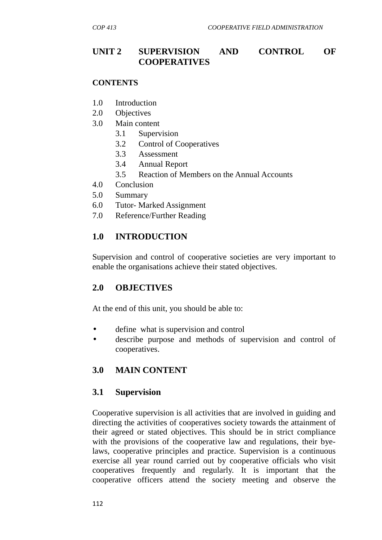# **UNIT 2 SUPERVISION AND CONTROL OF COOPERATIVES**

### **CONTENTS**

- 1.0 Introduction
- 2.0 Objectives
- 3.0 Main content
	- 3.1 Supervision
	- 3.2 Control of Cooperatives
	- 3.3 Assessment
	- 3.4 Annual Report
	- 3.5 Reaction of Members on the Annual Accounts
- 4.0 Conclusion
- 5.0 Summary
- 6.0 Tutor- Marked Assignment
- 7.0 Reference/Further Reading

# **1.0 INTRODUCTION**

Supervision and control of cooperative societies are very important to enable the organisations achieve their stated objectives.

### **2.0 OBJECTIVES**

At the end of this unit, you should be able to:

- define what is supervision and control
- describe purpose and methods of supervision and control of cooperatives.

### **3.0 MAIN CONTENT**

#### **3.1 Supervision**

Cooperative supervision is all activities that are involved in guiding and directing the activities of cooperatives society towards the attainment of their agreed or stated objectives. This should be in strict compliance with the provisions of the cooperative law and regulations, their byelaws, cooperative principles and practice. Supervision is a continuous exercise all year round carried out by cooperative officials who visit cooperatives frequently and regularly. It is important that the cooperative officers attend the society meeting and observe the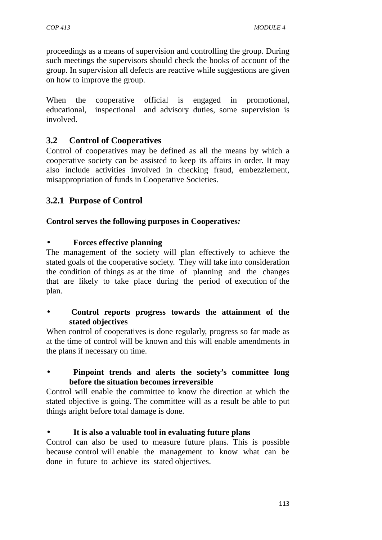proceedings as a means of supervision and controlling the group. During such meetings the supervisors should check the books of account of the group. In supervision all defects are reactive while suggestions are given on how to improve the group.

When the cooperative official is engaged in promotional, educational, inspectional and advisory duties, some supervision is involved.

# **3.2 Control of Cooperatives**

Control of cooperatives may be defined as all the means by which a cooperative society can be assisted to keep its affairs in order. It may also include activities involved in checking fraud, embezzlement, misappropriation of funds in Cooperative Societies.

# **3.2.1 Purpose of Control**

### **Control serves the following purposes in Cooperatives***:*

### **Forces effective planning**

The management of the society will plan effectively to achieve the stated goals of the cooperative society. They will take into consideration the condition of things as at the time of planning and the changes that are likely to take place during the period of execution of the plan.

 **Control reports progress towards the attainment of the stated objectives**

When control of cooperatives is done regularly, progress so far made as at the time of control will be known and this will enable amendments in the plans if necessary on time.

 **Pinpoint trends and alerts the society's committee long before the situation becomes irreversible**

Control will enable the committee to know the direction at which the stated objective is going. The committee will as a result be able to put things aright before total damage is done.

### **It is also a valuable tool in evaluating future plans**

Control can also be used to measure future plans. This is possible because control will enable the management to know what can be done in future to achieve its stated objectives.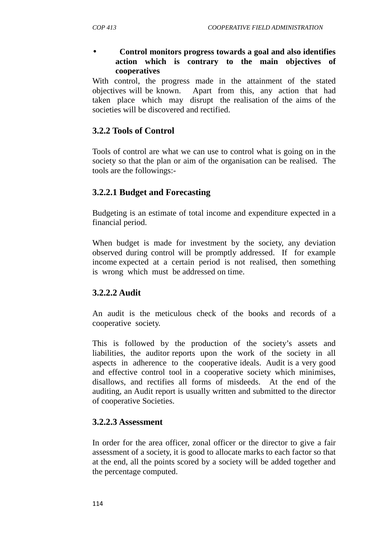### **Control monitors progress towards a goal and also identifies action which is contrary to the main objectives of cooperatives**

With control, the progress made in the attainment of the stated objectives will be known. Apart from this, any action that had taken place which may disrupt the realisation of the aims of the societies will be discovered and rectified.

# **3.2.2 Tools of Control**

Tools of control are what we can use to control what is going on in the society so that the plan or aim of the organisation can be realised. The tools are the followings:-

# **3.2.2.1 Budget and Forecasting**

Budgeting is an estimate of total income and expenditure expected in a financial period.

When budget is made for investment by the society, any deviation observed during control will be promptly addressed. If for example income expected at a certain period is not realised, then something is wrong which must be addressed on time.

# **3.2.2.2 Audit**

An audit is the meticulous check of the books and records of a cooperative society.

This is followed by the production of the society's assets and liabilities, the auditor reports upon the work of the society in all aspects in adherence to the cooperative ideals. Audit is a very good and effective control tool in a cooperative society which minimises, disallows, and rectifies all forms of misdeeds. At the end of the auditing, an Audit report is usually written and submitted to the director of cooperative Societies.

# **3.2.2.3 Assessment**

In order for the area officer, zonal officer or the director to give a fair assessment of a society, it is good to allocate marks to each factor so that at the end, all the points scored by a society will be added together and the percentage computed.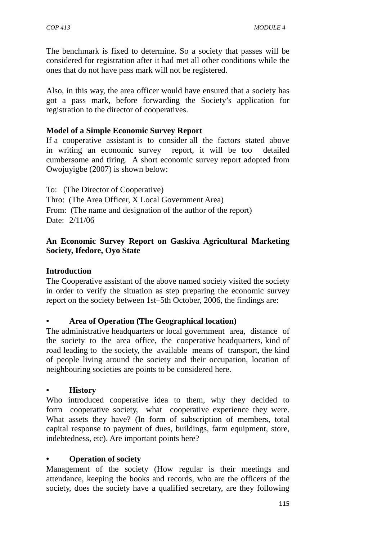The benchmark is fixed to determine. So a society that passes will be considered for registration after it had met all other conditions while the ones that do not have pass mark will not be registered.

Also, in this way, the area officer would have ensured that a society has got a pass mark, before forwarding the Society's application for registration to the director of cooperatives.

### **Model of a Simple Economic Survey Report**

If a cooperative assistant is to consider all the factors stated above in writing an economic survey report, it will be too detailed cumbersome and tiring. A short economic survey report adopted from Owojuyigbe (2007) is shown below:

To: (The Director of Cooperative) Thro: (The Area Officer, X Local Government Area) From: (The name and designation of the author of the report) Date: 2/11/06

### **An Economic Survey Report on Gaskiva Agricultural Marketing Society, Ifedore, Oyo State**

### **Introduction**

The Cooperative assistant of the above named society visited the society in order to verify the situation as step preparing the economic survey report on the society between 1st–5th October, 2006, the findings are:

### **• Area of Operation (The Geographical location)**

The administrative headquarters or local government area, distance of the society to the area office, the cooperative headquarters, kind of road leading to the society, the available means of transport, the kind of people living around the society and their occupation, location of neighbouring societies are points to be considered here.

### **• History**

Who introduced cooperative idea to them, why they decided to form cooperative society, what cooperative experience they were. What assets they have? (In form of subscription of members, total capital response to payment of dues, buildings, farm equipment, store, indebtedness, etc). Are important points here?

### **• Operation of society**

Management of the society (How regular is their meetings and attendance, keeping the books and records, who are the officers of the society, does the society have a qualified secretary, are they following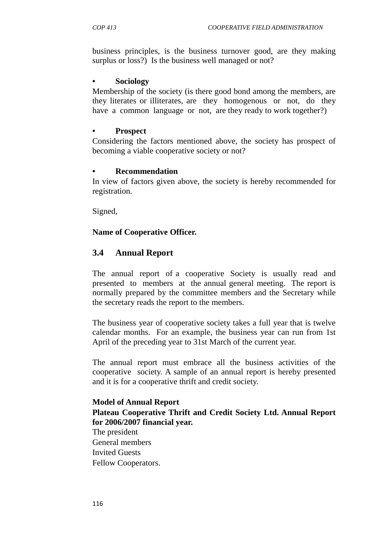business principles, is the business turnover good, are they making surplus or loss?) Is the business well managed or not?

### **• Sociology**

Membership of the society (is there good bond among the members, are they literates or illiterates, are they homogenous or not, do they have a common language or not, are they ready to work together?)

### **• Prospect**

Considering the factors mentioned above, the society has prospect of becoming a viable cooperative society or not?

### **• Recommendation**

In view of factors given above, the society is hereby recommended for registration.

Signed,

### **Name of Cooperative Officer.**

# **3.4 Annual Report**

The annual report of a cooperative Society is usually read and presented to members at the annual general meeting. The report is normally prepared by the committee members and the Secretary while the secretary reads the report to the members.

The business year of cooperative society takes a full year that is twelve calendar months. For an example, the business year can run from 1st April of the preceding year to 31st March of the current year.

The annual report must embrace all the business activities of the cooperative society. A sample of an annual report is hereby presented and it is for a cooperative thrift and credit society.

### **Model of Annual Report**

### **Plateau Cooperative Thrift and Credit Society Ltd. Annual Report for 2006/2007 financial year.**

The president General members Invited Guests Fellow Cooperators.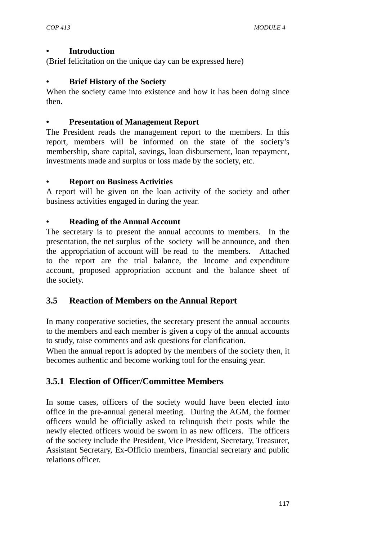### **• Introduction**

(Brief felicitation on the unique day can be expressed here)

### **• Brief History of the Society**

When the society came into existence and how it has been doing since then.

### **• Presentation of Management Report**

The President reads the management report to the members. In this report, members will be informed on the state of the society's membership, share capital, savings, loan disbursement, loan repayment, investments made and surplus or loss made by the society, etc.

### **• Report on Business Activities**

A report will be given on the loan activity of the society and other business activities engaged in during the year.

### **• Reading of the Annual Account**

The secretary is to present the annual accounts to members. In the presentation, the net surplus of the society will be announce, and then the appropriation of account will be read to the members. Attached to the report are the trial balance, the Income and expenditure account, proposed appropriation account and the balance sheet of the society.

# **3.5 Reaction of Members on the Annual Report**

In many cooperative societies, the secretary present the annual accounts to the members and each member is given a copy of the annual accounts to study, raise comments and ask questions for clarification.

When the annual report is adopted by the members of the society then, it becomes authentic and become working tool for the ensuing year.

# **3.5.1 Election of Officer/Committee Members**

In some cases, officers of the society would have been elected into office in the pre-annual general meeting. During the AGM, the former officers would be officially asked to relinquish their posts while the newly elected officers would be sworn in as new officers. The officers of the society include the President, Vice President, Secretary, Treasurer, Assistant Secretary, Ex-Officio members, financial secretary and public relations officer.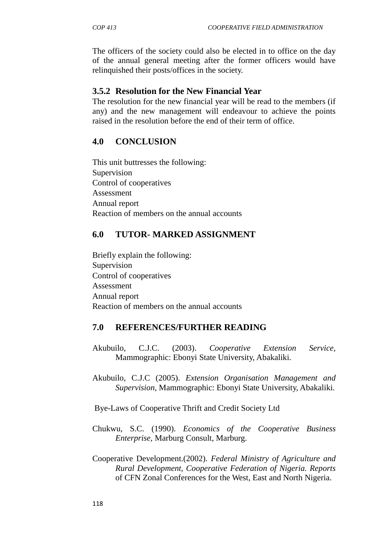The officers of the society could also be elected in to office on the day of the annual general meeting after the former officers would have relinquished their posts/offices in the society.

# **3.5.2 Resolution for the New Financial Year**

The resolution for the new financial year will be read to the members (if any) and the new management will endeavour to achieve the points raised in the resolution before the end of their term of office.

# **4.0 CONCLUSION**

This unit buttresses the following: Supervision Control of cooperatives Assessment Annual report Reaction of members on the annual accounts

# **6.0 TUTOR- MARKED ASSIGNMENT**

Briefly explain the following: Supervision Control of cooperatives Assessment Annual report Reaction of members on the annual accounts

# **7.0 REFERENCES/FURTHER READING**

- Akubuilo, C.J.C. (2003). *Cooperative Extension Service,* Mammographic: Ebonyi State University, Abakaliki.
- Akubuilo, C.J.C (2005). *Extension Organisation Management and Supervision,* Mammographic: Ebonyi State University, Abakaliki.

Bye-Laws of Cooperative Thrift and Credit Society Ltd

- Chukwu, S.C. (1990). *Economics of the Cooperative Business Enterprise,* Marburg Consult, Marburg.
- Cooperative Development.(2002). *Federal Ministry of Agriculture and Rural Development, Cooperative Federation of Nigeria. Reports* of CFN Zonal Conferences for the West, East and North Nigeria.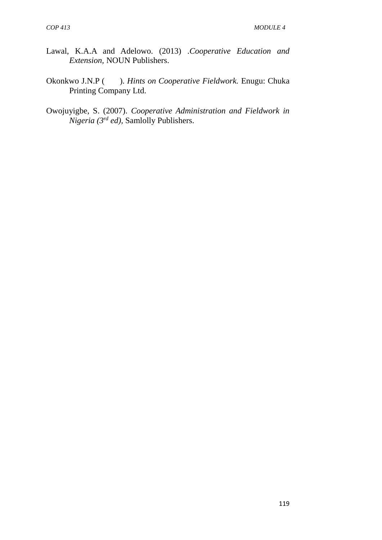- Lawal, K.A.A and Adelowo. (2013) .*Cooperative Education and Extension,* NOUN Publishers.
- Okonkwo J.N.P ( ). *Hints on Cooperative Fieldwork.* Enugu: Chuka Printing Company Ltd.
- Owojuyigbe, S. (2007). *Cooperative Administration and Fieldwork in Nigeria (3rd ed),* Samlolly Publishers.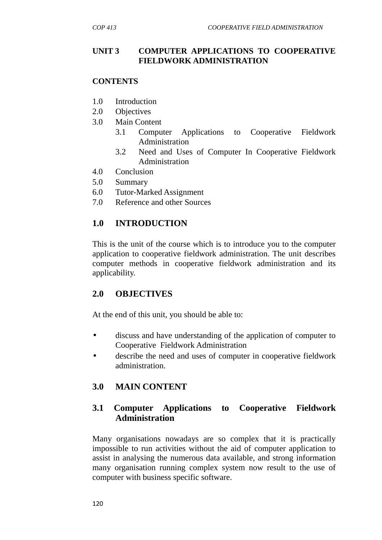### **UNIT 3 COMPUTER APPLICATIONS TO COOPERATIVE FIELDWORK ADMINISTRATION**

### **CONTENTS**

- 1.0 Introduction
- 2.0 Objectives
- 3.0 Main Content
	- 3.1 Computer Applications to Cooperative Fieldwork Administration
	- 3.2 Need and Uses of Computer In Cooperative Fieldwork Administration
- 4.0 Conclusion
- 5.0 Summary
- 6.0 Tutor-Marked Assignment
- 7.0 Reference and other Sources

### **1.0 INTRODUCTION**

This is the unit of the course which is to introduce you to the computer application to cooperative fieldwork administration. The unit describes computer methods in cooperative fieldwork administration and its applicability.

# **2.0 OBJECTIVES**

At the end of this unit, you should be able to:

- discuss and have understanding of the application of computer to Cooperative Fieldwork Administration
- describe the need and uses of computer in cooperative fieldwork administration.

# **3.0 MAIN CONTENT**

# **3.1 Computer Applications to Cooperative Fieldwork Administration**

Many organisations nowadays are so complex that it is practically impossible to run activities without the aid of computer application to assist in analysing the numerous data available, and strong information many organisation running complex system now result to the use of computer with business specific software.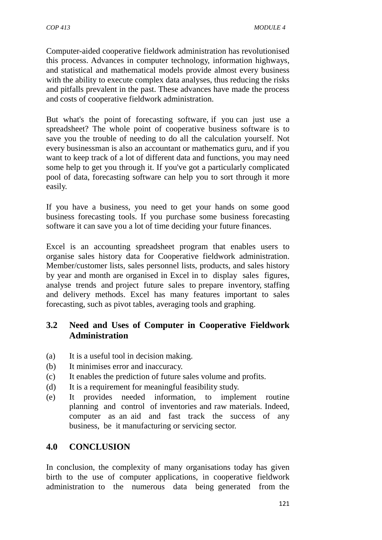Computer-aided cooperative fieldwork administration has revolutionised this process. Advances in computer technology, information highways, and statistical and mathematical models provide almost every business with the ability to execute complex data analyses, thus reducing the risks and pitfalls prevalent in the past. These advances have made the process and costs of cooperative fieldwork administration.

But what's the point of forecasting software, if you can just use a spreadsheet? The whole point of cooperative business software is to save you the trouble of needing to do all the calculation yourself. Not every businessman is also an accountant or mathematics guru, and if you want to keep track of a lot of different data and functions, you may need some help to get you through it. If you've got a particularly complicated pool of data, forecasting software can help you to sort through it more easily.

If you have a business, you need to get your hands on some good business forecasting tools. If you purchase some business forecasting software it can save you a lot of time deciding your future finances.

Excel is an accounting spreadsheet program that enables users to organise sales history data for Cooperative fieldwork administration. Member/customer lists, sales personnel lists, products, and sales history by year and month are organised in Excel in to display sales figures, analyse trends and project future sales to prepare inventory, staffing and delivery methods. Excel has many features important to sales forecasting, such as pivot tables, averaging tools and graphing.

# **3.2 Need and Uses of Computer in Cooperative Fieldwork Administration**

- (a) It is a useful tool in decision making.
- (b) It minimises error and inaccuracy.
- (c) It enables the prediction of future sales volume and profits.
- (d) It is a requirement for meaningful feasibility study.
- (e) It provides needed information, to implement routine planning and control of inventories and raw materials. Indeed, computer as an aid and fast track the success of any business, be it manufacturing or servicing sector.

# **4.0 CONCLUSION**

In conclusion, the complexity of many organisations today has given birth to the use of computer applications, in cooperative fieldwork administration to the numerous data being generated from the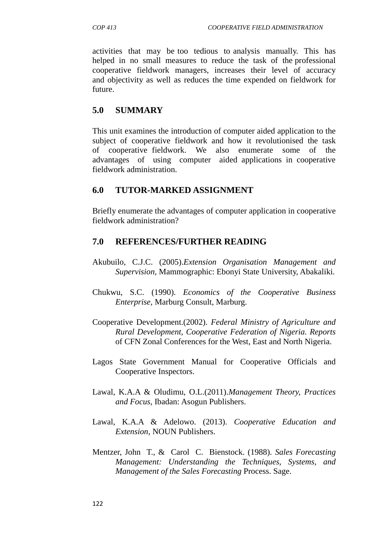activities that may be too tedious to analysis manually. This has helped in no small measures to reduce the task of the professional cooperative fieldwork managers, increases their level of accuracy and objectivity as well as reduces the time expended on fieldwork for future.

# **5.0 SUMMARY**

This unit examines the introduction of computer aided application to the subject of cooperative fieldwork and how it revolutionised the task of cooperative fieldwork. We also enumerate some of the advantages of using computer aided applications in cooperative fieldwork administration.

# **6.0 TUTOR-MARKED ASSIGNMENT**

Briefly enumerate the advantages of computer application in cooperative fieldwork administration?

### **7.0 REFERENCES/FURTHER READING**

- Akubuilo, C.J.C. (2005).*Extension Organisation Management and Supervision,* Mammographic: Ebonyi State University, Abakaliki.
- Chukwu, S.C. (1990). *Economics of the Cooperative Business Enterprise,* Marburg Consult, Marburg.
- Cooperative Development.(2002). *Federal Ministry of Agriculture and Rural Development, Cooperative Federation of Nigeria. Reports* of CFN Zonal Conferences for the West, East and North Nigeria.
- Lagos State Government Manual for Cooperative Officials and Cooperative Inspectors.
- Lawal, K.A.A & Oludimu, O.L.(2011).*Management Theory, Practices and Focus*, Ibadan: Asogun Publishers.
- Lawal, K.A.A & Adelowo. (2013). *Cooperative Education and Extension,* NOUN Publishers.
- Mentzer, John T., & Carol C. Bienstock. (1988). *Sales Forecasting Management: Understanding the Techniques, Systems, and Management of the Sales Forecasting* Process. Sage.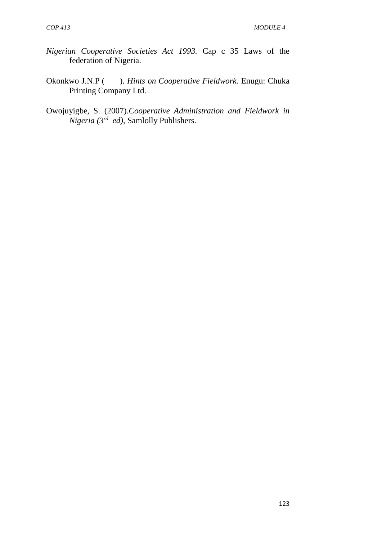- *Nigerian Cooperative Societies Act 1993.* Cap c 35 Laws of the federation of Nigeria.
- Okonkwo J.N.P ( ). *Hints on Cooperative Fieldwork.* Enugu: Chuka Printing Company Ltd.
- Owojuyigbe, S. (2007).*Cooperative Administration and Fieldwork in Nigeria (3rd ed)*, Samlolly Publishers.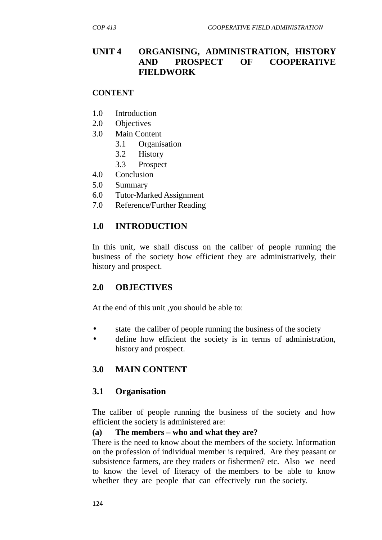# **UNIT 4 ORGANISING, ADMINISTRATION, HISTORY AND PROSPECT OF COOPERATIVE FIELDWORK**

#### **CONTENT**

- 1.0 Introduction
- 2.0 Objectives
- 3.0 Main Content
	- 3.1 Organisation
		- 3.2 History
		- 3.3 Prospect
- 4.0 Conclusion
- 5.0 Summary
- 6.0 Tutor-Marked Assignment
- 7.0 Reference/Further Reading

# **1.0 INTRODUCTION**

In this unit, we shall discuss on the caliber of people running the business of the society how efficient they are administratively, their history and prospect.

# **2.0 OBJECTIVES**

At the end of this unit ,you should be able to:

- state the caliber of people running the business of the society
- define how efficient the society is in terms of administration, history and prospect.

# **3.0 MAIN CONTENT**

### **3.1 Organisation**

The caliber of people running the business of the society and how efficient the society is administered are:

### **(a) The members – who and what they are?**

There is the need to know about the members of the society. Information on the profession of individual member is required. Are they peasant or subsistence farmers, are they traders or fishermen? etc. Also we need to know the level of literacy of the members to be able to know whether they are people that can effectively run the society.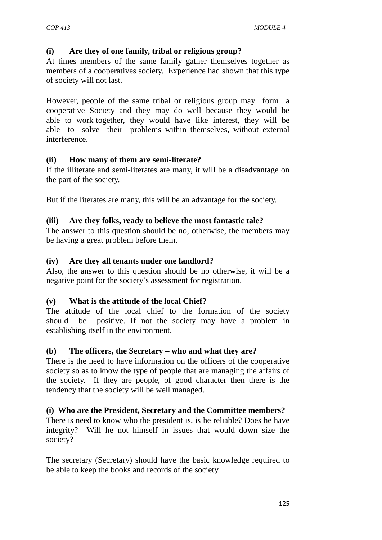### **(i) Are they of one family, tribal or religious group?**

At times members of the same family gather themselves together as members of a cooperatives society. Experience had shown that this type of society will not last.

However, people of the same tribal or religious group may form a cooperative Society and they may do well because they would be able to work together, they would have like interest, they will be able to solve their problems within themselves, without external interference.

### **(ii) How many of them are semi-literate?**

If the illiterate and semi-literates are many, it will be a disadvantage on the part of the society.

But if the literates are many, this will be an advantage for the society.

### **(iii) Are they folks, ready to believe the most fantastic tale?**

The answer to this question should be no, otherwise, the members may be having a great problem before them.

### **(iv) Are they all tenants under one landlord?**

Also, the answer to this question should be no otherwise, it will be a negative point for the society's assessment for registration.

### **(v) What is the attitude of the local Chief?**

The attitude of the local chief to the formation of the society should be positive. If not the society may have a problem in establishing itself in the environment.

### **(b) The officers, the Secretary – who and what they are?**

There is the need to have information on the officers of the cooperative society so as to know the type of people that are managing the affairs of the society. If they are people, of good character then there is the tendency that the society will be well managed.

### **(i) Who are the President, Secretary and the Committee members?**

There is need to know who the president is, is he reliable? Does he have integrity? Will he not himself in issues that would down size the society?

The secretary (Secretary) should have the basic knowledge required to be able to keep the books and records of the society.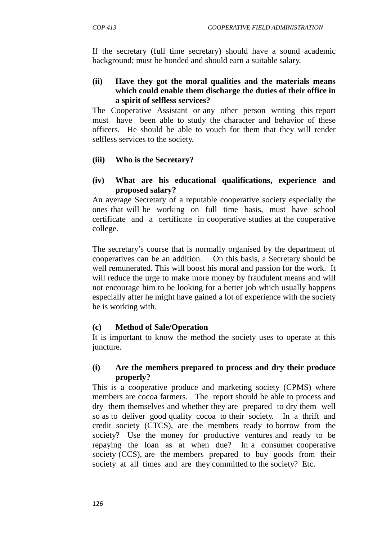If the secretary (full time secretary) should have a sound academic background; must be bonded and should earn a suitable salary.

### **(ii) Have they got the moral qualities and the materials means which could enable them discharge the duties of their office in a spirit of selfless services?**

The Cooperative Assistant or any other person writing this report must have been able to study the character and behavior of these officers. He should be able to vouch for them that they will render selfless services to the society.

### **(iii) Who is the Secretary?**

### **(iv) What are his educational qualifications, experience and proposed salary?**

An average Secretary of a reputable cooperative society especially the ones that will be working on full time basis, must have school certificate and a certificate in cooperative studies at the cooperative college.

The secretary's course that is normally organised by the department of cooperatives can be an addition. On this basis, a Secretary should be well remunerated. This will boost his moral and passion for the work. It will reduce the urge to make more money by fraudulent means and will not encourage him to be looking for a better job which usually happens especially after he might have gained a lot of experience with the society he is working with.

### **(c) Method of Sale/Operation**

It is important to know the method the society uses to operate at this juncture.

### **(i) Are the members prepared to process and dry their produce properly?**

This is a cooperative produce and marketing society (CPMS) where members are cocoa farmers. The report should be able to process and dry them themselves and whether they are prepared to dry them well so as to deliver good quality cocoa to their society. In a thrift and credit society (CTCS), are the members ready to borrow from the society? Use the money for productive ventures and ready to be repaying the loan as at when due? In a consumer cooperative society (CCS), are the members prepared to buy goods from their society at all times and are they committed to the society? Etc.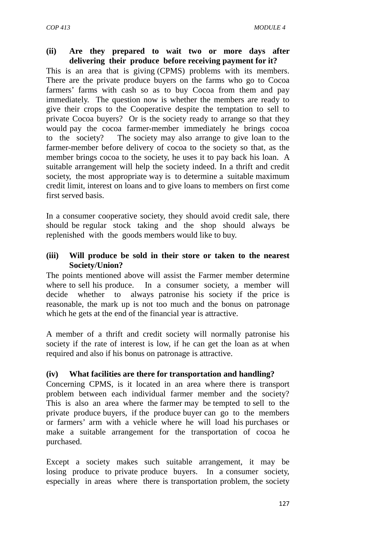### **(ii) Are they prepared to wait two or more days after delivering their produce before receiving payment for it?**

This is an area that is giving (CPMS) problems with its members. There are the private produce buyers on the farms who go to Cocoa farmers' farms with cash so as to buy Cocoa from them and pay immediately. The question now is whether the members are ready to give their crops to the Cooperative despite the temptation to sell to private Cocoa buyers? Or is the society ready to arrange so that they would pay the cocoa farmer-member immediately he brings cocoa to the society? The society may also arrange to give loan to the farmer-member before delivery of cocoa to the society so that, as the member brings cocoa to the society, he uses it to pay back his loan. A suitable arrangement will help the society indeed. In a thrift and credit society, the most appropriate way is to determine a suitable maximum credit limit, interest on loans and to give loans to members on first come first served basis.

In a consumer cooperative society, they should avoid credit sale, there should be regular stock taking and the shop should always be replenished with the goods members would like to buy.

### **(iii) Will produce be sold in their store or taken to the nearest Society/Union?**

The points mentioned above will assist the Farmer member determine where to sell his produce. In a consumer society, a member will decide whether to always patronise his society if the price is reasonable, the mark up is not too much and the bonus on patronage which he gets at the end of the financial year is attractive.

A member of a thrift and credit society will normally patronise his society if the rate of interest is low, if he can get the loan as at when required and also if his bonus on patronage is attractive.

# **(iv) What facilities are there for transportation and handling?**

Concerning CPMS, is it located in an area where there is transport problem between each individual farmer member and the society? This is also an area where the farmer may be tempted to sell to the private produce buyers, if the produce buyer can go to the members or farmers' arm with a vehicle where he will load his purchases or make a suitable arrangement for the transportation of cocoa he purchased.

Except a society makes such suitable arrangement, it may be losing produce to private produce buyers. In a consumer society, especially in areas where there is transportation problem, the society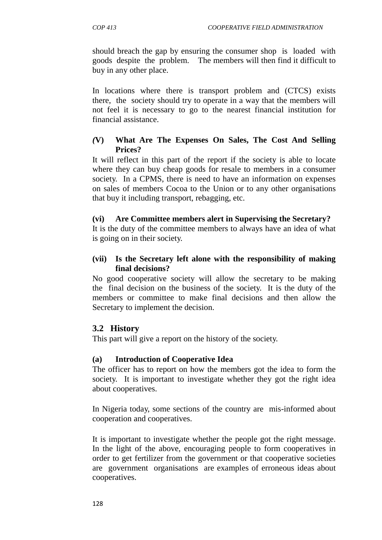should breach the gap by ensuring the consumer shop is loaded with goods despite the problem. The members will then find it difficult to buy in any other place.

In locations where there is transport problem and (CTCS) exists there, the society should try to operate in a way that the members will not feel it is necessary to go to the nearest financial institution for financial assistance.

### *(***V) What Are The Expenses On Sales, The Cost And Selling Prices?**

It will reflect in this part of the report if the society is able to locate where they can buy cheap goods for resale to members in a consumer society. In a CPMS, there is need to have an information on expenses on sales of members Cocoa to the Union or to any other organisations that buy it including transport, rebagging, etc.

### **(vi) Are Committee members alert in Supervising the Secretary?**

It is the duty of the committee members to always have an idea of what is going on in their society.

### **(vii) Is the Secretary left alone with the responsibility of making final decisions?**

No good cooperative society will allow the secretary to be making the final decision on the business of the society. It is the duty of the members or committee to make final decisions and then allow the Secretary to implement the decision.

# **3.2 History**

This part will give a report on the history of the society.

### **(a) Introduction of Cooperative Idea**

The officer has to report on how the members got the idea to form the society. It is important to investigate whether they got the right idea about cooperatives.

In Nigeria today, some sections of the country are mis-informed about cooperation and cooperatives.

It is important to investigate whether the people got the right message. In the light of the above, encouraging people to form cooperatives in order to get fertilizer from the government or that cooperative societies are government organisations are examples of erroneous ideas about cooperatives.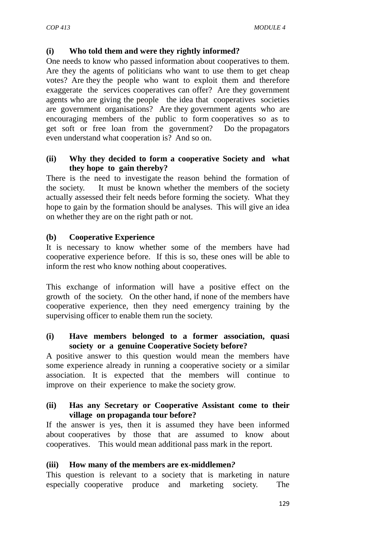### **(i) Who told them and were they rightly informed?**

One needs to know who passed information about cooperatives to them. Are they the agents of politicians who want to use them to get cheap votes? Are they the people who want to exploit them and therefore exaggerate the services cooperatives can offer? Are they government agents who are giving the people the idea that cooperatives societies are government organisations? Are they government agents who are encouraging members of the public to form cooperatives so as to get soft or free loan from the government? Do the propagators even understand what cooperation is? And so on.

### **(ii) Why they decided to form a cooperative Society and what they hope to gain thereby?**

There is the need to investigate the reason behind the formation of the society. It must be known whether the members of the society actually assessed their felt needs before forming the society. What they hope to gain by the formation should be analyses. This will give an idea on whether they are on the right path or not.

### **(b) Cooperative Experience**

It is necessary to know whether some of the members have had cooperative experience before. If this is so, these ones will be able to inform the rest who know nothing about cooperatives.

This exchange of information will have a positive effect on the growth of the society. On the other hand, if none of the members have cooperative experience, then they need emergency training by the supervising officer to enable them run the society.

### **(i) Have members belonged to a former association, quasi society or a genuine Cooperative Society before?**

A positive answer to this question would mean the members have some experience already in running a cooperative society or a similar association. It is expected that the members will continue to improve on their experience to make the society grow.

### **(ii) Has any Secretary or Cooperative Assistant come to their village on propaganda tour before?**

If the answer is yes, then it is assumed they have been informed about cooperatives by those that are assumed to know about cooperatives. This would mean additional pass mark in the report.

# **(iii) How many of the members are ex-middlemen***?*

This question is relevant to a society that is marketing in nature especially cooperative produce and marketing society. The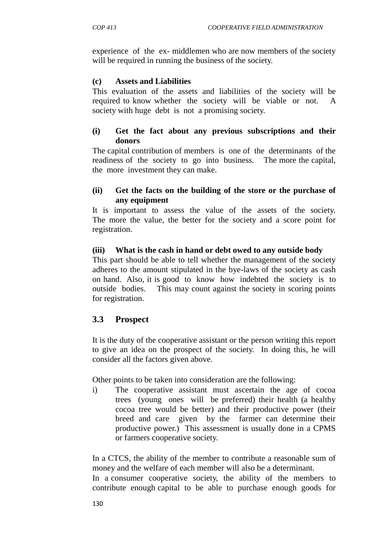experience of the ex- middlemen who are now members of the society will be required in running the business of the society.

### **(c) Assets and Liabilities**

This evaluation of the assets and liabilities of the society will be required to know whether the society will be viable or not. A society with huge debt is not a promising society.

### **(i) Get the fact about any previous subscriptions and their donors**

The capital contribution of members is one of the determinants of the readiness of the society to go into business. The more the capital, the more investment they can make.

### **(ii) Get the facts on the building of the store or the purchase of any equipment**

It is important to assess the value of the assets of the society. The more the value, the better for the society and a score point for registration.

### **(iii) What is the cash in hand or debt owed to any outside body**

This part should be able to tell whether the management of the society adheres to the amount stipulated in the bye-laws of the society as cash on hand. Also, it is good to know how indebted the society is to outside bodies. This may count against the society in scoring points for registration.

# **3.3 Prospect**

It is the duty of the cooperative assistant or the person writing this report to give an idea on the prospect of the society. In doing this, he will consider all the factors given above.

Other points to be taken into consideration are the following:

i) The cooperative assistant must ascertain the age of cocoa trees (young ones will be preferred) their health (a healthy cocoa tree would be better) and their productive power (their breed and care given by the farmer can determine their productive power.) This assessment is usually done in a CPMS or farmers cooperative society.

In a CTCS, the ability of the member to contribute a reasonable sum of money and the welfare of each member will also be a determinant.

In a consumer cooperative society, the ability of the members to contribute enough capital to be able to purchase enough goods for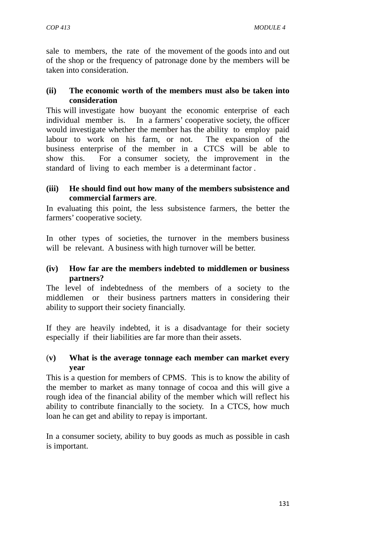sale to members, the rate of the movement of the goods into and out of the shop or the frequency of patronage done by the members will be taken into consideration.

### **(ii) The economic worth of the members must also be taken into consideration**

This will investigate how buoyant the economic enterprise of each individual member is. In a farmers' cooperative society, the officer would investigate whether the member has the ability to employ paid labour to work on his farm, or not. The expansion of the business enterprise of the member in a CTCS will be able to show this. For a consumer society, the improvement in the standard of living to each member is a determinant factor .

### **(iii) He should find out how many of the members subsistence and commercial farmers are**.

In evaluating this point, the less subsistence farmers, the better the farmers' cooperative society.

In other types of societies, the turnover in the members business will be relevant. A business with high turnover will be better.

### **(iv) How far are the members indebted to middlemen or business partners?**

The level of indebtedness of the members of a society to the middlemen or their business partners matters in considering their ability to support their society financially.

If they are heavily indebted, it is a disadvantage for their society especially if their liabilities are far more than their assets.

### (**v) What is the average tonnage each member can market every year**

This is a question for members of CPMS. This is to know the ability of the member to market as many tonnage of cocoa and this will give a rough idea of the financial ability of the member which will reflect his ability to contribute financially to the society. In a CTCS, how much loan he can get and ability to repay is important.

In a consumer society, ability to buy goods as much as possible in cash is important.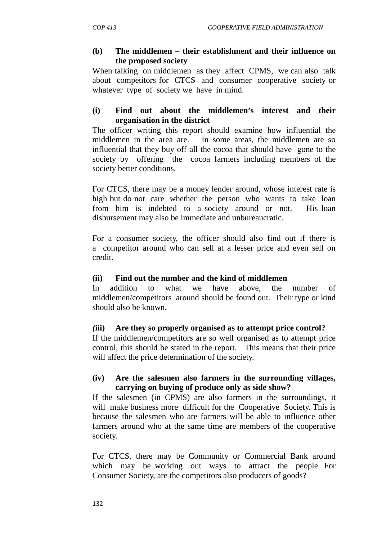### **(b) The middlemen – their establishment and their influence on the proposed society**

When talking on middlemen as they affect CPMS, we can also talk about competitors for CTCS and consumer cooperative society or whatever type of society we have in mind.

### **(i) Find out about the middlemen's interest and their organisation in the district**

The officer writing this report should examine how influential the middlemen in the area are. In some areas, the middlemen are so influential that they buy off all the cocoa that should have gone to the society by offering the cocoa farmers including members of the society better conditions.

For CTCS, there may be a money lender around, whose interest rate is high but do not care whether the person who wants to take loan from him is indebted to a society around or not. His loan disbursement may also be immediate and unbureaucratic.

For a consumer society, the officer should also find out if there is a competitor around who can sell at a lesser price and even sell on credit.

# **(ii) Find out the number and the kind of middlemen**

In addition to what we have above, the number of middlemen/competitors around should be found out. Their type or kind should also be known.

### *(***iii) Are they so properly organised as to attempt price control?**

If the middlemen/competitors are so well organised as to attempt price control, this should be stated in the report. This means that their price will affect the price determination of the society.

### **(iv) Are the salesmen also farmers in the surrounding villages, carrying on buying of produce only as side show?**

If the salesmen (in CPMS) are also farmers in the surroundings, it will make business more difficult for the Cooperative Society. This is because the salesmen who are farmers will be able to influence other farmers around who at the same time are members of the cooperative society.

For CTCS, there may be Community or Commercial Bank around which may be working out ways to attract the people. For Consumer Society, are the competitors also producers of goods?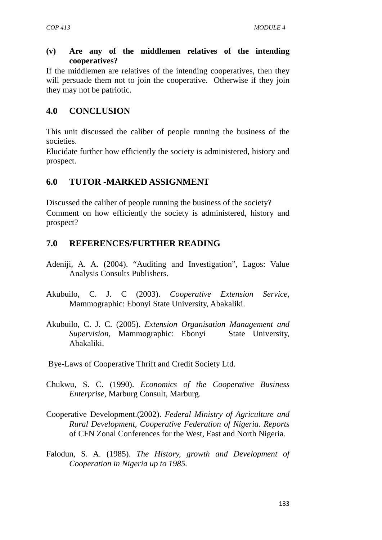### **(v) Are any of the middlemen relatives of the intending cooperatives?**

If the middlemen are relatives of the intending cooperatives, then they will persuade them not to join the cooperative. Otherwise if they join they may not be patriotic.

# **4.0 CONCLUSION**

This unit discussed the caliber of people running the business of the societies.

Elucidate further how efficiently the society is administered, history and prospect.

# **6.0 TUTOR -MARKED ASSIGNMENT**

Discussed the caliber of people running the business of the society? Comment on how efficiently the society is administered, history and prospect?

# **7.0 REFERENCES/FURTHER READING**

- Adeniji, A. A. (2004). "Auditing and Investigation", Lagos: Value Analysis Consults Publishers.
- Akubuilo, C. J. C (2003). *Cooperative Extension Service,* Mammographic: Ebonyi State University, Abakaliki.
- Akubuilo, C. J. C. (2005). *Extension Organisation Management and Supervision,* Mammographic: Ebonyi State University, Abakaliki.

Bye-Laws of Cooperative Thrift and Credit Society Ltd.

- Chukwu, S. C. (1990). *Economics of the Cooperative Business Enterprise,* Marburg Consult, Marburg.
- Cooperative Development.(2002). *Federal Ministry of Agriculture and Rural Development, Cooperative Federation of Nigeria. Reports* of CFN Zonal Conferences for the West, East and North Nigeria.
- Falodun, S. A. (1985). *The History, growth and Development of Cooperation in Nigeria up to 1985.*